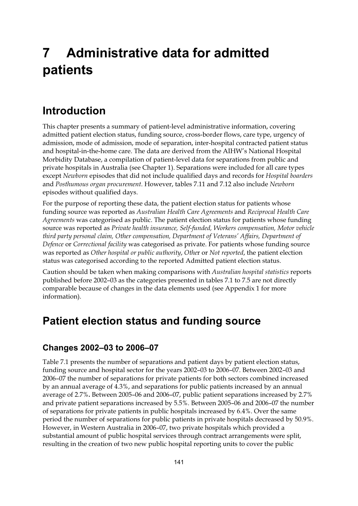# **7 Administrative data for admitted patients**

## **Introduction**

This chapter presents a summary of patient-level administrative information, covering admitted patient election status, funding source, cross-border flows, care type, urgency of admission, mode of admission, mode of separation, inter-hospital contracted patient status and hospital-in-the-home care. The data are derived from the AIHW's National Hospital Morbidity Database, a compilation of patient-level data for separations from public and private hospitals in Australia (see Chapter 1). Separations were included for all care types except *Newborn* episodes that did not include qualified days and records for *Hospital boarders* and *Posthumous organ procurement*. However, tables 7.11 and 7.12 also include *Newborn* episodes without qualified days.

For the purpose of reporting these data, the patient election status for patients whose funding source was reported as *Australian Health Care Agreements* and *Reciprocal Health Care Agreements* was categorised as public. The patient election status for patients whose funding source was reported as *Private health insurance, Self-funded, Workers compensation, Motor vehicle third party personal claim, Other compensation, Department of Veterans' Affairs, Department of Defence* or *Correctional facility* was categorised as private. For patients whose funding source was reported as *Other hospital or public authority*, *Othe*r or *Not reported*, the patient election status was categorised according to the reported Admitted patient election status.

Caution should be taken when making comparisons with *Australian hospital statistics* reports published before 2002–03 as the categories presented in tables 7.1 to 7.5 are not directly comparable because of changes in the data elements used (see Appendix 1 for more information).

#### **Patient election status and funding source**

#### **Changes 2002–03 to 2006–07**

Table 7.1 presents the number of separations and patient days by patient election status, funding source and hospital sector for the years 2002–03 to 2006–07. Between 2002–03 and 2006–07 the number of separations for private patients for both sectors combined increased by an annual average of 4.3%, and separations for public patients increased by an annual average of 2.7%**.** Between 2005–06 and 2006–07, public patient separations increased by 2.7% and private patient separations increased by 5.5%. Between 2005–06 and 2006–07 the number of separations for private patients in public hospitals increased by 6.4%. Over the same period the number of separations for public patients in private hospitals decreased by 50.9%. However, in Western Australia in 2006–07, two private hospitals which provided a substantial amount of public hospital services through contract arrangements were split, resulting in the creation of two new public hospital reporting units to cover the public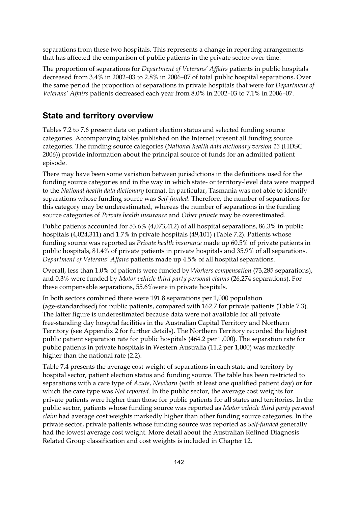separations from these two hospitals. This represents a change in reporting arrangements that has affected the comparison of public patients in the private sector over time.

The proportion of separations for *Department of Veterans' Affairs* patients in public hospitals decreased from 3.4% in 2002–03 to 2.8% in 2006–07 of total public hospital separations**.** Over the same period the proportion of separations in private hospitals that were for *Department of Veterans' Affairs* patients decreased each year from 8.0% in 2002–03 to 7.1% in 2006–07.

#### **State and territory overview**

Tables 7.2 to 7.6 present data on patient election status and selected funding source categories. Accompanying tables published on the Internet present all funding source categories. The funding source categories (*National health data dictionary version 13* (HDSC 2006)) provide information about the principal source of funds for an admitted patient episode.

There may have been some variation between jurisdictions in the definitions used for the funding source categories and in the way in which state- or territory-level data were mapped to the *National health data dictionary* format. In particular, Tasmania was not able to identify separations whose funding source was *Self-funded*. Therefore, the number of separations for this category may be underestimated, whereas the number of separations in the funding source categories of *Private health insurance* and *Other private* may be overestimated.

Public patients accounted for 53.6% (4,073,412) of all hospital separations, 86.3% in public hospitals (4,024,311) and 1.7% in private hospitals (49,101) (Table 7.2). Patients whose funding source was reported as *Private health insurance* made up 60.5% of private patients in public hospitals, 81.4% of private patients in private hospitals and 35.9% of all separations. *Department of Veterans' Affairs* patients made up 4.5% of all hospital separations.

Overall, less than 1.0% of patients were funded by *Workers compensation* (73,285 separations), and 0.3% were funded by *Motor vehicle third party personal claims* (26,274 separations). For these compensable separations, 55.6%were in private hospitals.

In both sectors combined there were 191.8 separations per 1,000 population (age-standardised) for public patients, compared with 162.7 for private patients (Table 7.3). The latter figure is underestimated because data were not available for all private free-standing day hospital facilities in the Australian Capital Territory and Northern Territory (see Appendix 2 for further details). The Northern Territory recorded the highest public patient separation rate for public hospitals (464.2 per 1,000). The separation rate for public patients in private hospitals in Western Australia (11.2 per 1,000) was markedly higher than the national rate (2.2).

Table 7.4 presents the average cost weight of separations in each state and territory by hospital sector, patient election status and funding source. The table has been restricted to separations with a care type of *Acute*, *Newborn* (with at least one qualified patient day) or for which the care type was *Not reported*. In the public sector, the average cost weights for private patients were higher than those for public patients for all states and territories. In the public sector, patients whose funding source was reported as *Motor vehicle third party personal claim* had average cost weights markedly higher than other funding source categories. In the private sector, private patients whose funding source was reported as *Self-funded* generally had the lowest average cost weight. More detail about the Australian Refined Diagnosis Related Group classification and cost weights is included in Chapter 12.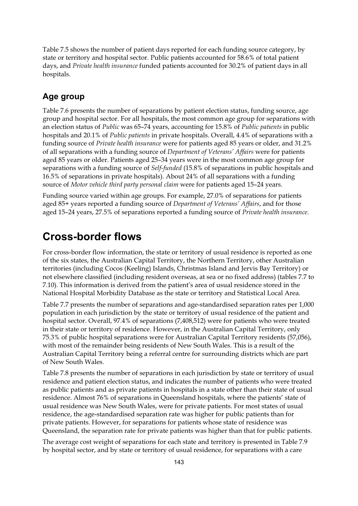Table 7.5 shows the number of patient days reported for each funding source category, by state or territory and hospital sector. Public patients accounted for 58.6% of total patient days, and *Private health insurance* funded patients accounted for 30.2% of patient days in all hospitals.

#### **Age group**

Table 7.6 presents the number of separations by patient election status, funding source, age group and hospital sector. For all hospitals, the most common age group for separations with an election status of *Public* was 65–74 years, accounting for 15.8% of *Public patients* in public hospitals and 20.1% of *Public patients* in private hospitals. Overall, 4.4% of separations with a funding source of *Private health insurance* were for patients aged 85 years or older, and 31.2% of all separations with a funding source of *Department of Veterans' Affairs* were for patients aged 85 years or older. Patients aged 25–34 years were in the most common age group for separations with a funding source of *Self-funded* (15.8% of separations in public hospitals and 16.5% of separations in private hospitals). About 24% of all separations with a funding source of *Motor vehicle third party personal claim* were for patients aged 15–24 years.

Funding source varied within age groups. For example, 27.0% of separations for patients aged 85+ years reported a funding source of *Department of Veterans' Affairs*, and for those aged 15–24 years, 27.5% of separations reported a funding source of *Private health insurance*.

#### **Cross-border flows**

For cross-border flow information, the state or territory of usual residence is reported as one of the six states, the Australian Capital Territory, the Northern Territory, other Australian territories (including Cocos (Keeling) Islands, Christmas Island and Jervis Bay Territory) or not elsewhere classified (including resident overseas, at sea or no fixed address) (tables 7.7 to 7.10). This information is derived from the patient's area of usual residence stored in the National Hospital Morbidity Database as the state or territory and Statistical Local Area.

Table 7.7 presents the number of separations and age-standardised separation rates per 1,000 population in each jurisdiction by the state or territory of usual residence of the patient and hospital sector. Overall, 97.4% of separations (7,408,512) were for patients who were treated in their state or territory of residence. However, in the Australian Capital Territory, only 75.3% of public hospital separations were for Australian Capital Territory residents (57,056), with most of the remainder being residents of New South Wales. This is a result of the Australian Capital Territory being a referral centre for surrounding districts which are part of New South Wales.

Table 7.8 presents the number of separations in each jurisdiction by state or territory of usual residence and patient election status, and indicates the number of patients who were treated as public patients and as private patients in hospitals in a state other than their state of usual residence. Almost 76% of separations in Queensland hospitals, where the patients' state of usual residence was New South Wales, were for private patients. For most states of usual residence, the age-standardised separation rate was higher for public patients than for private patients. However, for separations for patients whose state of residence was Queensland, the separation rate for private patients was higher than that for public patients.

The average cost weight of separations for each state and territory is presented in Table 7.9 by hospital sector, and by state or territory of usual residence, for separations with a care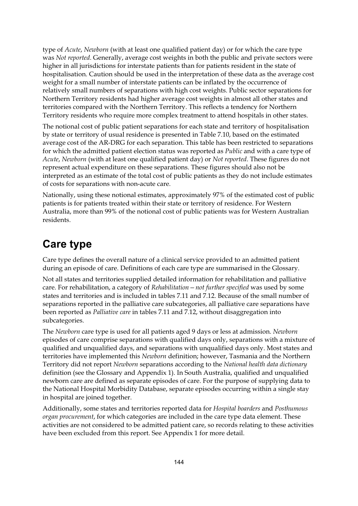type of *Acute*, *Newborn* (with at least one qualified patient day) or for which the care type was *Not reported*. Generally, average cost weights in both the public and private sectors were higher in all jurisdictions for interstate patients than for patients resident in the state of hospitalisation. Caution should be used in the interpretation of these data as the average cost weight for a small number of interstate patients can be inflated by the occurrence of relatively small numbers of separations with high cost weights. Public sector separations for Northern Territory residents had higher average cost weights in almost all other states and territories compared with the Northern Territory. This reflects a tendency for Northern Territory residents who require more complex treatment to attend hospitals in other states.

The notional cost of public patient separations for each state and territory of hospitalisation by state or territory of usual residence is presented in Table 7.10, based on the estimated average cost of the AR-DRG for each separation. This table has been restricted to separations for which the admitted patient election status was reported as *Public* and with a care type of *Acute*, *Newborn* (with at least one qualified patient day) or *Not reported*. These figures do not represent actual expenditure on these separations. These figures should also not be interpreted as an estimate of the total cost of public patients as they do not include estimates of costs for separations with non-acute care.

Nationally, using these notional estimates, approximately 97% of the estimated cost of public patients is for patients treated within their state or territory of residence. For Western Australia, more than 99% of the notional cost of public patients was for Western Australian residents.

### **Care type**

Care type defines the overall nature of a clinical service provided to an admitted patient during an episode of care. Definitions of each care type are summarised in the Glossary.

Not all states and territories supplied detailed information for rehabilitation and palliative care. For rehabilitation, a category of *Rehabilitation—not further specified* was used by some states and territories and is included in tables 7.11 and 7.12. Because of the small number of separations reported in the palliative care subcategories, all palliative care separations have been reported as *Palliative care* in tables 7.11 and 7.12, without disaggregation into subcategories.

The *Newborn* care type is used for all patients aged 9 days or less at admission. *Newborn* episodes of care comprise separations with qualified days only, separations with a mixture of qualified and unqualified days, and separations with unqualified days only. Most states and territories have implemented this *Newborn* definition; however, Tasmania and the Northern Territory did not report *Newborn* separations according to the *National health data dictionary* definition (see the Glossary and Appendix 1). In South Australia, qualified and unqualified newborn care are defined as separate episodes of care. For the purpose of supplying data to the National Hospital Morbidity Database, separate episodes occurring within a single stay in hospital are joined together.

Additionally, some states and territories reported data for *Hospital boarders* and *Posthumous organ procurement*, for which categories are included in the care type data element. These activities are not considered to be admitted patient care, so records relating to these activities have been excluded from this report. See Appendix 1 for more detail.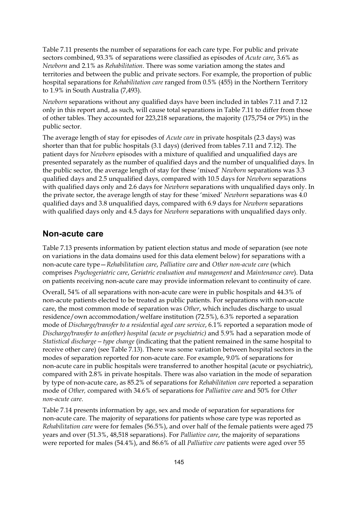Table 7.11 presents the number of separations for each care type. For public and private sectors combined, 93.3% of separations were classified as episodes of *Acute care*, 3.6% as *Newborn* and 2.1% as *Rehabilitation*. There was some variation among the states and territories and between the public and private sectors. For example, the proportion of public hospital separations for *Rehabilitation care* ranged from 0.5% (455) in the Northern Territory to 1.9% in South Australia (7,493).

*Newborn* separations without any qualified days have been included in tables 7.11 and 7.12 only in this report and, as such, will cause total separations in Table 7.11 to differ from those of other tables. They accounted for 223,218 separations, the majority (175,754 or 79%) in the public sector.

The average length of stay for episodes of *Acute care* in private hospitals (2.3 days) was shorter than that for public hospitals (3.1 days) (derived from tables 7.11 and 7.12). The patient days for *Newborn* episodes with a mixture of qualified and unqualified days are presented separately as the number of qualified days and the number of unqualified days. In the public sector, the average length of stay for these 'mixed' *Newborn* separations was 3.3 qualified days and 2.5 unqualified days, compared with 10.5 days for *Newborn* separations with qualified days only and 2.6 days for *Newborn* separations with unqualified days only. In the private sector, the average length of stay for these 'mixed' *Newborn* separations was 4.0 qualified days and 3.8 unqualified days, compared with 6.9 days for *Newborn* separations with qualified days only and 4.5 days for *Newborn* separations with unqualified days only.

#### **Non-acute care**

Table 7.13 presents information by patient election status and mode of separation (see note on variations in the data domains used for this data element below) for separations with a non-acute care type—*Rehabilitation care*, *Palliative care* and *Other non-acute care* (which comprises *Psychogeriatric care*, *Geriatric evaluation and management* and *Maintenance care*). Data on patients receiving non-acute care may provide information relevant to continuity of care.

Overall, 54% of all separations with non-acute care were in public hospitals and 44.3% of non-acute patients elected to be treated as public patients. For separations with non-acute care, the most common mode of separation was *Other*, which includes discharge to usual residence/own accommodation/welfare institution (72.5%), 6.3% reported a separation mode of *Discharge/transfer to a residential aged care service*, 6.1% reported a separation mode of *Discharge/transfer to an(other) hospital (acute or psychiatric)* and 5.9% had a separation mode of *Statistical discharge—type change* (indicating that the patient remained in the same hospital to receive other care) (see Table 7.13). There was some variation between hospital sectors in the modes of separation reported for non-acute care. For example, 9.0% of separations for non-acute care in public hospitals were transferred to another hospital (acute or psychiatric), compared with 2.8% in private hospitals. There was also variation in the mode of separation by type of non-acute care, as 85.2% of separations for *Rehabilitation care* reported a separation mode of *Other,* compared with 34.6% of separations for *Palliative care* and 50% for *Other non-acute care*.

Table 7.14 presents information by age, sex and mode of separation for separations for non-acute care. The majority of separations for patients whose care type was reported as *Rehabilitation care* were for females (56.5%), and over half of the female patients were aged 75 years and over (51.3%, 48,518 separations). For *Palliative care*, the majority of separations were reported for males (54.4%), and 86.6% of all *Palliative care* patients were aged over 55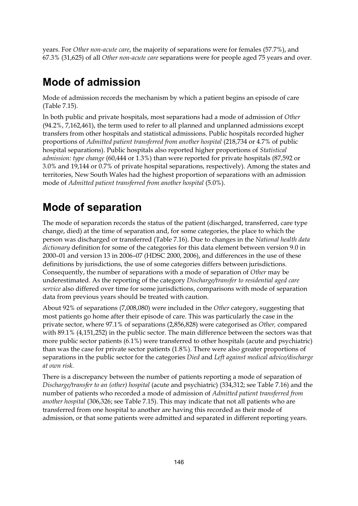years. For *Other non-acute care*, the majority of separations were for females (57.7%), and 67.3% (31,625) of all *Other non-acute care* separations were for people aged 75 years and over.

## **Mode of admission**

Mode of admission records the mechanism by which a patient begins an episode of care (Table 7.15).

In both public and private hospitals, most separations had a mode of admission of *Other* (94.2%, 7,162,461), the term used to refer to all planned and unplanned admissions except transfers from other hospitals and statistical admissions. Public hospitals recorded higher proportions of *Admitted patient transferred from another hospital* (218,734 or 4.7% of public hospital separations). Public hospitals also reported higher proportions of *Statistical admission: type change* (60,444 or 1.3%) than were reported for private hospitals (87,592 or 3.0% and 19,144 or 0.7% of private hospital separations, respectively). Among the states and territories, New South Wales had the highest proportion of separations with an admission mode of *Admitted patient transferred from another hospital* (5.0%).

# **Mode of separation**

The mode of separation records the status of the patient (discharged, transferred, care type change, died) at the time of separation and, for some categories, the place to which the person was discharged or transferred (Table 7.16). Due to changes in the *National health data dictionary* definition for some of the categories for this data element between version 9.0 in 2000–01 and version 13 in 2006–07 (HDSC 2000, 2006), and differences in the use of these definitions by jurisdictions, the use of some categories differs between jurisdictions. Consequently, the number of separations with a mode of separation of *Other* may be underestimated. As the reporting of the category *Discharge/transfer to residential aged care service* also differed over time for some jurisdictions, comparisons with mode of separation data from previous years should be treated with caution.

About 92% of separations (7,008,080) were included in the *Other* category, suggesting that most patients go home after their episode of care. This was particularly the case in the private sector, where 97.1% of separations (2,856,828) were categorised as *Other,* compared with 89.1% (4,151,252) in the public sector. The main difference between the sectors was that more public sector patients (6.1%) were transferred to other hospitals (acute and psychiatric) than was the case for private sector patients (1.8%). There were also greater proportions of separations in the public sector for the categories *Died* and *Left against medical advice/discharge at own risk*.

There is a discrepancy between the number of patients reporting a mode of separation of *Discharge/transfer to an (other) hospital* (acute and psychiatric) (334,312; see Table 7.16) and the number of patients who recorded a mode of admission of *Admitted patient transferred from another hospital* (306,326; see Table 7.15). This may indicate that not all patients who are transferred from one hospital to another are having this recorded as their mode of admission, or that some patients were admitted and separated in different reporting years.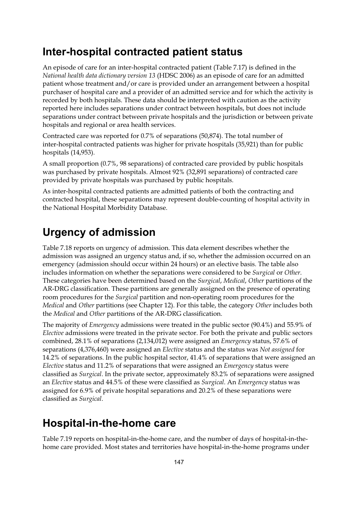#### **Inter-hospital contracted patient status**

An episode of care for an inter-hospital contracted patient (Table 7.17) is defined in the *National health data dictionary version 13* (HDSC 2006) as an episode of care for an admitted patient whose treatment and/or care is provided under an arrangement between a hospital purchaser of hospital care and a provider of an admitted service and for which the activity is recorded by both hospitals. These data should be interpreted with caution as the activity reported here includes separations under contract between hospitals, but does not include separations under contract between private hospitals and the jurisdiction or between private hospitals and regional or area health services.

Contracted care was reported for 0.7% of separations (50,874). The total number of inter-hospital contracted patients was higher for private hospitals (35,921) than for public hospitals (14,953).

A small proportion (0.7%, 98 separations) of contracted care provided by public hospitals was purchased by private hospitals. Almost 92% (32,891 separations) of contracted care provided by private hospitals was purchased by public hospitals.

As inter-hospital contracted patients are admitted patients of both the contracting and contracted hospital, these separations may represent double-counting of hospital activity in the National Hospital Morbidity Database.

#### **Urgency of admission**

Table 7.18 reports on urgency of admission. This data element describes whether the admission was assigned an urgency status and, if so, whether the admission occurred on an emergency (admission should occur within 24 hours) or an elective basis. The table also includes information on whether the separations were considered to be *Surgical* or *Other*. These categories have been determined based on the *Surgical*, *Medical*, *Other* partitions of the AR-DRG classification. These partitions are generally assigned on the presence of operating room procedures for the *Surgical* partition and non-operating room procedures for the *Medical* and *Other* partitions (see Chapter 12). For this table, the category *Other* includes both the *Medical* and *Other* partitions of the AR-DRG classification.

The majority of *Emergency* admissions were treated in the public sector (90.4%) and 55.9% of *Elective* admissions were treated in the private sector. For both the private and public sectors combined, 28.1% of separations (2,134,012) were assigned an *Emergency* status, 57.6% of separations (4,376,460) were assigned an *Elective* status and the status was *Not assigned* for 14.2% of separations. In the public hospital sector, 41.4% of separations that were assigned an *Elective* status and 11.2% of separations that were assigned an *Emergency* status were classified as *Surgical*. In the private sector, approximately 83.2% of separations were assigned an *Elective* status and 44.5% of these were classified as *Surgical*. An *Emergency* status was assigned for 6.9% of private hospital separations and 20.2% of these separations were classified as *Surgical*.

#### **Hospital-in-the-home care**

Table 7.19 reports on hospital-in-the-home care, and the number of days of hospital-in-thehome care provided. Most states and territories have hospital-in-the-home programs under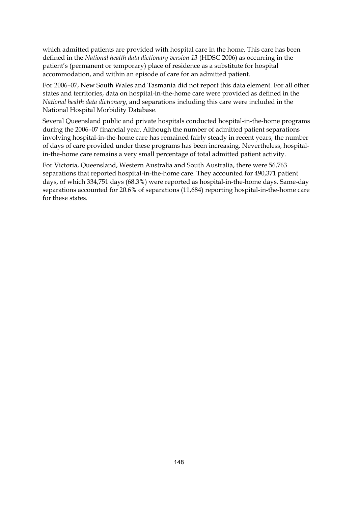which admitted patients are provided with hospital care in the home. This care has been defined in the *National health data dictionary version 13* (HDSC 2006) as occurring in the patient's (permanent or temporary) place of residence as a substitute for hospital accommodation, and within an episode of care for an admitted patient.

For 2006–07, New South Wales and Tasmania did not report this data element. For all other states and territories, data on hospital-in-the-home care were provided as defined in the *National health data dictionary*, and separations including this care were included in the National Hospital Morbidity Database.

Several Queensland public and private hospitals conducted hospital-in-the-home programs during the 2006–07 financial year. Although the number of admitted patient separations involving hospital-in-the-home care has remained fairly steady in recent years, the number of days of care provided under these programs has been increasing. Nevertheless, hospitalin-the-home care remains a very small percentage of total admitted patient activity.

For Victoria, Queensland, Western Australia and South Australia, there were 56,763 separations that reported hospital-in-the-home care. They accounted for 490,371 patient days, of which 334,751 days (68.3%) were reported as hospital-in-the-home days. Same-day separations accounted for 20.6% of separations (11,684) reporting hospital-in-the-home care for these states.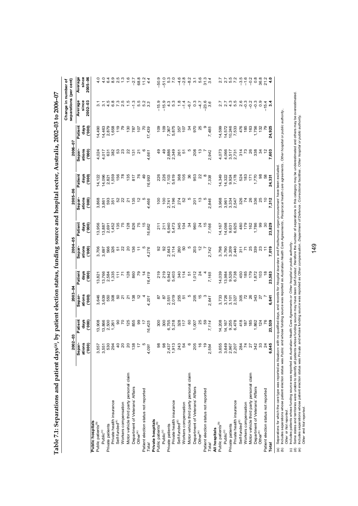|                                                                                                                                                                               |                  |                |                      |                |                 |               |                 |                 |                  |                  | Change in number of     |                  |
|-------------------------------------------------------------------------------------------------------------------------------------------------------------------------------|------------------|----------------|----------------------|----------------|-----------------|---------------|-----------------|-----------------|------------------|------------------|-------------------------|------------------|
|                                                                                                                                                                               | 2002-03          |                | $2003 - 04$          |                | 2004-05         |               | 2005-06         |                 | 2006-07          |                  | separations (per cent)  |                  |
|                                                                                                                                                                               | Separ            | Patient        | Separ-               | Patient        | Separ-          | Patient       | Separ-          | Patient         | Separ-           | Patient          | Average                 | Average          |
|                                                                                                                                                                               | ations<br>(000)  | days<br>(000)  | ations<br>(000)      | days<br>(000)  | ations<br>(000) | days<br>(000) | ations<br>(000) | days<br>(000)   | ations<br>(000)  | days<br>(000)    | since<br>2002-03        | since<br>2005-06 |
| <b>Public hospitals</b>                                                                                                                                                       |                  |                |                      |                |                 |               |                 |                 |                  |                  |                         |                  |
| Public patients <sup>(b)</sup>                                                                                                                                                | 3,557            | 13,908         | 3,646                | 13,821         | 3,706           | 3,956         | 3,868           | 14,122          | 4,024            | 14,490           | 3.1                     |                  |
| Public(c)                                                                                                                                                                     | 3,551            | 13,866         | 3,639                | 13,766         | 3,697           | 3,887         | 3,861           | 14,096          | 4,017            | 14,463           | $\overline{3}$ .        | 4.0              |
| Private patients                                                                                                                                                              | 530              | 2,500          |                      | 2,584          | 566             | 2,691         |                 | 2,821           | 631              | 2,879<br>1,658   | 4.5                     | 4<br>ဖ           |
| Private health insurance                                                                                                                                                      | 294              | 1,261          | 550<br>308           | 1,335          | 326             | 1,452         | 593<br>351      | 1,559           | 382              |                  | 6.8                     | 8.9              |
| Self-funded <sup>(d)</sup>                                                                                                                                                    |                  | $rac{0}{20}$   |                      | $\frac{1}{11}$ |                 | 135           |                 | 156             |                  | 119              | 7.3                     | 2.5              |
| Workers compensation                                                                                                                                                          |                  |                | <u>ទី</u><br>21      | Z.             | 52              | 75            | 52<br>22        | $\overline{78}$ | 53<br>23<br>22   | 79               | 2.5                     |                  |
| Motor vehicle third party personal claim                                                                                                                                      |                  | 125            | $\tilde{\mathbf{z}}$ | 128            | $\overline{c}$  | 128           | $\overline{2}$  | 135             |                  | 130              |                         | 1.6              |
| Department of Veterans' Affairs                                                                                                                                               |                  | 855            | 138                  | 860            | 136             | 826           | 135             | 817             | 131              | 787              | $-1.3$                  | $-2.7$           |
| Other <sup>(e)</sup>                                                                                                                                                          | F                | 99             |                      |                | Ξ               | 75            |                 | $\overline{76}$ | $\tilde{\Omega}$ | 107              | 5.5                     | 68.8             |
| Patient election status not reported                                                                                                                                          |                  | 47             |                      |                |                 | $\frac{5}{2}$ |                 | $\frac{9}{4}$   |                  | S                | 5.2                     | 11.2             |
| Total                                                                                                                                                                         | 4,091            | 16,425         | 4,201                | 16,419         | 4,276           | 16,662        | 4,466           | 16,993          | 4,661            | 17,439           | 3.3                     | 4.4              |
| Private hospitals                                                                                                                                                             |                  |                |                      |                |                 |               |                 |                 |                  |                  |                         |                  |
| Public patients <sup>(b)</sup>                                                                                                                                                | ő                | 300            | 5                    | 219            | 92              | 211           | 100             | 226             | $\frac{9}{4}$    | 109              | o,<br>$-15.$            | $-50.9$          |
| Public(c)                                                                                                                                                                     | 8                | 300            | $\overline{8}$       | 219            | $\overline{9}$  | 211           | 100             | 226             | $\frac{9}{4}$    | 109              | $-15.9$                 | $-51.0$          |
| Private patients                                                                                                                                                              |                  |                |                      | 6,942          | 2,643           | 6,940         | 2,741           | 7,103           | 2,886            | 7,367            | 4.3                     | 5.3              |
| Private health insurance                                                                                                                                                      | 2,437<br>1,913   | 6,755<br>5,218 | 2,551<br>2,019       | 5,403          | 2,114           | 5,473         | 2,196           | 5,619           | 2,349            | 5,875            | 5.3                     | 7.0              |
| Self-funded <sup>(d)</sup>                                                                                                                                                    | 243              | 328<br>117     | 255                  | 340            | 260             | 345           | 274             | 368             | 261              | 357              | $\frac{8}{1}$           | $-4.6$           |
| Workers compensation                                                                                                                                                          | 54               |                | 5                    | $114$          | SO              | 104           | 52              | 105             | 5                | $\overline{107}$ | $-1.4$                  | $-2.8$           |
| Motor vehicle third party personal claim                                                                                                                                      |                  | $\overline{6}$ |                      | 5              |                 | $\mathcal{L}$ |                 | 36              |                  | 34               | $-6.7$                  | $-8.2$           |
| Department of Veterans' Affairs                                                                                                                                               | 205              | 1,007          | 205                  | 1,012          | 203             | 960           | 201             | 953             | 208              | 970              | $\frac{3}{2}$           | 3.1              |
| Other <sup>(e)</sup>                                                                                                                                                          | $\hat{=}$        | 25             | 15                   | $\frac{5}{4}$  | $\frac{5}{2}$   | $\frac{5}{4}$ |                 | $\overline{2}$  | م.<br>ب          | 25               | 7<br>1                  | 5.6              |
| Patient election status not reported                                                                                                                                          | ٣                | 59             |                      |                |                 | $\frac{5}{2}$ |                 |                 |                  |                  | $-23.6$                 | 31.3             |
| <b>Total</b>                                                                                                                                                                  | 2,554            | 7,114          | 2,641                | 7,165          | 2,742           | 7,166         | 2,846           | 7,338           | 2,942            | 7,485            | 3.6                     | 3.4              |
| All hospitals                                                                                                                                                                 |                  |                |                      |                |                 |               |                 |                 |                  |                  |                         |                  |
| Public patients <sup>(b)</sup>                                                                                                                                                | 3,655            | 14,208         | 3,733                | 14,039         | 3,798           | 14,167        | 3,968           | 14,349          | 4,073            | 14,599           |                         | 2.7              |
| Public(c)                                                                                                                                                                     | 3,649            | 14,167         | 3,726                | 13,984         | 3,790           | 14,098        | 3,961           | 14,322          | 4,066            | 14,572           | $\overline{\mathbf{a}}$ | 2.7              |
| Private patients                                                                                                                                                              | 2,967            | 9,255          | 3,101                | 9,526          | 3,209           | 9,631         | 3,334           | 9,924           | 3,517            | 10,246           | $4.\overline{3}$        | 5.5              |
| Private health insurance                                                                                                                                                      | 2,207            | 6,478          | 2,327                | 6,738          | 2,440           | 6,925         | 2,547           | 7,178           | 2,731            | 7,533            | rö.<br>ယ                | 7.2              |
| Self-funded <sup>(d)</sup>                                                                                                                                                    |                  | 418            | 305<br>72            | 450            | 311             | 480           | 326             | 524             | 314              | 476              | ِم<br>N                 | $-3.5$           |
| Workers compensation                                                                                                                                                          | $\frac{284}{74}$ | 187            |                      | 185            | $\mathbf{r}$    | 179           | 74              | 183             | $\mathfrak{g}$   | 185              | $-3$                    | $-1.6$           |
| Motor vehicle third party personal claim                                                                                                                                      | $\frac{27}{342}$ | 185            | 26                   | 179            | 25<br>339       | 162           | 26              | 171             | 26               | 163              | $-0.2$                  | $-0.2$           |
| Department of Veterans' Affairs                                                                                                                                               |                  | 1,862          | 343                  | 1,872          |                 | 1,786         | 336             | 1,770           | 338              | 1,756            | $-0.3$                  | $0.\overline{8}$ |
| Other <sup>(e)</sup>                                                                                                                                                          | $\ddot{\rm s}$   | 124            | $\overline{a}$       | 103            | 23              | 99            | 25              | 98              | $\mathcal{L}$    | 132              | 0.9                     | 36.8             |
| Patient election status not reported                                                                                                                                          | $\mathbb{Z}$     |                |                      |                |                 |               |                 |                 | $\frac{1}{2}$    |                  | $-15.4$                 | 21.2             |
| Total                                                                                                                                                                         | 6,645            | 23,539         | 6,841                | 23,583         | 7,019           | 23,829        | 7,312           | 24,331          | 7,603            | 24,925           | က                       | $\frac{4}{10}$   |
| (a) Separations for which the care type was reported as Newborn with no qualified days, and records for Hospital boarders and Posthumous organ procurement have been excluded |                  |                |                      |                |                 |               |                 |                 |                  |                  |                         |                  |

Table 7.1: Separations and patient days(a), by patient election status, funding source and hospital sector, Australia, 2002-03 to 2006-07 **Table 7.1: Separations and patient days(a), by patient election status, funding source and hospital sector, Australia, 2002–03 to 2006–07** 

(b) Includes separations whose patient election status was Public and whose funding source was reported as Australian Health Care Agreements. Reciprocal health care agreements, Other hospital or public authority.

*Other* or *Not reported* .

(c) Includes patients whose funding source was reported as *Australian Health Care Agreements or Other hospital or public authority* .

(b) Includes separations whose patient election status was Public and whose funding source was reported as Au*stralian Health Care Agreement*s , *Reciprocal health care agreements* , *Other hospital or public authority* ,<br> (d) Some states and territories were unable to identify all patients whose funding source may have been Self-funded. therefore the number of separations in this category may be underestimated and others may be overestimate (e) Includes separations whose patient election status was *Privat*e and whose funding source was reported as O*ther compensation* . Department of Defence . Correctional facilities. Other hospital or public authority. Other and Not reported. *Other* and *Not reported* .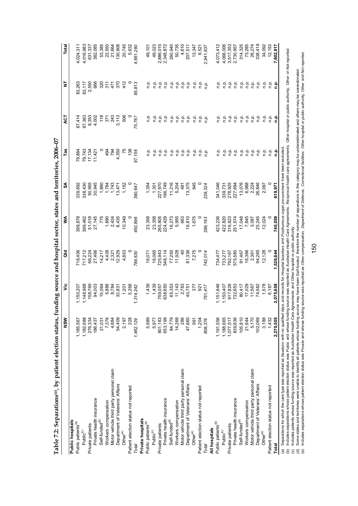| ا<br>د                                                                                 |
|----------------------------------------------------------------------------------------|
|                                                                                        |
| $+7.5$                                                                                 |
| ;                                                                                      |
| うい 一カナウムウム アクス りょうじょう<br>֧ׅ֧ׅ֧ׅ֧ׅ֧ׅ֧ׅ֧ׅ֧֧֚֚֚֚֚֚֚֚֚֚֚֚֚֚֚֚֚֚֚֚֚֚֚֚֚֚֚֚֚֡֕֜֜֓֜֜֜֜֜֜<br>í |
| ;<br>;                                                                                 |
| vationit offici                                                                        |
|                                                                                        |
|                                                                                        |
|                                                                                        |
| $\cos^{(a)}$ , by pat<br>l                                                             |
| ֚֚֬                                                                                    |
| i<br>l<br>í<br>)                                                                       |
| I<br>¢<br>I<br>֠                                                                       |
| į<br>ł<br>֚֕֕֡                                                                         |

| Table 7.2: Separations(a), by patient election status, funding source and hospital sector, states and territories, 2006-07 |           |                                                                                             |                   |          |                    |                  |            |                 |                            |
|----------------------------------------------------------------------------------------------------------------------------|-----------|---------------------------------------------------------------------------------------------|-------------------|----------|--------------------|------------------|------------|-----------------|----------------------------|
|                                                                                                                            | NSW       | ۊ                                                                                           | a<br>G            | ⋚        | న్                 | Tas              | 75         | ā               | Total                      |
| Public hospitals                                                                                                           |           |                                                                                             |                   |          |                    |                  |            |                 |                            |
| Public patients <sup>(b)</sup>                                                                                             | 1,185,567 | 1,150,207                                                                                   | 718,406           | 399,878  | 339,692            | 79,884           | 67,414     | 83,263          | 4,024,311                  |
| Public <sup>(c)</sup>                                                                                                      | 1,182,688 | 1,148,968                                                                                   | 717,212<br>66,224 | 399,462  | 338,430            |                  | 67,363     | 83,117<br>2,550 | 4,016,983                  |
| Private patients                                                                                                           | 276,334   | 158,769                                                                                     |                   | 51,018   |                    | 79,743<br>17,134 | 8,353      |                 |                            |
| Private health insurance                                                                                                   | 186,437   | 94,003                                                                                      | 27,466            | 27,145   | 50,955<br>30,945   | 11,421           | 4,002      | 666             | 631,337<br>382,085         |
| Self-funded <sup>(d)</sup>                                                                                                 | 21,031    | 15,064                                                                                      | 14,217            | 775      |                    |                  | 118        | 320             |                            |
| Workers compensation                                                                                                       | 7,376     | 5,886<br>8,784                                                                              | 4,438             | 1,890    | 1,784              | 494              | 371        | 311             | 53,385<br>22,550<br>21,664 |
| Motor vehicle third party personal claim                                                                                   | 4,884     |                                                                                             | 2,321             | 2,424    | 1,743              | 794              | 243        | 471             |                            |
| Department of Veterans' Affairs                                                                                            | 54,409    | 33,831                                                                                      | 12,929            | 8,435    | 13,471             | 4,350            | 3,113      | 370             | 130,908                    |
| Other <sup>(e)</sup>                                                                                                       | 2,197     | 1,201                                                                                       | 4,853             | 10,349   | 1,152              | 75               | 506        | 412             | 20,745                     |
| Patient election status not reported                                                                                       |           | 5,266                                                                                       |                   |          |                    | 138              |            |                 | 5,632                      |
| Total                                                                                                                      | 1,462,129 | 1,314,242                                                                                   | 784,630           | 450,896  | 390,647            | 97,156           | 75,767     | 85,813          | 4,661,280                  |
| Private hospitals                                                                                                          |           |                                                                                             |                   |          |                    |                  |            |                 |                            |
| Public patients <sup>(b)</sup>                                                                                             | 5,989     | 1,439                                                                                       | 16,071            | 23,358   | 1,354              | م.<br>P          | n.p.       | n.p.            | 49,101                     |
| Public <sup>(c)</sup>                                                                                                      | 5,977     | 1,439                                                                                       | 16,065            | 23,358   | 1,301              | n.p.             | n.p.       | ف<br>م          | 49,023                     |
| Private patients                                                                                                           | 801,183   | 759,057                                                                                     | 725,943           | 265,805  | 227,970<br>196,749 | n.p.             | ن<br>ء     | م.<br>n         |                            |
| Private health insurance                                                                                                   | 653,199   | 638,650                                                                                     | 548,114           | 224,429  |                    | ۹.               | ρ.<br>Γ    | ف<br>ء          | 2,886,015<br>2,348,872     |
| Self-funded <sup>(d)</sup>                                                                                                 | 84,779    |                                                                                             | 77,250            | 16,273   | 11,216             |                  |            |                 | 260,940                    |
| Workers compensation                                                                                                       | 14,268    | 65,353<br>11,143                                                                            | 11,928            | 5,955    | 5,204              | ن ۾<br>د         | 후 후        | 후 후<br>후 후      | 50,735                     |
| Motor vehicle third party personal claim                                                                                   | 286       | 2,783<br>40,751                                                                             | $\overline{a}$    | 663      | 481                | n.p.             | n.p.       | p.<br>D         | 4,610                      |
| Department of Veterans' Affairs                                                                                            | 47,660    |                                                                                             | 81,336            | 16,810   | 13,375             | q.q              | م.<br>P    | م.<br>P         | 207,511                    |
| Other <sup>(e)</sup>                                                                                                       | 991       | 377                                                                                         | 7,275             | 1,675    | 945                | n.p.             | م.<br>P    | o.<br>C         | 13,347                     |
| Patient election status not reported                                                                                       | 1.204     | 921                                                                                         |                   |          |                    | n.p.             | ن<br>ء     | ءِ<br>ت         | 6,521                      |
| Total                                                                                                                      | 808,376   | 761,417                                                                                     | 742,014           | 289, 163 | 229,324            | n.p.             | n.p.       | n.p.            | 2,941,637                  |
| All hospitals                                                                                                              |           |                                                                                             |                   |          |                    |                  |            |                 |                            |
| Public patients <sup>(b)</sup>                                                                                             | 1,191,556 | ,151,646                                                                                    | 734,477           | 423,236  | 341,046            | n.p.             | ρ.<br>Γ    | م.<br>n         | 4,073,412                  |
| Public(c)                                                                                                                  | 1,188,665 | 1,150,407                                                                                   | 733,277           | 422,820  | 339,731            |                  |            |                 | 4,066,006                  |
| Private patients                                                                                                           | 1,077,517 | 917,826                                                                                     | 792,167           | 316,823  | 278,925            |                  | ن في<br>في |                 | 3,517,352                  |
| Private health insurance                                                                                                   | 839,636   | 732,653                                                                                     | 575,580           | 251,574  | 227,694            | 후 후 후<br>후 후 후   | ف<br>أ     | 후 후 후<br>후 후 후  | 2,730,957                  |
| Self-funded <sup>(d)</sup>                                                                                                 | 105,810   | 80,417                                                                                      | 91,467            | 17,048   | 13,076             | ف<br>a           | ف<br>م     | ρ.<br>Γ         | 314,325                    |
| Workers compensation                                                                                                       | 21,644    | $17,029$<br>$11,567$<br>$74,582$                                                            | 16,366            | 7,845    | 6,988              | ρ.               | p.<br>D    | ف<br>م          | 73,285                     |
| Motor vehicle third party personal claim                                                                                   | 5,170     |                                                                                             | 2,361             | 3,087    | 2,224              | ن ۾<br>د         |            | ة في<br>أحداث   | 26,274                     |
| Department of Veterans' Affairs                                                                                            | 102,069   |                                                                                             | 94,265            | 25,245   | 26,846             |                  | ن في<br>في |                 | 338,419                    |
| Other <sup>(e)</sup>                                                                                                       | 3,188     | 1,578                                                                                       | 12,128            | 12,024   | 2,097              | q.               | n.p.       | م.<br>n         | 34,092                     |
| Patient election status not reported                                                                                       | 1,432     | 6,187                                                                                       |                   |          |                    | غ<br>e           |            |                 | 12, 153                    |
| Total                                                                                                                      | 2,270,505 | 2,075,659                                                                                   | 1,526,644         | 740,059  | 619,971            | <u>م</u>         | 음 훈        | 음               | 7,602,917                  |
| (a) Separations for which the care type was reported as Newborn with no qualified                                          |           | days, and records for Hospital boarders and Posthumous organ procurement have been excluded |                   |          |                    |                  |            |                 |                            |

(a) Separations for which the care type was reported as Nowborn with no qualified days, and recots for Hospital boarders and Posthurnous organ procurement have been excluded.<br>(c) Includes separations whose patient election In dudes separations whose patient election status was Public and whose funding source was reported as Australian Health Care Agreements, Reciprocal health care agreements, Other hospital or public authority, Other or Not

(c) Includes patients whose funding source was reported as *Australian Health Care Agreements* and *Other hospital or public authority* .

(d) Some states and territories were unable to identify all patients whose funding source may have been Self-funded. therefore the number of separations in this category may be underestimated and others may be overestimate (e) Includes separations whose patient election status was Private and whose funding source was reported as Other compensation. Department of Defence, Correctional facilities. Other hospital or public authority, Other and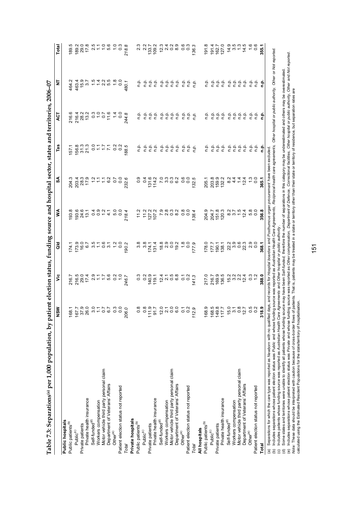| י<br>י                        |
|-------------------------------|
|                               |
|                               |
|                               |
|                               |
|                               |
|                               |
|                               |
|                               |
|                               |
|                               |
|                               |
|                               |
|                               |
|                               |
|                               |
|                               |
|                               |
|                               |
|                               |
|                               |
|                               |
|                               |
|                               |
| <b>1000 アルカランス アクライ クリギャク</b> |
|                               |
|                               |
|                               |
|                               |
|                               |
|                               |
|                               |
|                               |
|                               |
|                               |
|                               |
|                               |
|                               |
|                               |
|                               |
|                               |
|                               |
|                               |
| <b>STREET CAPPER</b>          |
|                               |
|                               |
|                               |
|                               |
|                               |
|                               |
|                               |
|                               |
|                               |
|                               |
| i                             |
|                               |
|                               |
| $\frac{1}{2}$                 |
|                               |
| $\frac{1}{2}$                 |
| יים<br>די                     |
|                               |
|                               |
|                               |
|                               |
|                               |
| ֕                             |
|                               |
|                               |
| ξ                             |
|                               |
| ֕֕֡                           |
| į                             |
| l                             |
|                               |
|                               |
|                               |
|                               |
|                               |
|                               |
|                               |
| l                             |
|                               |
|                               |
|                               |
| $\overline{\phantom{a}}$      |
|                               |
| l                             |
|                               |
|                               |
| '<br> <br>į                   |

|                                                                                                                                                                               | NSM                                                       | ۶Ë                                                                                                                     | aid   | ⋚                                                           | ઙ్    | Tas                                                                                                                                                                                                                                                                                                           | ā                                                                                                               | Ξ                  | Total                                                                                                                                                                                                                                                                            |
|-------------------------------------------------------------------------------------------------------------------------------------------------------------------------------|-----------------------------------------------------------|------------------------------------------------------------------------------------------------------------------------|-------|-------------------------------------------------------------|-------|---------------------------------------------------------------------------------------------------------------------------------------------------------------------------------------------------------------------------------------------------------------------------------------------------------------|-----------------------------------------------------------------------------------------------------------------|--------------------|----------------------------------------------------------------------------------------------------------------------------------------------------------------------------------------------------------------------------------------------------------------------------------|
| Public hospitals                                                                                                                                                              |                                                           |                                                                                                                        |       |                                                             |       |                                                                                                                                                                                                                                                                                                               |                                                                                                                 |                    |                                                                                                                                                                                                                                                                                  |
| Public patients <sup>(b)</sup>                                                                                                                                                |                                                           |                                                                                                                        |       | 193.8                                                       |       | 157.1                                                                                                                                                                                                                                                                                                         |                                                                                                                 | 464.2              | 189.                                                                                                                                                                                                                                                                             |
| Public <sup>(c)</sup>                                                                                                                                                         |                                                           |                                                                                                                        |       |                                                             |       |                                                                                                                                                                                                                                                                                                               |                                                                                                                 |                    |                                                                                                                                                                                                                                                                                  |
| Private patients                                                                                                                                                              |                                                           |                                                                                                                        |       |                                                             |       |                                                                                                                                                                                                                                                                                                               |                                                                                                                 |                    | 189.2<br>29.0                                                                                                                                                                                                                                                                    |
| Private health insurance                                                                                                                                                      |                                                           |                                                                                                                        |       |                                                             |       |                                                                                                                                                                                                                                                                                                               |                                                                                                                 |                    | 17.8                                                                                                                                                                                                                                                                             |
| Self-funded <sup>(d)</sup>                                                                                                                                                    |                                                           |                                                                                                                        |       |                                                             |       |                                                                                                                                                                                                                                                                                                               |                                                                                                                 |                    |                                                                                                                                                                                                                                                                                  |
| Workers compensation                                                                                                                                                          |                                                           |                                                                                                                        |       |                                                             |       |                                                                                                                                                                                                                                                                                                               |                                                                                                                 |                    |                                                                                                                                                                                                                                                                                  |
| Motor vehicle third party personal claim                                                                                                                                      |                                                           |                                                                                                                        |       |                                                             |       |                                                                                                                                                                                                                                                                                                               |                                                                                                                 |                    |                                                                                                                                                                                                                                                                                  |
| Department of Veterans' Affairs                                                                                                                                               |                                                           |                                                                                                                        |       |                                                             |       |                                                                                                                                                                                                                                                                                                               |                                                                                                                 |                    |                                                                                                                                                                                                                                                                                  |
| Other <sup>(e)</sup>                                                                                                                                                          |                                                           |                                                                                                                        |       |                                                             |       |                                                                                                                                                                                                                                                                                                               |                                                                                                                 |                    |                                                                                                                                                                                                                                                                                  |
| Patient election status not reported                                                                                                                                          |                                                           |                                                                                                                        |       |                                                             |       |                                                                                                                                                                                                                                                                                                               |                                                                                                                 |                    |                                                                                                                                                                                                                                                                                  |
| Total                                                                                                                                                                         |                                                           | $76.7$ $70.07$ $70.07$ $70.07$ $70.07$ $70.07$ $70.07$ $70.07$ $70.07$ $70.07$ $70.07$ $70.07$ $70.07$ $70.07$ $70.07$ |       |                                                             |       | $\begin{array}{l} 75.5 \\ 10.7 \\ 10.7 \\ 20.7 \\ 30.7 \\ 40.7 \\ 50.7 \\ 50.7 \\ 60.7 \\ 70.7 \\ 70.7 \\ 70.7 \\ 70.7 \\ 70.7 \\ 70.7 \\ 70.7 \\ 70.7 \\ 70.7 \\ 70.7 \\ 70.7 \\ 70.7 \\ 70.7 \\ 70.7 \\ 70.7 \\ 70.7 \\ 70.7 \\ 70.7 \\ 70.7 \\ 70.7 \\ 70.7 \\ 70.7 \\ 70.7 \\ 70.7 \\ 70.7 \\ 70.7 \\ 70$ | $744.744$ $744.744$ $744.744$ $744.744$ $744.744$ $744.744$ $744.744$ $744.744$                                 | 480.1              |                                                                                                                                                                                                                                                                                  |
| Private hospitals                                                                                                                                                             |                                                           |                                                                                                                        |       |                                                             |       |                                                                                                                                                                                                                                                                                                               |                                                                                                                 |                    |                                                                                                                                                                                                                                                                                  |
| Public patients <sup>(b)</sup>                                                                                                                                                | œ                                                         | $0.0007777087798773$                                                                                                   |       | $1.2$<br>$1.2$<br>$1.2$<br>$1.2$<br>$1.2$<br>$1.2$<br>$1.2$ |       | م.<br>E                                                                                                                                                                                                                                                                                                       |                                                                                                                 | ف<br>ء             | 23252<br>23252                                                                                                                                                                                                                                                                   |
| Public <sup>(c)</sup>                                                                                                                                                         |                                                           |                                                                                                                        |       |                                                             |       |                                                                                                                                                                                                                                                                                                               |                                                                                                                 |                    |                                                                                                                                                                                                                                                                                  |
| Private patients                                                                                                                                                              | $\ddot{\circ}$ $\ddot{\circ}$<br>$\frac{1}{11}$           |                                                                                                                        |       |                                                             |       | ن في<br>في                                                                                                                                                                                                                                                                                                    |                                                                                                                 |                    |                                                                                                                                                                                                                                                                                  |
| Private health insurance                                                                                                                                                      | $\overline{5}$                                            |                                                                                                                        |       |                                                             |       | ف<br>a                                                                                                                                                                                                                                                                                                        | 을 흘흘흘                                                                                                           | د<br>جدد ج         |                                                                                                                                                                                                                                                                                  |
| Self-funded <sup>(d)</sup>                                                                                                                                                    | 27000000000000                                            |                                                                                                                        |       |                                                             |       |                                                                                                                                                                                                                                                                                                               |                                                                                                                 |                    |                                                                                                                                                                                                                                                                                  |
| Workers compensation                                                                                                                                                          |                                                           |                                                                                                                        |       |                                                             |       | ن في<br>جا جا                                                                                                                                                                                                                                                                                                 |                                                                                                                 |                    |                                                                                                                                                                                                                                                                                  |
| Motor vehicle third party personal claim                                                                                                                                      |                                                           |                                                                                                                        |       |                                                             |       |                                                                                                                                                                                                                                                                                                               |                                                                                                                 |                    |                                                                                                                                                                                                                                                                                  |
| Department of Veterans' Affairs                                                                                                                                               |                                                           |                                                                                                                        |       |                                                             |       | ن في<br>في                                                                                                                                                                                                                                                                                                    | e e e e<br>e e e e                                                                                              | e e e e<br>e e e e |                                                                                                                                                                                                                                                                                  |
| Other <sup>(e)</sup>                                                                                                                                                          |                                                           |                                                                                                                        |       | vaca oo<br>vaca oo                                          |       |                                                                                                                                                                                                                                                                                                               |                                                                                                                 |                    |                                                                                                                                                                                                                                                                                  |
| Patient election status not reported                                                                                                                                          |                                                           |                                                                                                                        |       |                                                             |       |                                                                                                                                                                                                                                                                                                               |                                                                                                                 |                    | $\ddot{q}$ $\ddot{q}$ $\ddot{q}$ $\ddot{q}$ $\ddot{q}$ $\ddot{q}$ $\ddot{q}$ $\ddot{q}$ $\ddot{q}$ $\ddot{q}$ $\ddot{q}$ $\ddot{q}$ $\ddot{q}$ $\ddot{q}$ $\ddot{q}$ $\ddot{q}$ $\ddot{q}$ $\ddot{q}$ $\ddot{q}$ $\ddot{q}$ $\ddot{q}$ $\ddot{q}$ $\ddot{q}$ $\ddot{q}$ $\ddot{$ |
| Total                                                                                                                                                                         | 112.                                                      |                                                                                                                        |       | 138.4                                                       |       | $\begin{array}{ccc}\n\dot{a} & \dot{a} & \dot{c} \\ \dot{c} & \dot{c} & \dot{c}\n\end{array}$                                                                                                                                                                                                                 | $\begin{array}{ccc}\n\mathbf{a} & \mathbf{b} & \mathbf{c} \\ \mathbf{c} & \mathbf{c} & \mathbf{c}\n\end{array}$ | e e e<br>c c e     |                                                                                                                                                                                                                                                                                  |
| All hospitals                                                                                                                                                                 |                                                           |                                                                                                                        |       |                                                             |       |                                                                                                                                                                                                                                                                                                               |                                                                                                                 |                    |                                                                                                                                                                                                                                                                                  |
| Public patients <sup>(b)</sup>                                                                                                                                                | တ္<br>168                                                 |                                                                                                                        |       |                                                             |       | ف<br>ء                                                                                                                                                                                                                                                                                                        |                                                                                                                 | ن<br>ء             |                                                                                                                                                                                                                                                                                  |
| Public(c)                                                                                                                                                                     |                                                           | 217.0<br>216.7<br>198.5                                                                                                |       | 204.7<br>204.7<br>205.7                                     |       |                                                                                                                                                                                                                                                                                                               | ë ë ë ë<br>ë ë ë ë                                                                                              |                    |                                                                                                                                                                                                                                                                                  |
| Private patients                                                                                                                                                              |                                                           |                                                                                                                        |       |                                                             |       | 후 후 후<br>후 후 후                                                                                                                                                                                                                                                                                                |                                                                                                                 |                    |                                                                                                                                                                                                                                                                                  |
| Private health insurance                                                                                                                                                      |                                                           |                                                                                                                        |       |                                                             |       |                                                                                                                                                                                                                                                                                                               |                                                                                                                 | 후 후후<br>후후         |                                                                                                                                                                                                                                                                                  |
| Self-funded <sup>(d)</sup>                                                                                                                                                    | $188.8$ $149.8$ $15.0$ $16.8$ $16.8$ $16.8$ $16.8$ $16.8$ | 15 3 3 4<br>15 3 9 4<br>15 9 1                                                                                         |       |                                                             |       |                                                                                                                                                                                                                                                                                                               |                                                                                                                 |                    |                                                                                                                                                                                                                                                                                  |
| Workers compensation                                                                                                                                                          |                                                           |                                                                                                                        |       | 8 3 7 5 4<br>8 4 7 8 9                                      |       |                                                                                                                                                                                                                                                                                                               |                                                                                                                 |                    |                                                                                                                                                                                                                                                                                  |
| Motor vehicle third party personal claim                                                                                                                                      |                                                           |                                                                                                                        |       |                                                             |       |                                                                                                                                                                                                                                                                                                               |                                                                                                                 |                    |                                                                                                                                                                                                                                                                                  |
| Department of Veterans' Affairs                                                                                                                                               |                                                           |                                                                                                                        |       |                                                             |       | 후 후 후 후<br>후 후 후 후                                                                                                                                                                                                                                                                                            | e e e e<br>e e e e                                                                                              |                    |                                                                                                                                                                                                                                                                                  |
| Other <sup>(e)</sup>                                                                                                                                                          | 5.2<br>2.0                                                | 3 1<br>0 1                                                                                                             |       | 5.0<br>5.0                                                  |       |                                                                                                                                                                                                                                                                                                               |                                                                                                                 |                    |                                                                                                                                                                                                                                                                                  |
| Patient election status not reported                                                                                                                                          |                                                           |                                                                                                                        |       |                                                             |       | ن ۾<br>ح                                                                                                                                                                                                                                                                                                      | خ خ<br>ج ج                                                                                                      | 후 후<br>후 후         |                                                                                                                                                                                                                                                                                  |
| Total                                                                                                                                                                         | တ္<br>$\frac{8}{3}$                                       | 388.0                                                                                                                  | 368.1 | 356.8                                                       | 365.1 | ءِ<br>ء                                                                                                                                                                                                                                                                                                       | e.<br>C                                                                                                         | e.<br>C            | 355.1                                                                                                                                                                                                                                                                            |
| (a) Separations for which the care type was reported as Newborn with no qualified days, and records for Hospital boarders and Posthumous organ procurement have been excluded |                                                           |                                                                                                                        |       |                                                             |       |                                                                                                                                                                                                                                                                                                               |                                                                                                                 |                    |                                                                                                                                                                                                                                                                                  |

In dudes separations whose patient election status was Public and whose funding source was reported as Australian Health Care Agreements, Reciprocal health care agreements. Other hospital or public authority, Other or Not

(c) Includes patients whose funding source was reported as *Australian Health Care Agreements* and *Other hospital or public authority* .

(d) Some states and territories were unable to identify all patients whose funding source may have been Self-tunded, therefore the number of separations in this category may be underestimated and others may be overestimate (e) Includes separations whose patient election status was Private and whose funding source was reported as Other compensation, Department of Defence, Correctional facilities, Other hospital or public authority, Other and

(b) Includes separations whose patient election status was P*ublic* and whose funding source was reported a Au*stralian Health Care Agreements.* Re*ciprocal health care agreements, Other hospital or public authority, Other* Note: These data should be interpreted with caution because of cross-border flows of patients. That is, patients may be treated in a state or territory other than their state or territory of residence, but separation rates calculated using the Estimated Resident Populations for the state/territory of hospitalisation.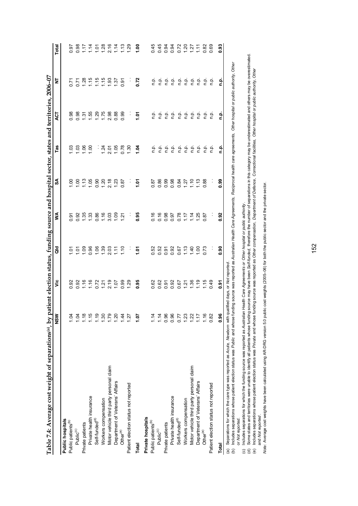| Table 7.4: Average cost weight of separations(a), by patient election status, funding source and hospital sector, states and territories, 2006-07                                                                                                                                                             |                  |                                        |                        |                 |                                |                                           |                    |                                                    |                           |
|---------------------------------------------------------------------------------------------------------------------------------------------------------------------------------------------------------------------------------------------------------------------------------------------------------------|------------------|----------------------------------------|------------------------|-----------------|--------------------------------|-------------------------------------------|--------------------|----------------------------------------------------|---------------------------|
|                                                                                                                                                                                                                                                                                                               | NSW              | ۊ                                      | ă                      | ≸               | ઙ∡                             | Tas                                       | ACT                | È                                                  | Total                     |
| Public hospitals                                                                                                                                                                                                                                                                                              |                  |                                        |                        |                 |                                |                                           |                    |                                                    |                           |
| Public patients <sup>(b)</sup>                                                                                                                                                                                                                                                                                | 1.04             | 0.92                                   |                        | 0.91            | $\frac{8}{1}$                  | ප<br>                                     | 0.98               | 0.71                                               | 0.97                      |
| Public <sup>(c)</sup>                                                                                                                                                                                                                                                                                         | 1.04             |                                        |                        | 0.92            | 1,00                           |                                           | 0.98               |                                                    |                           |
| Private patients                                                                                                                                                                                                                                                                                              |                  |                                        |                        | 1.35            |                                | $\frac{8}{1}$ $\frac{8}{1}$ $\frac{8}{1}$ |                    |                                                    |                           |
| Private health insurance                                                                                                                                                                                                                                                                                      | $1.18$<br>$1.15$ |                                        |                        | 1.33            | $\frac{2}{1}$ . 85             |                                           |                    |                                                    |                           |
| Self-funded <sup>(d)</sup>                                                                                                                                                                                                                                                                                    | 1.19             | 8 3 4 5 6 7 7 9 7<br>8 4 5 7 7 9 7 9 7 | $5598893$<br>$5598977$ | 0.86            | 0.90                           |                                           | $7.588$<br>$7.758$ | $7,88,66,66$<br>$0,7,6,66$<br>$0,7,7,6$<br>$1,6,6$ | 887788672880777778        |
| Workers compensation                                                                                                                                                                                                                                                                                          | 1.30             |                                        |                        |                 |                                |                                           |                    |                                                    |                           |
| Motor vehicle third party personal claim                                                                                                                                                                                                                                                                      | 1.79             |                                        |                        | $1.16$<br>3.03  | $1.\overline{2}.\overline{18}$ |                                           | 2.98               | 1.93                                               |                           |
| Department of Veterans' Affairs                                                                                                                                                                                                                                                                               | 1.20             |                                        | 1.11                   | 1.09            | 1.23                           | $7205$<br>$7205$                          | 0.88               | 1.37                                               |                           |
| Other <sup>(e)</sup>                                                                                                                                                                                                                                                                                          | 1.44             | 0.99                                   | $\frac{6}{11}$         | $\overline{21}$ | 0.87                           | 0.78                                      | 0.99               | 0.91                                               |                           |
| Patient election status not reported                                                                                                                                                                                                                                                                          | 1.27             | 1.29                                   | ÷,                     | Ĩ,              | ÷,                             | 1.30                                      | Ĩ,                 | ÷,                                                 |                           |
| Total                                                                                                                                                                                                                                                                                                         | 70.1             | 0.95                                   | 1.07                   | 0.95            | 5.<br>1.                       | 1.04                                      | $\frac{5}{1}$      | 0.72                                               | $rac{0}{1}$               |
| Private hospitals                                                                                                                                                                                                                                                                                             |                  |                                        |                        |                 |                                |                                           |                    |                                                    |                           |
| Public patients <sup>(b)</sup>                                                                                                                                                                                                                                                                                | 1.14             | 0.62                                   | 0.52                   | 0.16            | 0.87                           | n.p.                                      | n.p.               | ρ.<br>Γ                                            | 0.45                      |
| Public <sup>(c)</sup>                                                                                                                                                                                                                                                                                         | 1.14             | 0.62                                   | 0.52                   | 0.16            | 0.86                           | نې<br>c                                   | ې<br>E             | n.p.                                               | 0.45                      |
| Private patients                                                                                                                                                                                                                                                                                              | 0.96             | 0.91                                   | 0.91                   | 0.98            | 0.99                           | ف.<br>E                                   | ې<br>E             | ρ.<br>Γ                                            | 0.94                      |
| Private health insurance                                                                                                                                                                                                                                                                                      | 0.96             | 0.92                                   | 0.92                   | 0.97            | 0.98                           | ف.<br>n                                   | ف<br>1             | ρ.<br>Γ                                            |                           |
| Self-funded <sup>(d)</sup>                                                                                                                                                                                                                                                                                    | 0.77             | 0.67                                   | 0.67                   | 0.78            | 0.84                           |                                           | ف<br>ع             |                                                    | <b>PRODUCT</b><br>PRODUCT |
| Workers compensation                                                                                                                                                                                                                                                                                          | 1.23             | 1.36                                   | 1.40                   | $\frac{1}{2}$   | 1.27                           | 후 후<br>후 후                                | ف<br>ء             | 후 후                                                |                           |
| Motor vehicle third party personal claim                                                                                                                                                                                                                                                                      | 1.22             |                                        |                        | 1.25            | 1.10                           |                                           | ن<br>ء             |                                                    |                           |
| Department of Veterans' Affairs                                                                                                                                                                                                                                                                               | 1.17             | 1.19                                   | 1.00                   |                 | 1.13                           | 후 후<br>후 후                                | ن<br>ء             | 후 후<br>후 후                                         |                           |
| Other <sup>(e)</sup>                                                                                                                                                                                                                                                                                          | 1.16             | 1.15                                   | 0.73                   | 0.87            | 0.88                           | نې<br>D                                   | غ<br>c             | ف<br>1                                             | 0.82                      |
| Patient election status not reported                                                                                                                                                                                                                                                                          | 0.82             | 0.49                                   | ÷                      | Į.              | ł,                             | ن<br>ء                                    | ؋                  | 흔                                                  | 0.69                      |
| Total                                                                                                                                                                                                                                                                                                         | 0.96             | 0.91                                   | 0.90                   | 0.92            | <b>es</b> 0                    | غ                                         | م<br>a             | ءِ<br>ء                                            | 0.93                      |
| (h) Includes separations whose patient election status was Public and whose funding sources was reading as Australian Haalin Care Agreements and Cherophorical thorney of the authority Other<br>Separations for which the care type was reported as Acute, Newborn with qualified days, or Not reported<br>@ |                  |                                        |                        |                 |                                |                                           |                    |                                                    |                           |

(b) Includes separations whose patient election status was Public and whose funding source was reported as Australian Health Care Agreements, Reciprocal health care agreements, Other hospital or public authority, Other ויט, טוו Vojutai ui puw care agreen ∤ sew election ions whose patient or Not reported. or *Not reported.* (b) Includes sepa

(c) Includes separations for which the funding source was reported as *Australian Health Care Agreements or Other hospital or public authority* .

(c) Includes separations for which the funding source was reported as *Australian Health Care Agreements or Other* hospital or *public authority*.<br>(d) Some states and territories were unable to identify all patients whose (d) Some states and territories were unable to identify all patients whose funding source may have been Self-funded, therefore the number of separations in this category may be underestimated and others may be overestimate

(e) Includes separations whose patient election status was Private and whose funding source was reported as Other compensation, Department of Defence, Correctional facilities, Other hospital or public authority, Other and Mo*t reported .*<br>Mot*e: A* verage cost weights have been calculated using AR-DRG version 5.0 public cost weights (2005–06) for both the public sector and the private sector. and *Not reported* .

*Note:* Average cost weights have been calculated using AR-DRG version 5.0 public cost weights (2005–06) for both the public sector and the private sector.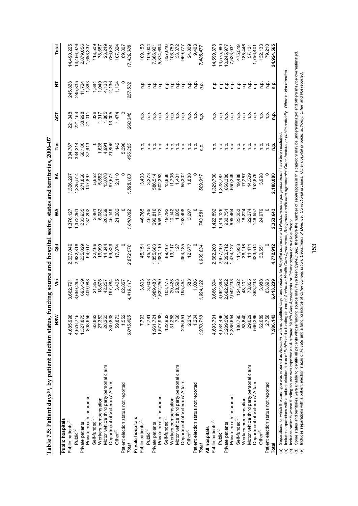| $\frac{1}{2}$            |
|--------------------------|
|                          |
|                          |
| ֚֞                       |
|                          |
|                          |
|                          |
|                          |
|                          |
|                          |
|                          |
|                          |
|                          |
|                          |
| くしくし                     |
|                          |
|                          |
|                          |
| こうしゅうちょう ちょう りょうこうり うえです |
|                          |
|                          |
|                          |
|                          |
|                          |
|                          |
|                          |
|                          |
|                          |
|                          |
|                          |
|                          |
|                          |
|                          |
|                          |
|                          |
|                          |
|                          |
|                          |
|                          |
|                          |
|                          |
|                          |
|                          |
|                          |
|                          |
|                          |
|                          |
|                          |
|                          |
|                          |
| davci                    |
| ŗ                        |
|                          |
|                          |
| l                        |
|                          |
| I<br>י                   |
| J                        |
| Ì                        |
| 1<br>l                   |
| ť<br>l                   |
| ť<br>I<br>l              |

| Table 7.5: Patient days(a), by patient election status, funding source and hospital sector, states and territories, 2006-07 |                        |                        |           |           |                                                                                                  |         |                |                |            |
|-----------------------------------------------------------------------------------------------------------------------------|------------------------|------------------------|-----------|-----------|--------------------------------------------------------------------------------------------------|---------|----------------|----------------|------------|
|                                                                                                                             | NSW                    | ۊ                      | ਰ<br>ਹ    | ⋚         | SA                                                                                               | Tas     | হ              | ₫              | Total      |
| Public hospitals                                                                                                            |                        |                        |           |           |                                                                                                  |         |                |                |            |
| Public patients <sup>(b)</sup>                                                                                              | 4,685,998              | 3,662,791              | 2,637,049 | ,376,127  | 1,326,297                                                                                        | 334,787 | 221,348        | 245,828        | 14,490,225 |
| Public(c)                                                                                                                   | 4,676,715              | 3,659,265              | 2,632,318 | 1,372,361 | 1,325,514                                                                                        | 334,314 | 221,154        | 245,335        | 14,466,976 |
| Private patients                                                                                                            | 1,327,875              | 693,469                | 235,029   | 233,935   | 271,866                                                                                          | 66,180  | 38,998         | 11,704         | 2,879,056  |
| Private health insurance                                                                                                    | 808,656                | 409,988                | 94,017    | 137,292   | 147,897                                                                                          | 37,613  | 21,011         | 1,863          | 1,658,337  |
| Self-funded <sup>(d)</sup>                                                                                                  |                        | 21,357                 | 22,466    | 3,461     | 5,652                                                                                            |         | 326            | 1,384          | 118,509    |
| Workers compensation                                                                                                        | 63,863<br>27,382       | 18,678                 | 16,999    | 6,082     | 5,552                                                                                            | 1,628   | 1,317          | 1,049          | 78,687     |
| Motor vehicle third party personal claim                                                                                    | 28,263                 | 42,257                 | 14,344    | 20,669    | 13,078                                                                                           | 4,991   | 1,865          |                | 23,249     |
| Department of Veterans' Affairs                                                                                             | 339,838                | 197,784                | 69,329    | 45,149    | 97,577                                                                                           | 21,806  | 13,005         | 4,108<br>2,136 | 786,624    |
| Other <sup>(e)</sup>                                                                                                        | 59,873                 | 3,405                  | 17,874    | 21,282    | 2,110                                                                                            | 142     | 1,474          | 1,164          | 107,324    |
| Patient election status not reported                                                                                        | 1,552                  | 62,857                 |           |           |                                                                                                  | 5,398   |                |                | 69,807     |
| Total                                                                                                                       | 6,015,425              | 4,419,117              | 2,872,078 | 1,610,062 | 1,598,163                                                                                        | 406,365 | 260,346        | 257,532        | 17,439,088 |
| Private hospitals                                                                                                           |                        |                        |           |           |                                                                                                  |         |                |                |            |
| Public patients <sup>(b)</sup>                                                                                              | 7,793                  | 3,603                  | 45,151    | 46,765    | 3,403                                                                                            | ن<br>C  | ءِ<br>ت        | ءِ<br>ح        | 109,153    |
| Public <sup>(c)</sup>                                                                                                       | 7,781                  | 3,603                  | 45,151    | 46,765    | 3,273                                                                                            | n.p.    | ρ.<br>Π        | ءِ<br>ت        | 109,004    |
| Private patients                                                                                                            |                        | 1,989,483              | 1,855,683 | 696,816   | 586,514                                                                                          | n.p.    | م.<br>n        | n.p.           | 7,366,921  |
| Private health insurance                                                                                                    | 1,961,721<br>1,577,998 | 1,632,250              | 1,380,110 | 558,172   | 502,352                                                                                          | n.p.    | نې<br>D        | n.p.           | 5,874,694  |
| Self-funded <sup>(d)</sup>                                                                                                  | 122,932                | 103,175                | 89,467    | 19,792    | 13,836                                                                                           | n.p.    | n.p.           | n.p.           | 357,010    |
| Workers compensation                                                                                                        | 31,258                 | 29,423                 | 19,117    | 10,142    | 11,705                                                                                           | ρ.<br>Γ | n.p.           | n.p.           | 106,759    |
| Motor vehicle third party personal claim                                                                                    | 766                    | 28,598                 | 127       | 1,605     | 1,431                                                                                            | n.p.    | n.p.           | ρ.<br>Γ        | 33,872     |
| Department of Veterans' Affairs                                                                                             | 226,551                | 195,454                | 354,185   | 103,408   | 55,302                                                                                           | n.p.    | م.<br>n        | ρ.             | 969,777    |
| Other <sup>(e)</sup>                                                                                                        | 2,216                  | 583                    | 12,677    | 3,697     | 1,888                                                                                            | ن<br>غ  | ن<br>ء         | ءِ<br>ت        | 24,809     |
| Patient election status not reported                                                                                        | 1,204                  | 1,036                  |           |           |                                                                                                  | م<br>ء  | n.p.           | نې<br>D        | 9,403      |
| Total                                                                                                                       | 1,970,718              | 1,994,122              | 1,900,834 | 743,581   | 589,917                                                                                          | n.p.    | n.p.           | n.p.           | 7,485,477  |
| All hospitals                                                                                                               |                        |                        |           |           |                                                                                                  |         |                |                |            |
| Public patients <sup>(b)</sup>                                                                                              | 4,693,791              | 3,666,394              | 2,682,200 | 1,422,892 | 1,329,700                                                                                        | n.p.    | نې<br>د        | ن<br>غ         | 14,599,378 |
| Public(c)                                                                                                                   | 4,684,496              | 3,662,868              | 2,677,469 | 1,419,126 | 1,328,787                                                                                        | n.p.    | ρ.<br>Γ        | n.p.           | 14,575,980 |
| Private patients                                                                                                            | 3,289,596              | 2,682,952<br>2,042,238 | 2,090,712 | 930,751   | 858,380                                                                                          | n.p.    | n.p.           | n.p.           | 10,245,977 |
| Private health insurance                                                                                                    | 2,386,654              |                        | 1,474,127 | 695,464   | 650,249                                                                                          | n.p.    | n.p.           | $\frac{1}{2}$  | 7,533,031  |
| Self-funded <sup>(d)</sup>                                                                                                  | 186,795                | 124,532                | 111,933   | 23,253    | 19,488                                                                                           | م.<br>P | n.p.           | n.p.           | 475,519    |
| Workers compensation                                                                                                        | 58,640                 | 48,101                 | 36,116    | 16,224    | 17,257                                                                                           | n.p.    |                |                | 185,446    |
| Motor vehicle third party personal claim                                                                                    | 29,029                 | 70,855                 | 14,471    | 22,274    | 14,509                                                                                           | n.p.    | e e e<br>c c c | 후 후 후<br>후 후 후 | 57,121     |
| Department of Veterans' Affairs                                                                                             | 566,389                | 393,238                | 423,514   | 148,557   | 152,879                                                                                          | n.p.    |                |                | 1,756,401  |
| Other <sup>(e)</sup>                                                                                                        | 62,089                 | 3,988                  | 30,551    | 24,979    | 3,998                                                                                            | n.p.    | n.p.           | م<br>ء         | 132,133    |
| Patient election status not reported                                                                                        | 2,756                  | 63,893                 |           |           |                                                                                                  | م<br>ء  | n.p.           | م<br>ء         | 79,210     |
| Total                                                                                                                       | 7,986,143              | 6,413,239              | 4,772,912 | 2,353,643 | 2,188,080                                                                                        | م.<br>E | نو<br>غ        | ؋<br>c         | 24,924,565 |
| (a) Separations for which the care type was reported as Newborn with no qualifi-                                            |                        |                        |           |           | ied days, and records for Hospital boarders and Posthumous organ procurement have been excluded. |         |                |                |            |

(b) Includes separations with a patient election status of Public and a funding source of Australian Health Care Agreements, Reciprocal health care agreements. Other hospital or public authority. Other on Not reported.

(c) Includes patients whose funding source was reported as *Australian Health Care Agreements* or *Other hospital or public authority.*

(b) Includes separations with a patient election status of *Public* and a funding source of Au*stralian Health Care Agreements, Reciprocal health care agreements, Other hospital or public authority, Other or Not reported* (d) Some states and territories were unable to identify all patients whose funding source may have been Self-funded; therefore the number of separations in this category may be underestimated and others may be overestimate

(e) Includes separations with a patient election status of Private and a funding source of Other compensation, Department of Defence, Correctional facilities, Other hospital or public authority, Other and Not reported.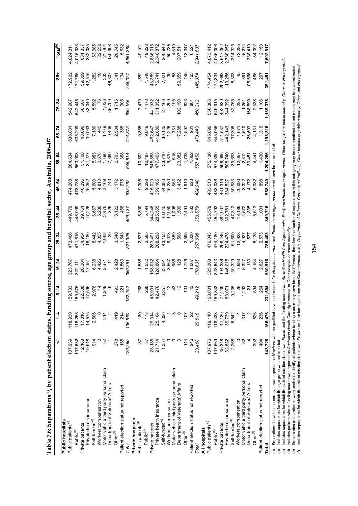| l                                                |
|--------------------------------------------------|
|                                                  |
|                                                  |
| くり Instratory できり created うらうり りりそうりょう うまずす ファッキ |
|                                                  |
|                                                  |
| l                                                |
|                                                  |
|                                                  |
| <br> <br> <br> <br>                              |
|                                                  |
|                                                  |
|                                                  |
|                                                  |
|                                                  |
|                                                  |
| ١                                                |
|                                                  |
|                                                  |
|                                                  |
|                                                  |
|                                                  |
|                                                  |
|                                                  |
|                                                  |
|                                                  |
|                                                  |
|                                                  |
|                                                  |
|                                                  |
|                                                  |
|                                                  |
|                                                  |
|                                                  |
|                                                  |
|                                                  |
| $\cos^{(a)}$ , by pat                            |
|                                                  |
|                                                  |
|                                                  |
|                                                  |
| i<br>į                                           |
|                                                  |
|                                                  |
| l                                                |
|                                                  |
|                                                  |
| I                                                |
|                                                  |
| l                                                |
| l<br>ŕ                                           |
| I<br>֕                                           |
|                                                  |

|                                                                                                    | ⊽                | $\overline{1}$    | $5 - 14$                                                                                    | $15 - 24$                   | $25 - 34$                     | $35 - 44$                                                        | 45-54                   | 55-64                                                    | $65 - 74$                | $75 - 84$                           | $\frac{1}{6}$                       | Total <sup>(b)</sup>                  |
|----------------------------------------------------------------------------------------------------|------------------|-------------------|---------------------------------------------------------------------------------------------|-----------------------------|-------------------------------|------------------------------------------------------------------|-------------------------|----------------------------------------------------------|--------------------------|-------------------------------------|-------------------------------------|---------------------------------------|
| Public hospitals                                                                                   |                  |                   |                                                                                             |                             |                               |                                                                  |                         |                                                          |                          |                                     |                                     |                                       |
| Public patients <sup>(c)</sup>                                                                     | 107,939          | 118,930           | 59,733                                                                                      | 323,767                     | 173,466                       | 149,779                                                          | 174,208                 | 564,634                                                  | 336,03                   | 542,907                             | 172,902                             | 4,024,311                             |
| Public <sup>(d)</sup>                                                                              | 107,632          | 118,255           | 159,575                                                                                     | 322,111                     |                               | 448,999                                                          | 473,738                 | 563,903                                                  | 635,209                  | 542,445                             | 172,786                             | 4,016,983                             |
| Private patients                                                                                   | 12,163           | 17,816            | 22,338                                                                                      |                             | 471,615<br>34,954             |                                                                  | 46,296                  |                                                          | 48,890                   | 50,607                              | 59,309                              | 631,337                               |
| Private health insurance                                                                           | 10,918           | 14,575            | 17,595                                                                                      | 26,304<br>17,151            | 16,180                        | 39,761<br>17,226                                                 | 25,362                  | 51,108<br>31,277                                         | 30,063                   | 33,040                              | 42,515                              | 382,085                               |
| Self-funded <sup>(e)</sup>                                                                         | 914              | 2,506             | 2,978                                                                                       |                             |                               |                                                                  |                         |                                                          | 7,180                    |                                     | 1,282                               |                                       |
| Workers compensation                                                                               |                  | $\circ$           |                                                                                             |                             |                               |                                                                  |                         |                                                          | $rac{4}{4}$              |                                     |                                     |                                       |
| Motor vehicle third party personal claim                                                           | 52               | $314$<br>$2$      | 1,249                                                                                       | 6,238<br>4,426<br>5,671     | 8,442<br>4,855<br>4,068       | 6,667<br>5,236<br>3,476                                          | 5,603<br>4,810<br>2,469 |                                                          |                          |                                     | 33 <sup>2</sup>                     |                                       |
| Department of Veterans' Affairs                                                                    |                  |                   |                                                                                             |                             |                               | $\frac{32}{5}$                                                   | 740                     |                                                          | 1,179<br>9,405           | 5,592<br>76<br>1,056<br>66,709      | 46,307                              | 53,385<br>22,550<br>21,664<br>130,908 |
| Other <sup>(f)</sup>                                                                               | 278              | 419               | 493                                                                                         | 2,428<br>1,560<br>360,281   |                               | 3,122                                                            | 3,172                   | 5,983<br>2,5796<br>5,796<br>5,703<br>5,703               | 2,534                    | 1,715                               | र्दे                                | 20,745                                |
| Patient election status not reported                                                               | 158              | 214               | 221                                                                                         |                             |                               | $rac{6}{4}$                                                      |                         | 36                                                       | 38                       | 305                                 | Ċ,                                  | 5,632                                 |
| Total                                                                                              | 120,260          | 136,960           | 182,292                                                                                     |                             | 3,540<br>1,543<br>521,305     | 499,137                                                          | 275<br>533,792          | 646,814                                                  | 724,873                  | 689,166                             | 246,377                             | 4,661,280                             |
| Private hospitals                                                                                  |                  |                   |                                                                                             |                             |                               |                                                                  |                         |                                                          |                          |                                     |                                     |                                       |
| Public patients <sup>(c)</sup>                                                                     | 55               | 180               | 268                                                                                         | 1,536                       | 2,577                         | 5,800                                                            | 9,305                   | 10,502                                                   | 9,865                    |                                     | 1,552                               | 49,101                                |
| Public <sup>(d)</sup>                                                                              | 75               | 178               | 268                                                                                         |                             | 2,565                         | 5,794                                                            | 9,298                   |                                                          | 9,846                    | 7,479<br>7,470<br>441,932<br>41,352 |                                     | 49,023                                |
| Private patients                                                                                   |                  | 29,314            |                                                                                             |                             |                               |                                                                  |                         |                                                          |                          |                                     |                                     |                                       |
| Private health insurance                                                                           | 23,185<br>21,714 | 25,164            | 48,901<br>42,476                                                                            | 1,532<br>168,032<br>128,864 | 263,491<br>208,298            | 344,246<br>285,555                                               | 415,020<br>359,165      |                                                          | 462,647<br>412,080       |                                     |                                     | 2,886,015<br>2,348,872                |
| Self-funded <sup>(e)</sup>                                                                         | 1,354            | 4,036             | 6,257                                                                                       | 33,091                      |                               |                                                                  |                         | 10,487<br>545,888<br>477,463<br>477,463<br>33,779<br>516 | 30,125                   | 27,163<br>209                       | 1,548<br>143,359<br>76,741<br>7,021 | 260,940                               |
| Workers compensation                                                                               | $\circ$          |                   |                                                                                             | 3,567                       |                               |                                                                  |                         |                                                          |                          |                                     |                                     |                                       |
| Motor vehicle third party personal claim                                                           | $\circ$          | <b>∢ ω ο</b>      |                                                                                             | 656                         |                               |                                                                  | 34,380<br>15,280<br>853 |                                                          |                          | $\frac{5}{2}$                       |                                     |                                       |
| Department of Veterans' Affairs                                                                    |                  |                   |                                                                                             | 128                         | 43,158<br>8,073<br>859<br>508 | 40,645<br>12,950<br>1,509<br>1,509                               | 3,432                   | 23,082                                                   | 17,288                   | 102,190                             | 59,359                              | 50,735<br>4,610<br>207,511            |
| Other <sup>(f)</sup>                                                                               | 114              | 107               | $\frac{2}{10}$                                                                              | 1,726                       | 2,595                         | 2,491                                                            | 1,910                   | 1,738<br>1,062                                           | 1,597                    | $\frac{2}{3}$                       | $\frac{45}{3}$                      | 13,347                                |
| Patient election status not reported                                                               | 246              | 22                |                                                                                             | 1,067                       | 1,030                         | 53                                                               | 623                     |                                                          | $\ddot{\mathrm{g}}$      | $\overline{8}$                      | $\frac{6}{5}$                       | 6,521                                 |
| Total                                                                                              | 23,468           | 29,516            | 49,212                                                                                      | 170,635                     | 267,098                       | 350,579                                                          | 424,948                 | 557,452                                                  | 473,443                  | 450,212                             | 145,074                             | 2,941,637                             |
| All hospitals                                                                                      |                  |                   |                                                                                             |                             |                               |                                                                  |                         |                                                          |                          |                                     |                                     |                                       |
| Public patients <sup>(c)</sup>                                                                     | 107,976          | 119,110           | 60,001                                                                                      | 325,303                     | 176,043                       | 55,579                                                           | 483,513                 | 575,136                                                  | 545,896                  | 550,386                             | 174,454                             | 4,073,412                             |
| Public <sup>(d)</sup>                                                                              | 107,669          | 118,433           | 159,843                                                                                     | 323,643                     | 474,180                       | 454,793                                                          | 183,036                 | 574,390                                                  | 645,055                  | 549,915                             | 174,334                             | 4,066,006                             |
| Private patients                                                                                   | 35,348           | 47,130            | 71,239                                                                                      | 194,336                     | 298,445                       | 384,007                                                          | 461,316                 | 596,996                                                  | 511,537                  | 492,539                             | 202,668                             | 3,517,352                             |
| Private health insurance                                                                           | 32,632           | 39,739            | 60,071                                                                                      | 146,015                     | 224,478                       | 302,781                                                          | 384,527                 | 508,740                                                  | 442,143                  | 344,392                             | 119,256                             | 2,730,957                             |
| Self-funded <sup>(e)</sup>                                                                         | 2,268            | 6,542             | 9,235                                                                                       | 39,329                      | 51,600                        | 47,312                                                           | 39,983                  | 39,693                                                   | 37,305                   | 32,755                              | 8,303                               | 314,325                               |
| Workers compensation                                                                               | $\circ$          | $\overline{a}$    | 26                                                                                          | 7,993<br>6,327              | $12,928$<br>4,927             |                                                                  | 20,090<br>3,322         | $\begin{array}{c} 12,057 \\ 2,312 \\ 30,451 \end{array}$ |                          |                                     | 45                                  | 73,285                                |
| Motor vehicle third party personal claim                                                           | 52               | 317               | 1,292                                                                                       |                             |                               |                                                                  |                         |                                                          |                          | 285<br>1,251<br>168,899             | $\overline{39}$                     | 26,274                                |
| Department of Veterans' Affairs                                                                    |                  | $\mathbf{\Omega}$ | <u>ير</u>                                                                                   | 139                         | 537                           | $\begin{array}{c} 18,186 \\ 4,572 \\ 1,835 \\ 5,613 \end{array}$ | 4,172                   |                                                          | 1,671<br>1,510<br>26,693 |                                     | 105,666                             | 338,419                               |
| Other <sup>(f)</sup>                                                                               | 392              | 526               | 594                                                                                         | 4,154                       | 6,135<br>2,573                |                                                                  | 5,082                   | 4,441                                                    | 4,13                     | 2,538                               | 486                                 | 34,092                                |
| Patient election status not reported                                                               | 404              | 236               | 264                                                                                         | 2,627                       |                               | 1,001                                                            | 898                     | $-430$                                                   | 1,316                    | 1,106                               | 297                                 | 12,153                                |
| Total                                                                                              | 143,728          | 166,476           | 231,504                                                                                     | 530,916                     | 788,403                       | 849,716                                                          | 958,740                 | ,204,266                                                 | ,198,316                 | 1,139,37                            | 391,45                              | 7,602,917                             |
| (a) Separations for which the care type was reported as Newborn with no qualified<br>$\frac{1}{2}$ |                  |                   | days, and records for Hospital boarders and Posthumous organ procurement have been excluded |                             |                               |                                                                  |                         |                                                          |                          |                                     |                                     |                                       |

(b) Includes separations for which the age group was not reported.

(c) Includes separations for which the patient election status was Public and the funding source was Australian Health Care Agreements. Reciprocal health care agreements, Other hospital or public authority, Other or Not re

(d) Includes patients whose funding source was reported as *Australian Health Care Agreements* or *Other hospital or public authority* .

(b) Includes separations for which the age group was not reported.<br>(c) Includes separations for which the patient leadion status was *Public* and the funding source was *Australian Health Care Agreements, Reciprocal health* (e) Some states and territories were unable to identify all patients whose funding source may have been Self-funded: therefore the number of separations in this category may be underestimated and others may be overestimate

In cludes separations for which the patient election status was Private and the funding source was Other compensation. Department of Defence, Correctional facilities. Other hospital or public authority, Other and Not repor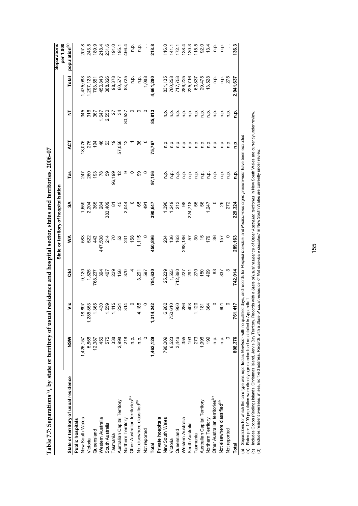| Thus is a fair of the same of the same of the same of the same of the same of the same of the same of the same of the same of the same of the same of the same of the same of the same of the same of the same of the same of |           |                         |                 |               |                                       |               |         |                  |           |                                 |
|-------------------------------------------------------------------------------------------------------------------------------------------------------------------------------------------------------------------------------|-----------|-------------------------|-----------------|---------------|---------------------------------------|---------------|---------|------------------|-----------|---------------------------------|
|                                                                                                                                                                                                                               |           |                         |                 |               | State or territory of hospitalisation |               |         |                  |           | <b>Separations</b><br>per 1,000 |
| State or territory of usual residence                                                                                                                                                                                         | NSW       | ۶Ë                      | る               | ≸             | SA                                    | Tas           | E       | ż                | Total     | population <sup>(b)</sup>       |
| Public hospitals                                                                                                                                                                                                              |           |                         |                 |               |                                       |               |         |                  |           |                                 |
| New South Wales                                                                                                                                                                                                               | 1,426,157 | 18,897                  | 9,120           | 583           | 1,659                                 | 247           | 18,075  | 345              | ,475,083  | œ<br>207.                       |
| Victoria                                                                                                                                                                                                                      | 5,868     | 1,285,853<br>1,365      | 1,825           | 522           | 2,204                                 | 260           | 275     | 316              | ,297,123  | 243.5                           |
| Queensland                                                                                                                                                                                                                    | 12,387    |                         | 768,237         | 443           | 365                                   | $\frac{5}{2}$ | रू      | 367              | 783,551   | 189.9                           |
| Western Australia                                                                                                                                                                                                             | 456       | 430                     | 394             | ,508<br>47.   | 284                                   |               | 46      |                  | 450,843   | 218.4                           |
| South Australia                                                                                                                                                                                                               | 575       | 1,559<br>1,415          | $\overline{5}$  | 214           | 383,409                               | င္ဟာ          | င္မ     | $1,647$<br>2,550 | 388,826   | 231.6                           |
| Tasmania                                                                                                                                                                                                                      | 338       |                         | 229             |               | œ                                     | 96,199        |         | Ñ                | 98,378    | 191.0                           |
| Australian Capital Territory                                                                                                                                                                                                  | 2,998     | 224                     | 156             | ន             | 45                                    |               | 57,056  | रु               | 60,577    | 195.1                           |
| Northern Territory                                                                                                                                                                                                            | 218       | 314                     | 370             | 231           | 2,044                                 |               |         | 80,527           | 83,725    | 466.4                           |
| Other Australian territories <sup>(c)</sup>                                                                                                                                                                                   | n.p.      |                         |                 | 158           |                                       |               |         |                  | ف<br>ء    | ن<br>ء                          |
| Not elsewhere classified <sup>(d)</sup>                                                                                                                                                                                       | ρ.<br>Γ   | 4,185                   | 3,291           | 1,115         | မိ                                    | ႙ၟ            | న్      |                  | ن<br>ء    | ېم                              |
| Not reported                                                                                                                                                                                                                  |           |                         | 597             |               | $\frac{5}{4}$                         |               |         |                  | 1,088     |                                 |
| Total                                                                                                                                                                                                                         | 1,462,129 | 1,314,242               | 784,630         | 450,896       | 390,647                               | 97,156        | 75,767  | 85,813           | 4,661,280 | 218.8                           |
| Private hospitals                                                                                                                                                                                                             |           |                         |                 |               |                                       |               |         |                  |           |                                 |
| New South Wales                                                                                                                                                                                                               | 790,009   |                         | 25,239          | 204           | 1,390                                 | ρ.<br>Γ       | نې<br>د | نې<br>د          | 831,135   | 116.0                           |
| Victoria                                                                                                                                                                                                                      | 6,523     |                         | 1,555           | 136           | 1,249                                 | ن<br>ء        | ف<br>ء  | ن<br>ء           | 760,258   | 141.1                           |
| Queensland                                                                                                                                                                                                                    | 3,446     | 6,902<br>750,610<br>950 | 712,860         | 163           | 213                                   | م.<br>P       | n.p.    | ف<br>E           | 717,753   | 172.7                           |
| Western Australia                                                                                                                                                                                                             | 355       | 286                     | 227             | 288,186       | 8                                     | n.p.          | ف<br>ء  | ρ.<br>Γ          | 289,225   | 138.4                           |
| South Australia                                                                                                                                                                                                               | 193       | 403<br>1,120            | $\overline{5}$  | 57            | 224,718                               | ρ.<br>Γ       | n.p.    |                  | 225,716   | 130.3                           |
| Tasmania                                                                                                                                                                                                                      | 273       |                         | 270             | 30            | 55                                    | م.<br>n       | ف<br>1  |                  | 60,837    | 115.5                           |
| Australian Capital Territory                                                                                                                                                                                                  | 1,996     | $\frac{18}{1}$          | $\frac{60}{50}$ | $\frac{5}{2}$ | 56                                    | ن<br>ء        | ف<br>ء  | e e e<br>c c c   | 29,475    | 92.0                            |
| Northern Territory                                                                                                                                                                                                            | 199       | 364                     | 499             | 56            | 1,247                                 | فہ<br>ع       | نې<br>c | ف<br>م           | 13,528    | 13.4                            |
| Other Australian territories <sup>(c)</sup>                                                                                                                                                                                   | ρ.<br>Γ   |                         | 83              | 36            |                                       | ن<br>ء        | ن<br>ء  | n.p.             | ءِ<br>ء   | ن<br>ء                          |
| Not elsewhere classified <sup>(d)</sup>                                                                                                                                                                                       | ρ.<br>Γ   | 601                     | 837             | 157           | 26                                    | ن<br>ء        | ف<br>ء  | ن<br>ء           | ن<br>ء    | م.<br>P                         |
| Not reported                                                                                                                                                                                                                  |           | $\circ$                 |                 |               | 272                                   | ن<br>ء        | ن<br>غ  | ف<br>ء           | 275       |                                 |
| Total                                                                                                                                                                                                                         | 808,376   | 417<br>761,             | 742,014         | 289,163       | 229,324                               | <u>م</u>      | e.<br>C | <u>م</u> .       | 2,941,637 | 136.3                           |
|                                                                                                                                                                                                                               |           |                         |                 |               |                                       |               |         |                  |           |                                 |

Table 7.7: Separations<sup>(a)</sup>, by state or territory of usual residence and hospital sector, states and territories, 2006-07 **Table 7.7: Separations(a), by state or territory of usual residence and hospital sector, states and territories, 2006–07**  (a) Separations for which the care type was reported as *Newborn wi*th no qualified days, and records for *Hospital boarders* and *Posthurnous organ procurement* have been excluded.<br>(b) Rates per 1,000 population were dire (a) Separations for which the care type was reported as *Newborn* with no qualified days, and records for *Hospital boarders* and *Posthumous organ procurement* have been excluded.

(b) Rates per 1,000 population were directly age-standardised as detailed in Appendix 1.

(c) Includes Cocos (Keeling) Islands, Christmas Island, Jervis Bay Territory. Records with a *State of usual residence* of *Other Australian territories* in New South Wales are currently under review.

(d) Includes resident overseas, at sea, no fixed address. Records with a *State of usual residence* of *Not elsewhere classified* in New South Wales are currently under review.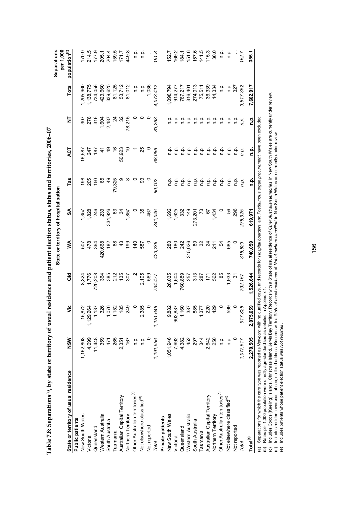|                                                                                                                                                                                |            |                  |               |                | State or territory of hospitalisation |                |                       |                         |              | Separations<br>per 1,000  |
|--------------------------------------------------------------------------------------------------------------------------------------------------------------------------------|------------|------------------|---------------|----------------|---------------------------------------|----------------|-----------------------|-------------------------|--------------|---------------------------|
| State or territory of usual residence                                                                                                                                          | <b>NSM</b> | ۊ                | ਰ<br>ਰ        | ⋚              | SA                                    | Tas            | 13                    | ā                       | <b>Total</b> | population <sup>(b)</sup> |
| Public patients                                                                                                                                                                |            |                  |               |                |                                       |                |                       |                         |              |                           |
| New South Wales                                                                                                                                                                | 1,162,808  | 5,872            | 8,324         | 507            | 1,357                                 | $\frac{8}{2}$  | 16,587                |                         | 1,205,960    | 170.9                     |
| Victoria                                                                                                                                                                       | 4,699      | 29,264<br>ب<br>= | 1,776         | 478            | 1,828                                 | 205            | 247                   | 278                     | 1,138,775    | 214.5                     |
| Queensland                                                                                                                                                                     | 11,448     | 1,137            | 720,208       | 364            | 246                                   | $\frac{60}{5}$ | 187                   | 316                     | 734,056      | 177.9                     |
| Western Australia                                                                                                                                                              | 359        | 326              | 364           | 420,668        | 233                                   | မ္မ            |                       | 1,604                   | 423,660      | 205.1                     |
| South Australia                                                                                                                                                                | 471        | ,076             | 385           | $\frac{82}{3}$ | 334,926                               | ą,             |                       | 2,487                   | 339,625      | 204.4                     |
| <b>Tasmania</b>                                                                                                                                                                | 265        | 152              | $\frac{2}{2}$ | 8              | ය                                     | 79,325         |                       |                         | 81,125       |                           |
| Australian Capital Territory                                                                                                                                                   | 2,351      | 185              | 135           | Ҿ              | 24                                    |                | 50,923                | న                       | 53,712       | 159.5<br>171.7            |
| Northern Territory                                                                                                                                                             | 167        | 249              |               | 199            | 1,857                                 |                |                       | 78,215                  | 81,012       | 449.8                     |
| Other Australian territories <sup>(c)</sup>                                                                                                                                    | n.p.       |                  |               | $\frac{1}{4}$  |                                       |                |                       |                         | ن<br>ء       | ف<br>أ                    |
| Not elsewhere classified <sup>(d)</sup>                                                                                                                                        | n.p.       | 2,385            | 2,195         | 587            | 35                                    | ඝ              | 25                    |                         | o.<br>C      | o.<br>C                   |
| Not reported                                                                                                                                                                   |            |                  | 569           |                | 467                                   |                |                       |                         | 1,036        |                           |
| Total                                                                                                                                                                          | 1,191,556  | 1,151,646        | 734,477       | 423,236        | 341,046                               | 80,102         | 68,086                | 83,263                  | 4,073,412    | 191.8                     |
| Private patients                                                                                                                                                               |            |                  |               |                |                                       |                |                       |                         |              |                           |
| New South Wales                                                                                                                                                                | 1,051,946  | 9,882            | 26,035        | 280            | 1,692                                 | ء<br>ض         | ن<br>ص                | n.p.                    | 1,098,794    | 152.7                     |
| Victoria                                                                                                                                                                       | 7,692      | 02,887<br>န္တ    | 1,604         | $^{180}$       | 1,625                                 | n.p.           | ن<br>ء                | n.p.                    | 914,277      | 169.2                     |
| Queensland                                                                                                                                                                     | 4,382      | 1,160            | 760,889       | 242            | 332                                   | n.p.           | $\frac{1}{2}$         | ف<br>a                  | 767,217      | 184.1                     |
| Western Australia                                                                                                                                                              | 452        | 387              | 257           | 315,026        | 149                                   | n p.           | ρ.<br>Π               | ف<br>E                  | 316,401      | 151.6                     |
| South Australia                                                                                                                                                                | 297        | 885              | 313           | 89             | 273,20                                | ρ.<br>Γ        | ρ.<br>Π               | $\frac{\alpha}{\alpha}$ | 274,913      | 157.6                     |
| <b>Tasmania</b>                                                                                                                                                                | 344        | 577              | 287           | ೫              |                                       | n.p.           | $\frac{\alpha}{\Box}$ | $\frac{\alpha}{\Box}$   | 75,511       | 141.5                     |
| Australian Capital Territory                                                                                                                                                   | 2,642      | 220              | 171           | $\overline{c}$ | 57                                    | ρ.<br>Γ        | p.<br>C               | ρ.<br>Π                 | 36,339       | 115.3                     |
| Northern Territory                                                                                                                                                             | 250        | 429              | 562           | $\frac{1}{2}$  | 1,434                                 | n.p.           | $\frac{\alpha}{\Box}$ | n.p.                    | 14,334       | 30.0                      |
| Other Australian territories <sup>(c)</sup>                                                                                                                                    | n p.       |                  |               | 54             |                                       | n p.           | n p.                  | n.p.                    | ن<br>ء       | ف<br>ء                    |
| Not elsewhere classified <sup>(d)</sup>                                                                                                                                        | n.p.       | 599              | 1,933         | 685            | 99                                    | n p.           | n.p.                  | ن<br>ء                  | n.p.         | ن<br>ء                    |
| Not reported                                                                                                                                                                   |            |                  | <u>ল</u>      |                | 296                                   | n.p.           | ن<br>ء                | n.<br>E                 | 327          |                           |
| Total                                                                                                                                                                          | 1,077,517  | 7,826<br>91      | 792,167       | 316,823        | 278,925                               | n.p.           | ņņ                    | n.p.                    | 3,517,352    | 162.7                     |
| Total <sup>(e)</sup>                                                                                                                                                           | 2,270,505  | '5,659<br>2,07   | 1,526,644     | 740,059        | 619,971                               | n.p.           | ۹.                    | ءِ<br>ء                 | 7,602,917    | 355.1                     |
| (a) Separations for which the care type was reported as Newborn with no qualified days, and records for Hospital boarders and Posthurnous organ procurement have been excluded |            |                  |               |                |                                       |                |                       |                         |              |                           |

Table 7.8: Separations(a), by state or territory of usual residence and patient election status, states and territories, 2006-07 **Table 7.8: Separations(a), by state or territory of usual residence and patient election status, states and territories, 2006–07** 

(b) Rates per 1,000 population were directly age-standardised as detailed in Appendix 1.

Rates per 1,000 population were directly age-standardised as detailed in Appendix 1.<br>Includes Cocos (Keeling) Islands, Christmas Island, Jervis Bay Territory. Records with a State of usual residence of *Other Australian te* (c) Includes Cocos (Keeling) Islands, Christmas Island, Jervis Bay Territory. Records with a State of usual residence of *Other Australian territories* in New South Wales are currently under review.  $\widehat{a}$ 

(d) Includes resident overseas, at sea, no fixed address. Records with a *State of usual residence* of *Not elsewhere classified* in New South Wales are currently under review.

(e) Includes patients whose patient election status was *Not reported* .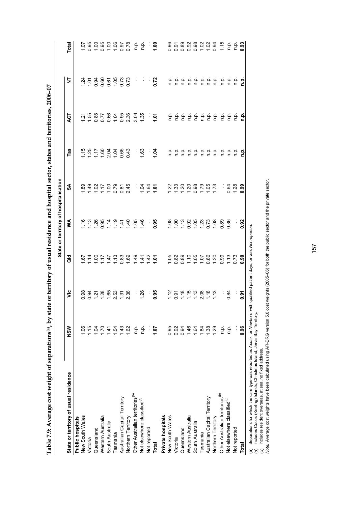| $\sim$ $\sim$ $\sim$<br>l |  |
|---------------------------|--|
|                           |  |
|                           |  |
|                           |  |
|                           |  |
|                           |  |
|                           |  |
|                           |  |
|                           |  |
|                           |  |
|                           |  |
| ،<br>با                   |  |
|                           |  |
|                           |  |
| $-4$                      |  |
|                           |  |
|                           |  |
|                           |  |
|                           |  |
| Í                         |  |
|                           |  |
|                           |  |
| ا<br>ا                    |  |
|                           |  |
|                           |  |
|                           |  |
|                           |  |
|                           |  |
|                           |  |
|                           |  |
|                           |  |
|                           |  |
|                           |  |
|                           |  |
|                           |  |
|                           |  |
|                           |  |
|                           |  |
|                           |  |
|                           |  |
|                           |  |
|                           |  |
|                           |  |
|                           |  |
|                           |  |
|                           |  |
|                           |  |
| ֚֘֝                       |  |
|                           |  |
| l                         |  |
|                           |  |
|                           |  |
| í                         |  |
| ١<br>֚֚֡                  |  |
| i                         |  |
| I                         |  |
|                           |  |
|                           |  |
| j                         |  |
| ׇ֚֚֘֝֬֝֬                  |  |
| ׇ֚֓                       |  |
| י                         |  |
|                           |  |
| I<br>l                    |  |
| l                         |  |
| ï                         |  |

|                                                                                                                            |             |                           |                                 | State or territory of hospitalisation |                                                         |                                |               |                           |                                     |
|----------------------------------------------------------------------------------------------------------------------------|-------------|---------------------------|---------------------------------|---------------------------------------|---------------------------------------------------------|--------------------------------|---------------|---------------------------|-------------------------------------|
| State or territory of usual residence                                                                                      | <b>NSM</b>  | yic                       | $\frac{d}{d}$                   | ≸                                     | వ్                                                      | Tas                            | Ę             | 눋                         | Total                               |
| Public hospitals                                                                                                           |             |                           |                                 |                                       |                                                         |                                |               |                           |                                     |
| New South Wales                                                                                                            | 1.06        |                           |                                 |                                       |                                                         |                                |               |                           |                                     |
| Victoria                                                                                                                   | 1.15        |                           |                                 |                                       |                                                         |                                |               |                           |                                     |
| Queensland                                                                                                                 | 1.04        |                           |                                 |                                       |                                                         |                                |               |                           |                                     |
| Western Australia                                                                                                          | 1.70        | 8845886655                |                                 |                                       | $777700000$                                             | $7.076884$ $7.07684$ $0.07684$ |               | $7.58868773$ $7.58869573$ |                                     |
| South Australia                                                                                                            | 1.41        |                           |                                 |                                       |                                                         |                                |               |                           |                                     |
| Tasmania                                                                                                                   | 1.54        |                           |                                 |                                       |                                                         |                                |               |                           |                                     |
| Australian Capital Territory                                                                                               | 1.43        |                           |                                 |                                       |                                                         |                                |               |                           |                                     |
| Northern Territory                                                                                                         | 1.62        | 2.36                      |                                 |                                       |                                                         |                                |               |                           | 5.888888878                         |
| Other Australian territories <sup>(b)</sup>                                                                                | ρ.<br>Π     | Ì,                        |                                 |                                       |                                                         | Ť,                             |               | Ì,                        |                                     |
| Not elsewhere classified <sup>(c)</sup>                                                                                    | ن<br>ء      | 1.26                      |                                 |                                       | $\frac{1}{2}$ $\frac{2}{3}$ $\frac{2}{3}$ $\frac{2}{5}$ | 1.63                           |               |                           | $rac{a}{c}$ $rac{a}{c}$ $rac{a}{c}$ |
| Not reported                                                                                                               |             |                           |                                 |                                       |                                                         |                                |               |                           |                                     |
| Total                                                                                                                      | 70.1        | 0.95                      |                                 | .<br>0.95                             |                                                         | $\frac{3}{2}$                  | $\frac{5}{2}$ | 0.72                      |                                     |
| Private hospitals                                                                                                          |             |                           |                                 |                                       |                                                         |                                |               |                           |                                     |
| New South Wales                                                                                                            | 0.95        |                           |                                 |                                       |                                                         |                                |               |                           |                                     |
| Victoria                                                                                                                   | 0.92        | $25.888887$<br>$75.88887$ |                                 |                                       | $23.8888888877$                                         |                                |               |                           |                                     |
| Queensland                                                                                                                 | 0.94        |                           |                                 |                                       |                                                         |                                |               |                           |                                     |
| Western Australia                                                                                                          | 1.46        |                           |                                 |                                       |                                                         |                                |               |                           |                                     |
| South Australia                                                                                                            | 1.64        |                           |                                 |                                       |                                                         |                                |               |                           |                                     |
| Tasmania                                                                                                                   | 1.84        |                           |                                 |                                       |                                                         |                                |               |                           |                                     |
| Australian Capital Territory                                                                                               | <b>1.38</b> |                           |                                 |                                       |                                                         |                                |               |                           |                                     |
| Northern Territory                                                                                                         | 1.29        |                           |                                 |                                       |                                                         |                                |               |                           |                                     |
| Other Australian territories <sup>(b)</sup>                                                                                | ρ.<br>Γ     |                           | 6880060688068098888888888888888 |                                       | Ŷ,                                                      |                                |               |                           |                                     |
| Not elsewhere classified <sup>(c)</sup>                                                                                    | ρ.<br>Γ     | 0.84                      |                                 | 0.86                                  |                                                         |                                |               |                           |                                     |
| Not reported                                                                                                               |             |                           |                                 |                                       | 0.88<br>1.28                                            |                                |               |                           |                                     |
| <b>Total</b>                                                                                                               | 0.96        | <u>ច</u><br>0.91          |                                 | 0.92                                  | 0.99                                                    | 훈                              | 흗             |                           |                                     |
| (a) Separations for which the care type was reported as Acute, or Newborn with qualified patient days, or was Not reported |             |                           |                                 |                                       |                                                         |                                |               |                           |                                     |

(b) Includes Cocos (Keeling) Islands, Christmas Island, Jervis Bay Territory.

(c) Includes resident overseas, at sea, no fixed address.

(∾) Populais Coos (Keeling) Islands, Christmas Island, Jervise Bay Territory.<br>(b) Includes Coos (Keeling) Islands, Christmas Island, Jervis Bay Territory.<br>(c) Includes resident overseas, at sea, no fixed address.<br>*Note: Note:* Average cost weights have been calculated using AR-DRG version 5.0 cost weights (2005–06) for both the public sector and the private sector.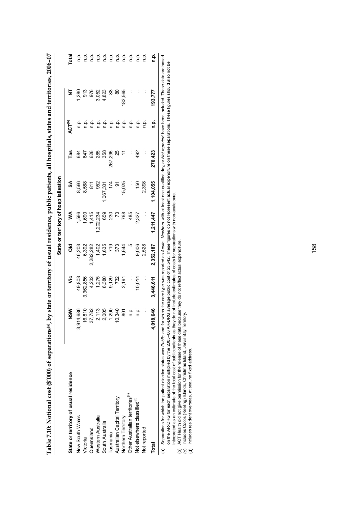|                                             |                  |                                                             |                                           | State or territory of hospitalisation |                                     |               |                          |                                                              |              |
|---------------------------------------------|------------------|-------------------------------------------------------------|-------------------------------------------|---------------------------------------|-------------------------------------|---------------|--------------------------|--------------------------------------------------------------|--------------|
| State or territory of usual residence       | $rac{8}{2}$      | ۶Ë                                                          | ă                                         | ⋚                                     | S                                   | Tas           | <b>ACT<sup>(b)</sup></b> | $\overline{z}$                                               | <b>Total</b> |
| New South Wales                             | 4,686<br>ي<br>9ق | 49,803                                                      | 46,203                                    | 1,566                                 | 8,566                               | 684           | م<br>ء                   |                                                              | ن<br>ء       |
| Victoria                                    | 16,810           | 3,362,856                                                   | 6,392                                     | 1,690                                 | 8,588                               | 47            | ۹'n                      |                                                              | ρ.<br>Γ      |
| Queensland                                  | 37,782           |                                                             |                                           | 1,415                                 | $\frac{811}{2}$                     | 626           | ρ.<br>Γ                  |                                                              | n.p.         |
| Western Australia                           | 2,113            |                                                             | 2,282,282<br>1,402<br>1,635<br>719<br>373 | ,202,234                              | 952                                 | 285           |                          | $1,280$<br>$9,76$<br>$9,76$<br>$9,823$<br>$9,823$<br>$4,823$ | م<br>ء       |
| South Australia                             | 2,005            |                                                             |                                           |                                       |                                     | 358           | ن في<br>في               |                                                              | فہ<br>و      |
| Tasmania                                    | 1,290            |                                                             |                                           |                                       |                                     | 267,296       | فہ<br>a                  | $\frac{8}{3}$                                                | ف<br>a       |
| Australian Capital Territory                | 0,340            |                                                             |                                           | <b>850 569</b><br>850 569             |                                     | 25            |                          | $\frac{8}{2}$                                                | فہ<br>و      |
| Northern Territory                          | 501              | 4 – 6 9 9 7 9 1<br>7 7 9 9 9 9 7 9 1<br>7 7 9 9 9 9 9 1 9 1 | 1,644                                     |                                       | ,067,301<br>174<br>15,025<br>15,025 |               | 후 후                      | 182,565                                                      | م<br>a       |
| Other Australian territories <sup>(c)</sup> | ن<br>E           | $\frac{1}{2}$                                               |                                           | 485                                   |                                     |               | q.                       |                                                              | n p.         |
| Not elsewhere classified <sup>(d)</sup>     | ن<br>ص           | 10,014                                                      | 9,006                                     | 2,327                                 | 150                                 | $\frac{2}{9}$ | نې<br>ء                  |                                                              | ءِ<br>ء      |
| Not reported                                |                  |                                                             | 2,528                                     |                                       | 2,398                               |               | نے<br>ء                  |                                                              | غ            |
| Total                                       | 4,018,646        | 1,446,611                                                   | ,352,187                                  | , 211, 447                            | ,104,055                            | 270,423       | ءِ<br>ء                  | 193,777                                                      | ءِ<br>ت      |
|                                             |                  |                                                             |                                           |                                       |                                     |               |                          |                                                              |              |

**Table 7.10: Notional cost (\$'000) of separations(a), by state or territory of usual residence, public patients, all hospitals, states and territories, 2006–07**  Table 7.10: Notional cost (\$'000) of separations(a), by state or territory of usual residence, public patients, all hospitals, states and territories, 2006-07 Separations for which the patient election status was *Public* and for which the care type was reported as Acute, Newborn with at least one qualified day, or Not reported have been included. These data are based<br>on the AR-*Public* and for which the care type was reported as *Acute, Newborn* with at least one qualified day, or *Not reported* have been included. These data are based on the AR-DRG for each separation multiplied by the 2005–06 AR-DRG average public cost of \$3,542. These figures do not represent actual expenditure on these separations. These figures should also not be Separations for which the patient election status was (a)

interpreted as an estimate of the total cost of public patients as they do not include estimates of costs for separations with non-acute care.

(b) ACT Health did not give permission for the release of these data because they do not reflect actual expenditure.

(c) Includes Cocos (Keeling) Islands, Christmas Island, Jervis Bay Territory.  $\widehat{e}\,\widehat{e}\,\widehat{\varpi}$ 

Includes resident overseas, at sea, no fixed address. Includes resident overseas, at sea, no fixed address.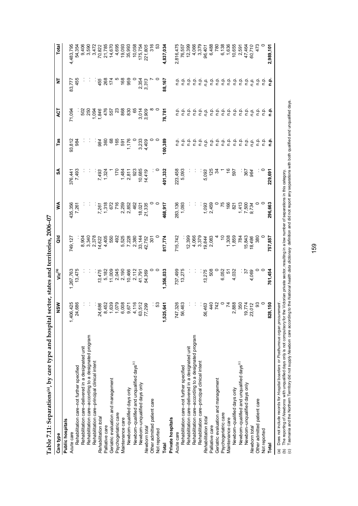| רות בית                                                       |
|---------------------------------------------------------------|
|                                                               |
| The by care type and hospital sector, states and territories. |
|                                                               |
|                                                               |
|                                                               |
|                                                               |
|                                                               |
| l                                                             |
|                                                               |
|                                                               |
|                                                               |
| ı                                                             |
|                                                               |
|                                                               |
| ------------<br>エムレート                                         |
|                                                               |

| Table 7.11: Separations(a), by care type and hospital se                           |                                                                                                                                                                                                                                                                                                                                                      |                          | ctor, states and territories, 2006-07 |                               |                  |                            |                |                   |                         |
|------------------------------------------------------------------------------------|------------------------------------------------------------------------------------------------------------------------------------------------------------------------------------------------------------------------------------------------------------------------------------------------------------------------------------------------------|--------------------------|---------------------------------------|-------------------------------|------------------|----------------------------|----------------|-------------------|-------------------------|
| Care type                                                                          | NSM                                                                                                                                                                                                                                                                                                                                                  | Vic <sup>(b)</sup>       | ă                                     | ⋚                             | SA               | Tas                        | ξ              | ₹                 | Total                   |
| Public hospitals                                                                   |                                                                                                                                                                                                                                                                                                                                                      |                          |                                       |                               |                  |                            |                |                   |                         |
| Acute care                                                                         |                                                                                                                                                                                                                                                                                                                                                      | ,267,763                 | 749,127                               | 135,356                       | 376,441          | 93,812                     | 71,094         | 83,777            | 4,483,795               |
| Rehabilitation care-not further specified                                          | 1,406,425<br>24,686                                                                                                                                                                                                                                                                                                                                  | 13,475                   |                                       | 7,261                         | 7,493            | 984                        |                | 455               | 54,354                  |
| Rehabilitation care-delivered in a designated unit                                 |                                                                                                                                                                                                                                                                                                                                                      |                          | 8,904                                 |                               |                  |                            | <u>និ</u> និ   |                   | 9,406                   |
| Rehabilitation care-according to a designated program                              | $\cdot$                                                                                                                                                                                                                                                                                                                                              |                          | 3,340                                 |                               |                  |                            |                |                   | 3,590                   |
| Rehabilitation care-principal clinical intent                                      |                                                                                                                                                                                                                                                                                                                                                      |                          | 2,378                                 |                               |                  |                            |                |                   | 3,472                   |
| Rehabilitation total                                                               |                                                                                                                                                                                                                                                                                                                                                      | 13,475                   | 14,622                                |                               |                  |                            | 1,846          |                   | 70,822                  |
| Palliative care                                                                    |                                                                                                                                                                                                                                                                                                                                                      |                          | 4,405                                 |                               | 7,493<br>1,324   |                            | 476            | 455<br>268<br>174 |                         |
| Geriatric evaluation and management                                                |                                                                                                                                                                                                                                                                                                                                                      |                          | 550                                   |                               |                  | 38<br>36<br>36<br>36<br>56 | 557            |                   | 21,785<br>14,670        |
| Psychogeriatric care                                                               |                                                                                                                                                                                                                                                                                                                                                      | 5,182<br>11,009<br>2,045 | 492                                   | 7,261<br>1,318<br>672<br>716  | 170              |                            | S.             |                   | 4,695                   |
| Maintenance care                                                                   |                                                                                                                                                                                                                                                                                                                                                      | 2,190                    | 5,525                                 |                               |                  | 591                        | 868            | 168               | 19,093                  |
| Newborn-qualified days only                                                        | $74,680$<br>$8452$<br>$8,453$<br>$8,639$<br>$8,639$<br>$8,670$<br>$8,670$<br>$8,670$<br>$8,670$<br>$8,670$<br>$8,670$<br>$8,670$<br>$8,670$<br>$6,670$<br>$6,670$<br>$6,670$<br>$6,670$                                                                                                                                                              |                          | 7,228                                 | 2,259<br>2,852                | $1,484$<br>2,811 | 1,176                      | 830            | 959               | 35,993                  |
| Newborn-qualified and unqualified days <sup>(c)</sup>                              |                                                                                                                                                                                                                                                                                                                                                      | 10,466<br>2,112          | 2,380                                 | 462                           | 923              |                            | 65             |                   | 10,058                  |
| Newborn-unqualified days only                                                      |                                                                                                                                                                                                                                                                                                                                                      | 41,791<br>54,369         | 33,144                                |                               | 10,685           |                            |                |                   | 175,754                 |
| Newborn total                                                                      |                                                                                                                                                                                                                                                                                                                                                      |                          | 42,752                                | 18,021<br>21,335              | 14,419           | 3,233<br>4,409             | 3,014          | 2,354<br>3,313    | 221,805                 |
| Other admitted patient care                                                        |                                                                                                                                                                                                                                                                                                                                                      |                          | $\overline{5}$                        |                               |                  |                            |                |                   | 316                     |
| Not reported                                                                       | း အ                                                                                                                                                                                                                                                                                                                                                  |                          |                                       |                               |                  |                            |                |                   |                         |
| Total                                                                              | 1,525,641                                                                                                                                                                                                                                                                                                                                            | ,356,033                 | 817,774                               | 468,917                       | 401,332          | 100,389                    | 78,781         | 88,167            | 4,837,034               |
| Private hospitals                                                                  |                                                                                                                                                                                                                                                                                                                                                      |                          |                                       |                               |                  |                            |                |                   |                         |
| Acute care                                                                         | 747,326                                                                                                                                                                                                                                                                                                                                              | 737,499                  | 715,742                               | 283,136                       | 223,458          |                            |                |                   | 2,816,475               |
| Rehabilitation care-not further specified                                          | 56,463                                                                                                                                                                                                                                                                                                                                               | 13,275                   |                                       | 1,093                         | 5,093            | م.<br>P                    | نې<br>a        | م<br>n            | 76,557                  |
| Rehabilitation care-delivered in a designated unit                                 |                                                                                                                                                                                                                                                                                                                                                      |                          | 12,399                                |                               |                  | ف<br>ء                     | ې              | ف<br>ء            | 12,399                  |
| Rehabilitation care-according to a designated program                              | $\cdot$                                                                                                                                                                                                                                                                                                                                              |                          | 4,066                                 |                               |                  | م.<br>P                    | e e e<br>e e e | ءِ<br>ء           | 4,066                   |
| Rehabilitation care-principal clinical intent                                      |                                                                                                                                                                                                                                                                                                                                                      |                          | 3,379                                 |                               |                  | n.p                        |                | q.                | 3,379                   |
| Rehabilitation total                                                               | 56,463                                                                                                                                                                                                                                                                                                                                               | 13,275<br>508            | 19,844                                | 1,093<br>2,459                | 5,093            | n.p.                       |                | n.p.              | 96,401                  |
| Palliative care                                                                    |                                                                                                                                                                                                                                                                                                                                                      |                          | 2,083                                 |                               | 125              |                            |                | n.p.              | 6,488                   |
| Geriatric evaluation and management                                                |                                                                                                                                                                                                                                                                                                                                                      |                          |                                       |                               |                  | ن في<br>في                 |                | ف<br>ء            | 780                     |
| Psychogeriatric care                                                               |                                                                                                                                                                                                                                                                                                                                                      | 6,052<br>51              |                                       |                               |                  | ف<br>ء                     |                |                   | 6,138                   |
| Maintenance care                                                                   |                                                                                                                                                                                                                                                                                                                                                      |                          | 1,308                                 | 166                           |                  |                            |                | ن في<br>في        | 1,636                   |
| Newborn-qualified days only                                                        | $\begin{array}{c}\n 442 \\  740 \\  7480 \\  780 \\  800 \\  7480 \\  7480 \\  7480 \\  7480 \\  7480 \\  7480 \\  7480 \\  7480 \\  7480 \\  7480 \\  7480 \\  7480 \\  7480 \\  7480 \\  7480 \\  7480 \\  7480 \\  7480 \\  7480 \\  7480 \\  7480 \\  7480 \\  7480 \\  7480 \\  7480 \\  7480 \\  7480 \\  7480 \\  7480 \\  7480 \\  7480 \\ $ | 4,032                    | 1,859                                 | 821                           | 597              | 후 후 후<br>후 후 후             |                | ې                 | 10,655                  |
| Newbom-qualified and unqualified days <sup>(c)</sup>                               |                                                                                                                                                                                                                                                                                                                                                      |                          | 784                                   | $7,500$<br>$7,500$<br>$9,734$ |                  |                            |                | ف<br>n            | 2,591                   |
| Newborn-unqualified days only                                                      |                                                                                                                                                                                                                                                                                                                                                      | 4,069<br>77              | 15,843                                |                               | 367<br>064       | ف<br>n                     |                | ن<br>a            |                         |
| Newborn total                                                                      | $\frac{19,774}{23,012}$                                                                                                                                                                                                                                                                                                                              |                          | 18,486                                |                               |                  | n.p.                       | n.p.           | n.p.              | 47,464<br>60,710<br>473 |
| Other admitted patient care                                                        |                                                                                                                                                                                                                                                                                                                                                      |                          | 380                                   |                               |                  | ف<br>ء                     | م<br>ء         | e                 |                         |
| Not reported                                                                       |                                                                                                                                                                                                                                                                                                                                                      |                          |                                       |                               |                  | م<br>ء                     | ف<br>أ         | م.<br>P           |                         |
| Total                                                                              | 50<br>828,1                                                                                                                                                                                                                                                                                                                                          | 761,454                  | 757,857                               | 296,663                       | 229,691          | م.<br>a                    | ۼ              | <u>م</u>          | 2,989,101               |
| (a) Does not include records for Hospital boarders or Posthumous organ procurement |                                                                                                                                                                                                                                                                                                                                                      |                          |                                       |                               |                  |                            |                |                   |                         |

(b) The reporting of *Newborns* with unqualified days only is not compulsory for the Victorian private sector, resulting in a low number of separations in this category.

ια Does not include records or rro*spira boardes or rosumirous organ procurement.*<br>(b) The reporting of *Newborns* with unqualified days only is not compulsory for the Victorian private sector, resulting in a low number (c) Tasmania and the Northern Terrritory did not supply *Newborn* care according to the *National health data dictionary* definition and did not report any separations with both qualified and unqualified days.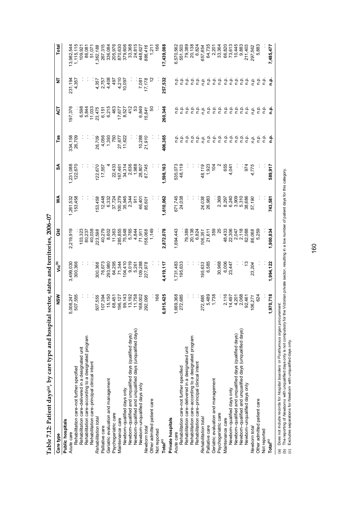| -2222                                              |
|----------------------------------------------------|
| rrnt-orn                                           |
| , by care type and hospital sector, states and ten |
|                                                    |
|                                                    |
| ı                                                  |
|                                                    |
| j                                                  |
| ;<br>$\frac{1}{1}$                                 |
|                                                    |

| Table 7.12: Patient days <sup>(a)</sup> , by care type and hospital                                                                                                                                                                                                                                                                                                      |                |                    | sector, states and territories, 2006-07 |           |           |                  |               |                 |                           |
|--------------------------------------------------------------------------------------------------------------------------------------------------------------------------------------------------------------------------------------------------------------------------------------------------------------------------------------------------------------------------|----------------|--------------------|-----------------------------------------|-----------|-----------|------------------|---------------|-----------------|---------------------------|
| Care type                                                                                                                                                                                                                                                                                                                                                                | NSM            | Vic <sup>(b)</sup> | ă                                       | ≸         | SA        | Tas              | 73            | ₫               | Total                     |
| Public hospitals                                                                                                                                                                                                                                                                                                                                                         |                |                    |                                         |           |           |                  |               |                 |                           |
| Acute care                                                                                                                                                                                                                                                                                                                                                               | 008,247<br>Ю   | 3,499,030          | 2,219,919                               | 1,261,532 | 1,231,088 | 334,158          | 197,376       | 231,194         | 13,982,544                |
| Rehabilitation care-not further specified                                                                                                                                                                                                                                                                                                                                | 507,555        | 300,366            |                                         | 153,458   | 122,670   | 26,709           |               | 4,357           | 1,115,115                 |
| Rehabilitation care-delivered in a designated unit                                                                                                                                                                                                                                                                                                                       |                |                    | 103,323                                 |           |           |                  | 6,598         |                 | 109,921                   |
| Rehabilitation care-according to a designated program                                                                                                                                                                                                                                                                                                                    |                |                    | 80,237                                  |           |           |                  | 5,844         |                 | 86,081                    |
| Rehabilitation care-principal clinical intent                                                                                                                                                                                                                                                                                                                            |                |                    | 40,038                                  |           |           |                  | 11,033        |                 | 51,071                    |
| Rehabilitation total                                                                                                                                                                                                                                                                                                                                                     | 507,555        | 300,366            | 223,598                                 | 153,458   | 122,670   | 26,709           | 23,475        | 4,357           | 1,362,188                 |
| Palliative care                                                                                                                                                                                                                                                                                                                                                          | 107,394        | 76,673             | 40,279                                  | 12,448    | 17,557    | 4,056            | 6,151         | 2,757           | 267,315                   |
| Geriatric evaluation and management                                                                                                                                                                                                                                                                                                                                      | 15,150         | 293,980            | 8,602                                   | 6,332     |           | 1,393            | 6,215         | 4,408           | 336,084                   |
| Psychogeriatric care                                                                                                                                                                                                                                                                                                                                                     | 68,451         | 64,295             | 11,363                                  | 37,724    | 22,433    | 750              | 463           | 497             | 205,976                   |
| Maintenance care                                                                                                                                                                                                                                                                                                                                                         | 196,127        | 71,344             |                                         | 100,279   | 167,461   |                  | 17,677        | 4,210<br>10,097 |                           |
| Newborn-qualified days only                                                                                                                                                                                                                                                                                                                                              | 99,143         | 104,410            | 285,855<br>75,548                       | 35,945    | 34,314    | 27,677<br>11,622 | 8,527         |                 | 870,630<br>379,606        |
| Newborn-qualified and unqualified days (qualified days)                                                                                                                                                                                                                                                                                                                  | 13,192         | 9,019              | 5,765                                   | 2,344     | 2,636     |                  | 412           |                 | 33,368                    |
| Newborn-qualified and unqualified days (unqualified days)                                                                                                                                                                                                                                                                                                                | 11,758         | 5,261              | 4,844                                   | 911       | 1,988     |                  | 53            |                 | 24,815                    |
| Newborn-unqualified days only                                                                                                                                                                                                                                                                                                                                            | 168,002        | 109,288            | 71,911                                  | 46,401    | 28,807    | 10,288           | 6,849         | 7,081           | 448,627                   |
| Newborn total                                                                                                                                                                                                                                                                                                                                                            | 292,095        | 227,978            | 158,068                                 | 85,601    | 67,745    | 21,910           | 15,841        | 17,178          | 886,416                   |
| Other admitted patient care                                                                                                                                                                                                                                                                                                                                              |                |                    | 1,149                                   |           |           |                  | SO            |                 | 1,211                     |
| Not reported                                                                                                                                                                                                                                                                                                                                                             | 166            |                    |                                         |           |           |                  |               |                 | 166                       |
| Total <sup>(c)</sup>                                                                                                                                                                                                                                                                                                                                                     | 015,425<br>ဖ   | 4,419,117          | 2,872,078                               | 1,610,062 | 1,598,163 | 406,365          | 260,346       | 257,532         | 17,439,088                |
| Private hospitals                                                                                                                                                                                                                                                                                                                                                        |                |                    |                                         |           |           |                  |               |                 |                           |
| Acute care                                                                                                                                                                                                                                                                                                                                                               | 669,368        | 1,731,483          | 1,694,443                               | 671,745   | 535,073   |                  |               |                 | 6,570,562                 |
| Rehabilitation care-not further specified                                                                                                                                                                                                                                                                                                                                | 272,685        | 195,633            |                                         | 24,038    | 48,119    | n.p.             | n.p.          | n.p.            | 551,503                   |
| Rehabilitation care-delivered in a designated unit                                                                                                                                                                                                                                                                                                                       |                |                    | 79,389                                  |           |           | n.p.             | n.p.          | ن<br>ء          | 79,389                    |
| Rehabilitation care-according to a designated program                                                                                                                                                                                                                                                                                                                    |                |                    | 20,138                                  |           |           | n.p.             | n.p.          | n.p.            | 20,138                    |
| Rehabilitation care-principal clinical intent                                                                                                                                                                                                                                                                                                                            |                |                    | 6,824                                   |           |           | q.q              | q.q           | n.p.            | 6,824                     |
| Rehabilitation total                                                                                                                                                                                                                                                                                                                                                     | 272,685        | 195,633            | 106,351                                 | 24,038    | 48,119    | n.p.             | n.p.          | n.p.            | 657,854                   |
| Palliative care                                                                                                                                                                                                                                                                                                                                                          | 5,489          | 6,585              | 21,611                                  | 26,983    | 1,923     | م.<br>p.         | ρ.<br>Γ       | ρ.<br>Γ         | 64,735                    |
| Geriatric evaluation and management                                                                                                                                                                                                                                                                                                                                      | 1,738          |                    | 359                                     |           | 104       | n.p.             | n.p.          | n.p.            | 2,201                     |
| Psychogeriatric care                                                                                                                                                                                                                                                                                                                                                     |                | 30,968             | 25                                      | 2,369     |           | n.p.             | n.p.          | ρ.<br>Γ         | 33,364                    |
| Maintenance care                                                                                                                                                                                                                                                                                                                                                         | 2,116          | 6,006              | 48,433                                  | 8,297     | 655       | ρ.               | n.p.          | n.p.            | 66,820                    |
| Newborn-qualified days only                                                                                                                                                                                                                                                                                                                                              | 14,497         | 23,447             | 22,306                                  | 6,240     | 4,041     | n.p.             | n.p.          | n.p.            | 73,613<br>10,445<br>9,883 |
| Newborn-qualified and unqualified days (qualified days)                                                                                                                                                                                                                                                                                                                  | 4,201<br>2,068 |                    | 2,047                                   | 3,909     |           | م.<br>p.         | ۹.            | ρ.<br>Γ         |                           |
| Newborn-qualified and unqualified days (unqualified days)                                                                                                                                                                                                                                                                                                                |                |                    | 2,118                                   | 5,310     |           | p.<br>C          | n.p.          | n.p.            |                           |
| Newborn-unqualified days only                                                                                                                                                                                                                                                                                                                                            | 92,461         | مبر<br>ب           | 62,088                                  | 38,686    | 974       | ρ.<br>Γ          | ρ.<br>Γ       | n.p.            | 211,403                   |
| Newborn total                                                                                                                                                                                                                                                                                                                                                            | 106,271        | 23,204             | 86,068                                  | 57,190    | 4,775     | n.p.             | n.p.          | n.p.            | 297,562                   |
| Other admitted patient care                                                                                                                                                                                                                                                                                                                                              | 624            |                    | 5,259                                   |           |           | n.p.             | n.p.          | م.<br>P         | 5,883                     |
| Not reported                                                                                                                                                                                                                                                                                                                                                             |                |                    |                                         |           |           | ف<br>ء           | n.p.          | م<br>ء          |                           |
| $\mathsf{Total}^{(c)}$                                                                                                                                                                                                                                                                                                                                                   | ,970,718       | 1,994,122          | 1,900,834                               | 743,581   | 589,917   | <u>م</u><br>م    | <u>م</u><br>م | ء<br>ح          | 7,485,477                 |
| The reporting of Newborns with unqualified days only is not compulsory for the Victorian private sector, resulting in a low number of patient days for this category.<br>Does not include records for Hospital boarders or Posthumous organ procurement.<br>Excludes separations for Newborn with unqualified days only.<br>$\widehat{e}$ $\widehat{e}$<br>$\widehat{a}$ |                |                    |                                         |           |           |                  |               |                 |                           |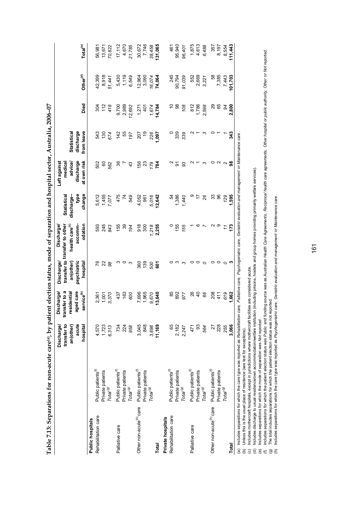**Table 7.13: Separations for non-acute care(a), by patient election status, mode of separation and hospital sector, Australia, 2006–07**  Table 7.13: Separations for non-acute care(a), by patient election status, mode of separation and hospital sector, Australia, 2006-07

|                                     |                                          | transfer to<br>acute<br>Discharge/<br>an(other)<br>hospital | aged care<br>service <sup>(b)</sup><br>transfer to a<br>esidential<br>Discharge/ | an(other)<br>psychiatric<br>Discharge/<br>hospital | accomm-<br>odation<br>transfer to transfer to other<br>health care <sup>(c)</sup><br>Discharge | type<br>change<br><b>Statistical</b><br>discharge- | discharge<br>at own risk<br>advice/<br>medical<br>Left againsf | discharge<br>from leave<br><b>Statistical</b> | Died                   | Other <sup>(d)</sup>    | Total <sup>(e)</sup>        |
|-------------------------------------|------------------------------------------|-------------------------------------------------------------|----------------------------------------------------------------------------------|----------------------------------------------------|------------------------------------------------------------------------------------------------|----------------------------------------------------|----------------------------------------------------------------|-----------------------------------------------|------------------------|-------------------------|-----------------------------|
| Public hospitals                    |                                          |                                                             |                                                                                  |                                                    |                                                                                                |                                                    |                                                                |                                               |                        |                         |                             |
| Rehabilitation care                 | Public patients <sup>(f)</sup>           | 4,570                                                       |                                                                                  |                                                    | 593                                                                                            |                                                    | 502                                                            | 543                                           |                        | 42,399                  | 56,981                      |
|                                     | Private patients                         |                                                             | 2,361<br>1,001                                                                   | 628                                                | 245                                                                                            |                                                    | 60                                                             | 130                                           | $304$<br>$72$<br>$418$ | 8,918                   | 13,671                      |
|                                     | Total <sup>(g)</sup>                     | $1,723$<br>6,313                                            | 3,370                                                                            |                                                    | 843                                                                                            | 5,612<br>1,455<br>7,077                            | 562                                                            | 674                                           |                        | 51,441                  | 70,822                      |
| Palliative care                     | Public patients <sup>(f)</sup>           |                                                             | 437                                                                              | ო                                                  | 155                                                                                            | 475                                                | 36                                                             | 142                                           | 9,700                  | 5,430                   |                             |
|                                     | Private patients                         | 734<br>224                                                  |                                                                                  | ○                                                  | 89                                                                                             | $\mathcal{F}$                                      |                                                                |                                               | 2,989                  |                         |                             |
|                                     | Total <sup>(g)</sup>                     | 958                                                         | 600                                                                              | ా                                                  | 194                                                                                            | 549                                                | 43                                                             | 55<br>197                                     | 12,692                 | $1,119$<br>$6,549$      | $17,112$<br>4,670<br>21,785 |
| Other non-acute <sup>(h)</sup> care | Public patients <sup>(f)</sup>           | 3,045                                                       |                                                                                  | 360                                                | 918                                                                                            | 4,052                                              |                                                                |                                               |                        |                         | 30,672                      |
|                                     |                                          | 848                                                         | 7,696<br>1,965                                                                   | 139                                                | 300                                                                                            | 967                                                |                                                                | 207                                           | $1,271$<br>401         | 12,964<br>3,090         | 7,746                       |
|                                     | Private patients<br>Tota/ <sup>(g)</sup> | 3,898                                                       | 9,670                                                                            | 500                                                |                                                                                                |                                                    | 525 281                                                        | 226<br>1,097                                  | $1,674$<br>14,784      |                         | 38,458                      |
| Total                               |                                          | 11,169                                                      | 13,640                                                                           | 5ő                                                 | $1,218$<br>2,255                                                                               | 5,016<br>12,642                                    |                                                                |                                               |                        | 16,074<br><b>74,064</b> | 131,065                     |
| Private hospitals                   |                                          |                                                             |                                                                                  |                                                    |                                                                                                |                                                    |                                                                |                                               |                        |                         |                             |
| Rehabilitation care                 | Public patients <sup>(f)</sup>           | 65                                                          |                                                                                  |                                                    |                                                                                                |                                                    |                                                                |                                               |                        |                         | 461                         |
|                                     | Private patients                         | 2,182                                                       | 22<br>88<br>92                                                                   | ო                                                  | 155                                                                                            | 1,386<br>1,386<br>1,440                            | 5                                                              | 339                                           | <u>ុ</u> ឌ             | 245<br>90,794           | 95,940                      |
|                                     | Total <sup>(g)</sup>                     | 2,247                                                       |                                                                                  | ొ                                                  | 155                                                                                            |                                                    | 33                                                             | 339                                           | 108                    | 91,039                  | 96,401                      |
| Palliative care                     | Public patients <sup>(f)</sup>           | 471                                                         |                                                                                  | 0                                                  |                                                                                                |                                                    |                                                                |                                               |                        |                         |                             |
|                                     | Private patients                         | 93                                                          | 8<br>4<br>4                                                                      | $\circ$                                            |                                                                                                | $\overline{1}$                                     |                                                                |                                               | 812<br>1,786           | 552<br>2,669            | 1,875<br>4,613              |
|                                     | Total <sup>(g)</sup>                     | 564                                                         | 88                                                                               | $\circ$                                            |                                                                                                | 26                                                 | က                                                              | ო                                             | 2,598                  | 3,221                   | 6,488                       |
| Other non-acute <sup>(h)</sup> care | Public patients <sup>(f)</sup>           | 27                                                          | 208                                                                              | 0                                                  |                                                                                                |                                                    | 0                                                              |                                               |                        | 38                      | 357                         |
|                                     | Private patients                         | 228                                                         | 411                                                                              | $\circ$                                            | တ                                                                                              | 33<br>96                                           | $\sim$                                                         |                                               | 89<br>05               | 7,385                   | 8,197                       |
|                                     | Total <sup>(g)</sup>                     | 255                                                         | 619                                                                              | ○                                                  |                                                                                                | 129                                                | $\sim$                                                         |                                               | 84                     | 7,443                   | 8,554                       |
| Total                               |                                          | 3,066                                                       | 1,662                                                                            |                                                    | 173                                                                                            | 595                                                | 38                                                             | 343                                           | 2,800                  | 01,703                  | 11,443                      |
|                                     |                                          |                                                             |                                                                                  |                                                    |                                                                                                |                                                    |                                                                |                                               |                        |                         |                             |

Includes separations for which the care type was reported as Rehabilitation care, Palliative care, Psychogeriatric care, Geriatric evaluation and management or Maintenance care. (a) Includes separations for which the care type was reported as *Rehabilitation care, Palliative care, Psychogeriatric care, Geriatric evaluation and management* or *Maintenance care* .

Unless this is the usual place of residence (see text for exceptions). (b) Unless this is the usual place of residence (see text for exceptions).

(c) Includes mothercraft hospitals, except in jurisdictions where mothercraft facilities are considered acute.

Includes mothercraft hospitals, except in jurisdictions where mothercraft facilities are considered acute.<br>Includes discharge to usual residence/own accommodation/welfare institution (including prisons, hostels and group h (d) Includes discharge to usual residence/own accommodation/welfare institution (including prisons, hostels and group homes providing primarily welfare services).

(e) Includes separations for which the mode of separation was *Not reported* .

Includes separations for which the mode of separation was Mo*t reported .*<br>Includes separations for which the patient election status was Public and funding source was as Australian Health Care Agreements, Peciprocal healt Includes separations for which the patient election status was Public and funding source was as Australian Health Care Agreements, Reciprocal health care agreements, Other hospital or public authority, Other or Not reporte 

The total includes separations for which the patient election status was not reported. (g) The total includes separations for which the patient election status was not reported.

Includes separations for which the care type was reported as Psychogeriatric care, Geriatric evaluation and management or Maintenance care. (h) Includes separations for which the care type was reported as *Psychogeriatric care, Geriatric evaluation and management* or *Maintenance care* .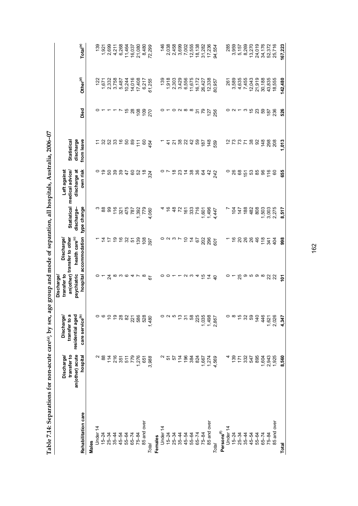| י<br>י                                                        |  |
|---------------------------------------------------------------|--|
|                                                               |  |
| ı                                                             |  |
|                                                               |  |
| $\frac{1}{2}$<br>is case.                                     |  |
|                                                               |  |
|                                                               |  |
|                                                               |  |
|                                                               |  |
| ころうちょう ちゃう ちゃこうそう うらっ こうりょう                                   |  |
| i<br>2)<br>2)                                                 |  |
|                                                               |  |
|                                                               |  |
|                                                               |  |
| ۱<br>ا                                                        |  |
|                                                               |  |
| $\lambda$ ma tow mom_ant                                      |  |
|                                                               |  |
| ֧֧֧֧֧֛֦֧֦֧֛֛֪֦֧֦֧֧֛֛֪֛֞֕֝֬֕֝֬֝֬֝֓֕֓֝֬֝֓֝֬֝֬֝֓֝֬֝֓֝֬֝֝֝֝֟֓֝֬֝֝ |  |
|                                                               |  |
|                                                               |  |
| ı                                                             |  |
|                                                               |  |
|                                                               |  |
|                                                               |  |

|                        | Discharge/                     | Discharge/                        | transfer to<br><b>Discharge/</b>        | Discharge/                                                |                         | Left against                                                                                                          |                                 |                                                |                                                                                                                                                                                                                                                                                                     |                                                                                                                                                                                                                                                                                                                 |
|------------------------|--------------------------------|-----------------------------------|-----------------------------------------|-----------------------------------------------------------|-------------------------|-----------------------------------------------------------------------------------------------------------------------|---------------------------------|------------------------------------------------|-----------------------------------------------------------------------------------------------------------------------------------------------------------------------------------------------------------------------------------------------------------------------------------------------------|-----------------------------------------------------------------------------------------------------------------------------------------------------------------------------------------------------------------------------------------------------------------------------------------------------------------|
|                        | transfer to<br>an(other) acute | transfer to a<br>residential aged | psychiatric                             | an(other) transfer to other<br>health care <sup>(c)</sup> | discharge-              | discharge at<br>Statistical medical advice/                                                                           | discharge<br><b>Statistical</b> |                                                |                                                                                                                                                                                                                                                                                                     |                                                                                                                                                                                                                                                                                                                 |
| Rehabilitation care    | hospital                       | care service <sup>(b)</sup>       |                                         | hospital accommodation                                    | type change             | own risk                                                                                                              | from leave                      | Died                                           | Other <sup>(d)</sup>                                                                                                                                                                                                                                                                                | $\mathsf{Total}^\mathsf{(e)}$                                                                                                                                                                                                                                                                                   |
| Males                  |                                |                                   |                                         |                                                           |                         |                                                                                                                       |                                 |                                                |                                                                                                                                                                                                                                                                                                     |                                                                                                                                                                                                                                                                                                                 |
| Under 14               | $\sim$                         | $\circ$                           |                                         |                                                           |                         |                                                                                                                       | $\tilde{t}$                     |                                                | $\overline{2}$                                                                                                                                                                                                                                                                                      |                                                                                                                                                                                                                                                                                                                 |
| $15-24$<br>25-34       | 88                             | G                                 | $0 - 4 \omega \omega \omega 4 - 8$      |                                                           |                         |                                                                                                                       |                                 |                                                |                                                                                                                                                                                                                                                                                                     | $\begin{array}{r} 139 \\ 1921 \\ 2690 \\ 7690 \\ 1921 \\ 660 \\ 760 \\ 864 \\ 1920 \\ 1920 \\ 1920 \\ 1920 \\ 1920 \\ 1920 \\ 1920 \\ 1920 \\ 1920 \\ 1920 \\ 1920 \\ 1920 \\ 1920 \\ 1920 \\ 1920 \\ 1920 \\ 1920 \\ 1920 \\ 1920 \\ 1920 \\ 1920 \\ 1920 \\ 1920 \\ 1920 \\ 1920 \\ 1920 \\ 1920 \\ 1920 \\ $ |
|                        |                                |                                   |                                         |                                                           |                         |                                                                                                                       |                                 |                                                |                                                                                                                                                                                                                                                                                                     |                                                                                                                                                                                                                                                                                                                 |
| $35 - 44$              |                                | 298                               |                                         |                                                           |                         |                                                                                                                       |                                 |                                                |                                                                                                                                                                                                                                                                                                     |                                                                                                                                                                                                                                                                                                                 |
| 45-54                  |                                |                                   |                                         |                                                           |                         |                                                                                                                       |                                 |                                                |                                                                                                                                                                                                                                                                                                     |                                                                                                                                                                                                                                                                                                                 |
| 55-64                  | <b>ដន្ទឹ</b><br>ដំនូនដ         | 82                                |                                         |                                                           |                         |                                                                                                                       |                                 |                                                | $\begin{array}{c} 1,671 \\ 2,332 \\ 3,758 \\ 7,758 \\ 8,758 \\ 9,87 \\ 1,497 \\ 1,016 \\ 1,016 \\ 1,016 \\ 1,016 \\ 1,016 \\ 1,016 \\ 1,016 \\ 1,016 \\ 1,016 \\ 1,016 \\ 1,016 \\ 1,016 \\ 1,016 \\ 1,016 \\ 1,016 \\ 1,016 \\ 1,016 \\ 1,016 \\ 1,016 \\ 1,016 \\ 1,016 \\ 1,016 \\ 1,016 \\ 1,0$ |                                                                                                                                                                                                                                                                                                                 |
| $65 - 74$              | 779                            | 221                               |                                         |                                                           |                         |                                                                                                                       |                                 |                                                |                                                                                                                                                                                                                                                                                                     |                                                                                                                                                                                                                                                                                                                 |
| $75 - 84$              | 1,276                          | 586                               |                                         |                                                           |                         |                                                                                                                       |                                 |                                                |                                                                                                                                                                                                                                                                                                     |                                                                                                                                                                                                                                                                                                                 |
| 85 and over            | 651                            | 528                               |                                         |                                                           |                         |                                                                                                                       |                                 |                                                | 6,217                                                                                                                                                                                                                                                                                               |                                                                                                                                                                                                                                                                                                                 |
| Total                  | 3,988                          | 1,480                             |                                         | $4555885858$                                              |                         |                                                                                                                       | 3.8.888687687                   | 588822                                         | 61,255                                                                                                                                                                                                                                                                                              | 8,480<br>72,299                                                                                                                                                                                                                                                                                                 |
| Females                |                                |                                   |                                         |                                                           |                         |                                                                                                                       |                                 |                                                |                                                                                                                                                                                                                                                                                                     |                                                                                                                                                                                                                                                                                                                 |
| Under 14               |                                | 0                                 |                                         |                                                           |                         |                                                                                                                       | $\overline{a}$                  |                                                | 139                                                                                                                                                                                                                                                                                                 | 146                                                                                                                                                                                                                                                                                                             |
| $15 - 24$              | 57                             | $\sim$                            |                                         |                                                           |                         |                                                                                                                       |                                 |                                                |                                                                                                                                                                                                                                                                                                     |                                                                                                                                                                                                                                                                                                                 |
| $25 - 34$              | 57                             | ယ                                 |                                         |                                                           |                         |                                                                                                                       |                                 |                                                |                                                                                                                                                                                                                                                                                                     |                                                                                                                                                                                                                                                                                                                 |
| $35 - 44$              | 114                            | $\frac{3}{2}$                     |                                         |                                                           |                         |                                                                                                                       |                                 | $\circ$ $\sim$ $\circ$ $\circ$ $\circ$ $\circ$ | $1,918$<br>$2,913$<br>$0,918$<br>$0,956$<br>$0,956$                                                                                                                                                                                                                                                 |                                                                                                                                                                                                                                                                                                                 |
| 45-54                  | 196                            | $\overline{5}$                    |                                         |                                                           |                         |                                                                                                                       |                                 |                                                |                                                                                                                                                                                                                                                                                                     |                                                                                                                                                                                                                                                                                                                 |
| 55-64                  | 384                            | 58                                |                                         |                                                           |                         |                                                                                                                       |                                 |                                                | 11,675                                                                                                                                                                                                                                                                                              |                                                                                                                                                                                                                                                                                                                 |
| $65 - 74$              | 824                            | 225                               |                                         |                                                           |                         |                                                                                                                       |                                 |                                                |                                                                                                                                                                                                                                                                                                     |                                                                                                                                                                                                                                                                                                                 |
| $75 - 84$              | 1,667                          | 1,035                             |                                         |                                                           |                         |                                                                                                                       |                                 |                                                |                                                                                                                                                                                                                                                                                                     |                                                                                                                                                                                                                                                                                                                 |
| 85 and over            | 1,274                          | 1,498                             | $00 - y$ and $4649$                     |                                                           |                         |                                                                                                                       | $\pm 289250000$                 |                                                | 16, 172<br>26, 427<br>12, 338                                                                                                                                                                                                                                                                       | 2038<br>2000 2002 300<br>2002 300 2003<br>2003 300 2003 300                                                                                                                                                                                                                                                     |
| Total                  | 4,569                          | 2,867                             |                                         | 023546886                                                 |                         | $\circ \sim \tilde{\approx} \; \omega \; \tilde{\approx} \; \omega \; \approx \; \omega \; \tilde{\approx} \; \omega$ | 559                             | 5256<br>256                                    | 80,957                                                                                                                                                                                                                                                                                              | 94,554                                                                                                                                                                                                                                                                                                          |
| Persons <sup>(f)</sup> |                                |                                   |                                         |                                                           |                         |                                                                                                                       |                                 |                                                |                                                                                                                                                                                                                                                                                                     |                                                                                                                                                                                                                                                                                                                 |
| Under 14               |                                |                                   |                                         |                                                           |                         |                                                                                                                       |                                 |                                                | 261                                                                                                                                                                                                                                                                                                 |                                                                                                                                                                                                                                                                                                                 |
| $15-24$<br>$25-34$     | 139                            | ం ∞                               |                                         | ក ម ន ន ន                                                 | <b>\ 효효ᅘᇮ</b>           |                                                                                                                       | 2227                            |                                                | 3,589                                                                                                                                                                                                                                                                                               | 285<br>3,959<br>5,157                                                                                                                                                                                                                                                                                           |
|                        | 171                            | $\frac{5}{3}$                     |                                         |                                                           |                         |                                                                                                                       |                                 |                                                | 4,635                                                                                                                                                                                                                                                                                               |                                                                                                                                                                                                                                                                                                                 |
| $35 - 44$              | 332                            | 32                                |                                         |                                                           |                         |                                                                                                                       |                                 |                                                | 7,455                                                                                                                                                                                                                                                                                               | 8,269                                                                                                                                                                                                                                                                                                           |
| 45-54                  | 547                            | 59                                |                                         |                                                           |                         |                                                                                                                       | $38$                            |                                                | 12,043                                                                                                                                                                                                                                                                                              | 13,270                                                                                                                                                                                                                                                                                                          |
| 55-64                  | 895                            | 140                               |                                         |                                                           |                         |                                                                                                                       | $\overline{9}$                  |                                                | 21,919                                                                                                                                                                                                                                                                                              | 24,019                                                                                                                                                                                                                                                                                                          |
| $65 - 74$              | 1,604                          | 446                               |                                         |                                                           |                         |                                                                                                                       |                                 |                                                | 30,188                                                                                                                                                                                                                                                                                              |                                                                                                                                                                                                                                                                                                                 |
| $75 - 84$              | 2,943<br>1,925                 | 1,621<br>2,026                    | $\circ$ – $\kappa$ ၈ ၈ ၈ ၈ လ္က $\alpha$ | 6522                                                      | 1,503<br>3,003<br>2,275 | <u>ុននកំនួនខ្លួន</u>                                                                                                  | $148$<br>$298$                  |                                                | 43,835                                                                                                                                                                                                                                                                                              | 34,176<br>52,372<br>25,716                                                                                                                                                                                                                                                                                      |
| 85 and over            |                                |                                   |                                         |                                                           |                         |                                                                                                                       | 208                             |                                                | 18,555                                                                                                                                                                                                                                                                                              |                                                                                                                                                                                                                                                                                                                 |
| <b>Total</b>           | 8,560                          | 4,347                             | ě                                       | 998                                                       | 8,517                   | 655                                                                                                                   | 1.013                           | 526                                            | 142,480                                                                                                                                                                                                                                                                                             | 167,223                                                                                                                                                                                                                                                                                                         |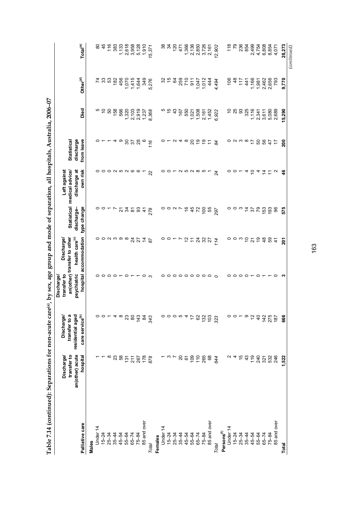| love can<br>Ī.                |  |
|-------------------------------|--|
|                               |  |
|                               |  |
|                               |  |
| Í                             |  |
|                               |  |
| Content of Content of Co      |  |
|                               |  |
|                               |  |
|                               |  |
| . hv cov around and none voir |  |
|                               |  |
| cy age gru                    |  |
|                               |  |
|                               |  |
|                               |  |
| ins for non-acute ca          |  |
|                               |  |
|                               |  |
|                               |  |
|                               |  |
|                               |  |
|                               |  |
|                               |  |
|                               |  |
|                               |  |
|                               |  |

|                        |                                              | Discharge/                        | Discharge/                 | Discharge/                                                |                                                                  |                                                                                 |                                 |                               |                             |                         |
|------------------------|----------------------------------------------|-----------------------------------|----------------------------|-----------------------------------------------------------|------------------------------------------------------------------|---------------------------------------------------------------------------------|---------------------------------|-------------------------------|-----------------------------|-------------------------|
|                        | an(other) acute<br>transfer to<br>Discharge/ | transfer to a<br>residential aged | psychiatric<br>transfer to | an(other) transfer to other<br>health care <sup>(c)</sup> | discharge-                                                       | discharge at<br>Left against<br>Statistical medical advice/                     | discharge<br><b>Statistical</b> |                               |                             |                         |
| Palliative care        | hospital                                     | care service <sup>(b)</sup>       |                            | hospital accommodation                                    | type change                                                      | own risk                                                                        | from leave                      | Died                          | Other <sup>(d)</sup>        | Total <sup>(e)</sup>    |
| Males                  |                                              |                                   |                            |                                                           |                                                                  |                                                                                 |                                 |                               |                             |                         |
| Under 14               |                                              |                                   |                            |                                                           |                                                                  |                                                                                 |                                 |                               |                             | $80\,$                  |
| $15 - 24$              |                                              |                                   |                            |                                                           |                                                                  |                                                                                 | $\circ$ $\sim$                  | n ó                           | <b>z</b> 33                 | 45                      |
| $25 - 34$              | $\infty$                                     | $\circ$ $\circ$ $\sim$            |                            |                                                           |                                                                  |                                                                                 | $\overline{ }$                  | 50                            | 53                          | 116                     |
| $35 - 44$              |                                              |                                   |                            |                                                           |                                                                  |                                                                                 |                                 | 158                           | 182                         | 383                     |
| 45-54                  | $23\,$                                       | $4\degree$                        |                            | $\circ\circ$ $\circ$ $\circ\circ$                         | $\circ$ $\circ$ $\sim$ $\sim$ $\sim$ $\sim$ $\sim$ $\sim$ $\sim$ | 000000000                                                                       | ᡇᢁ                              | 566                           | 456                         | 1,133                   |
| 55-64                  | 131                                          | 23                                |                            |                                                           |                                                                  |                                                                                 |                                 |                               | 070                         |                         |
| $65 - 74$              | 211                                          | $\pmb{\mathbb{S}}$                |                            |                                                           |                                                                  |                                                                                 | $rac{20}{37}$                   |                               | 1,415                       |                         |
| 75-84                  | 267                                          | 143                               |                            | $rac{4}{27}$                                              |                                                                  |                                                                                 | 28                              | $1,320$<br>$2,103$<br>$2,919$ | 1,644                       | 2,618<br>3,958<br>5,128 |
| 85 and over            | 178                                          | \$                                | $\circ$ $\circ$            | $\overline{4}$                                            | $\ddot{4}$                                                       |                                                                                 | $\circ$                         | 1,237                         | 349                         | 1,910                   |
| Total                  | 878                                          | 343                               |                            | $\delta$                                                  | 278                                                              | 22                                                                              | 116                             | 8,368                         | 5,276                       | 15,371                  |
| Females                |                                              |                                   |                            |                                                           |                                                                  |                                                                                 |                                 |                               |                             |                         |
| Under 14               |                                              | 0                                 |                            | o                                                         | 0                                                                |                                                                                 |                                 |                               | 32                          |                         |
| $15 - 24$              |                                              |                                   |                            |                                                           |                                                                  |                                                                                 |                                 | ro fo do                      | 15                          |                         |
| $25 - 34$              | $\frac{1}{2}$                                |                                   |                            |                                                           |                                                                  |                                                                                 |                                 |                               | \$                          | 8457                    |
| $35 - 44$              | 85                                           | 0004                              |                            | $0 - r$                                                   | $\circ$ $\sim$ $\sim$                                            | $00 - N$                                                                        | $0 - U 4 \infty$                | 167                           | <b>259</b><br>710           |                         |
| 45-54                  |                                              |                                   |                            |                                                           | $\frac{6}{5}$                                                    |                                                                                 |                                 | 550                           |                             | 1,366                   |
| 55-64                  | 109                                          | $\overline{1}$                    |                            | われみをみ                                                     | 45                                                               |                                                                                 | 2009                            | 1,021                         | $\overline{911}$            | 2,136<br>2,850<br>3,726 |
| $65 - 74$              |                                              | 62                                |                            |                                                           | 72                                                               |                                                                                 |                                 | 1,508                         |                             |                         |
| $75 - 84$              | $110$<br>265                                 | 132                               |                            |                                                           | $\overline{5}$                                                   |                                                                                 |                                 | 2,161                         |                             |                         |
| 85 and over            | 68                                           | 103                               | 0000000000                 |                                                           | 55                                                               |                                                                                 | $\tilde{=}$                     | 1,452                         | $1,042$<br>$1,042$<br>$444$ | 2,161                   |
| Total                  | 644                                          | 323                               |                            | 114                                                       | 297                                                              | 24                                                                              | 84                              | 6,922                         | 4,494                       | 12,902                  |
| Persons <sup>(f)</sup> |                                              |                                   |                            |                                                           |                                                                  |                                                                                 |                                 |                               |                             |                         |
| Under 14               |                                              |                                   |                            |                                                           |                                                                  |                                                                                 |                                 | S                             | 106                         | 118                     |
| $15 - 24$              | 4                                            | 0 0 T                             |                            |                                                           |                                                                  | 0 0 T                                                                           |                                 |                               | $\frac{8}{3}$               | $\overline{r}$          |
| $25 - 34$              | $\frac{6}{5}$                                |                                   | 000000000                  | ೦ ೦ ಌ ೦ ನ                                                 | $\circ$ $\circ$ $\circ$ $\frac{1}{4}$                            |                                                                                 | $\circ$ a $\omega$ a $\sim$     | <b>25</b><br>33               | $\overline{11}$             | 236                     |
| $35 - 44$              | 43                                           | ၜ                                 |                            |                                                           |                                                                  |                                                                                 |                                 | 325                           | 41                          | 854                     |
| 45-54                  | 119                                          | $\tilde{c}$                       |                            |                                                           |                                                                  |                                                                                 |                                 | 1,116                         | 1,166                       | 2,499                   |
| 55-64                  |                                              | $\overline{4}$                    |                            | 99                                                        | $\frac{62}{56}$                                                  | $\begin{array}{c}\n 4 & 5 & 4 & 5 & 5 \\  \hline\n 4 & 2 & 2 & 5\n \end{array}$ | 50                              |                               | 1,981                       |                         |
| $65 - 74$              | 32<br>32<br>32                               | 142                               |                            |                                                           | $\overline{53}$                                                  |                                                                                 | 56<br>47                        | 2,341<br>3,611<br>5,080       | 2,462                       | 4,754<br>6,808          |
| 75-84                  |                                              | 275                               |                            | 59                                                        | 193                                                              |                                                                                 |                                 |                               | 2,656                       | 8,854                   |
| 85 and over            | 246                                          | 187                               |                            | $\frac{4}{3}$                                             | 96                                                               |                                                                                 | $\ddot{ }$                      | 2,689                         | 793                         | 4,071                   |
| Total                  | 1,522                                        | 666                               | ຕ                          | 201                                                       | 575                                                              | ड़                                                                              | 200                             | 5,290                         | 9,770                       | 28,273                  |
|                        |                                              |                                   |                            |                                                           |                                                                  |                                                                                 |                                 |                               |                             | $_{\rm {continued}}$    |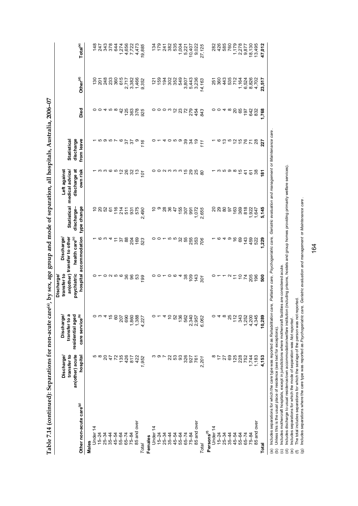| FC COOK :                                                                                            |  |
|------------------------------------------------------------------------------------------------------|--|
|                                                                                                      |  |
|                                                                                                      |  |
|                                                                                                      |  |
|                                                                                                      |  |
| ions for non-acute care <sup>(a)</sup> , by sex, age group and mode of separation, all hospitals, Av |  |
|                                                                                                      |  |
|                                                                                                      |  |
|                                                                                                      |  |
|                                                                                                      |  |
|                                                                                                      |  |
|                                                                                                      |  |
|                                                                                                      |  |
|                                                                                                      |  |
|                                                                                                      |  |
|                                                                                                      |  |
|                                                                                                      |  |
|                                                                                                      |  |
|                                                                                                      |  |
|                                                                                                      |  |
|                                                                                                      |  |
|                                                                                                      |  |
|                                                                                                      |  |
|                                                                                                      |  |
|                                                                                                      |  |
|                                                                                                      |  |
|                                                                                                      |  |
|                                                                                                      |  |
|                                                                                                      |  |
|                                                                                                      |  |
|                                                                                                      |  |
|                                                                                                      |  |
|                                                                                                      |  |
|                                                                                                      |  |
|                                                                                                      |  |
|                                                                                                      |  |
|                                                                                                      |  |
|                                                                                                      |  |
|                                                                                                      |  |
|                                                                                                      |  |
|                                                                                                      |  |
|                                                                                                      |  |
|                                                                                                      |  |
|                                                                                                      |  |
|                                                                                                      |  |
|                                                                                                      |  |
|                                                                                                      |  |
|                                                                                                      |  |
|                                                                                                      |  |
|                                                                                                      |  |
| Í                                                                                                    |  |
|                                                                                                      |  |
|                                                                                                      |  |
|                                                                                                      |  |
|                                                                                                      |  |
|                                                                                                      |  |
|                                                                                                      |  |
|                                                                                                      |  |
|                                                                                                      |  |
|                                                                                                      |  |
|                                                                                                      |  |
|                                                                                                      |  |
|                                                                                                      |  |
|                                                                                                      |  |

|                                     | an(other) acute<br>transfer to<br>Discharge/ | transfer to a<br>residential aged<br><b>Discharge/</b> | psychiatric<br>transfer to<br><b>Discharge/</b>    | health care <sup>(c)</sup><br>an(other) transfer to other<br>Discharge/ | discharge-                                                                                                                                  | discharge at<br>Left against<br>Statistical medical advice/ | discharge<br><b>Statistical</b>                                  |                                                |                                                                                                                                                                                                                                                                                                                      |                                                                                            |
|-------------------------------------|----------------------------------------------|--------------------------------------------------------|----------------------------------------------------|-------------------------------------------------------------------------|---------------------------------------------------------------------------------------------------------------------------------------------|-------------------------------------------------------------|------------------------------------------------------------------|------------------------------------------------|----------------------------------------------------------------------------------------------------------------------------------------------------------------------------------------------------------------------------------------------------------------------------------------------------------------------|--------------------------------------------------------------------------------------------|
| Other non-acute care <sup>(g)</sup> | hospital                                     | care service <sup>(b)</sup>                            |                                                    | hospital accommodation                                                  | type change                                                                                                                                 | own risk                                                    | from leave                                                       | Died                                           | Other <sup>(d)</sup>                                                                                                                                                                                                                                                                                                 | $\mathsf{Tota}^{(\mathsf{e})}$                                                             |
| Males                               |                                              |                                                        |                                                    |                                                                         |                                                                                                                                             |                                                             |                                                                  |                                                |                                                                                                                                                                                                                                                                                                                      |                                                                                            |
| Under 14                            | ιΩ                                           | 0                                                      |                                                    |                                                                         |                                                                                                                                             |                                                             |                                                                  |                                                |                                                                                                                                                                                                                                                                                                                      |                                                                                            |
| $15 - 24$                           | $\infty$                                     |                                                        |                                                    |                                                                         |                                                                                                                                             |                                                             |                                                                  |                                                |                                                                                                                                                                                                                                                                                                                      |                                                                                            |
| $25 - 34$                           | $\overline{20}$                              |                                                        |                                                    |                                                                         | <b>5882</b>                                                                                                                                 |                                                             |                                                                  |                                                |                                                                                                                                                                                                                                                                                                                      |                                                                                            |
| $35 - 44$                           | $\ddot{4}$                                   | $\omega \neq \tilde{\nu}$                              |                                                    |                                                                         |                                                                                                                                             |                                                             |                                                                  |                                                |                                                                                                                                                                                                                                                                                                                      |                                                                                            |
| 45-54                               | $\overline{r}$                               | 60                                                     |                                                    |                                                                         |                                                                                                                                             |                                                             |                                                                  |                                                |                                                                                                                                                                                                                                                                                                                      |                                                                                            |
| 55-64                               | 135                                          | 207                                                    | $0 - 0$ $\alpha$ $\alpha$ $\alpha$ $\beta$ $\beta$ | - 6 3 4 5 5 8 9 6 5 6 7                                                 |                                                                                                                                             |                                                             | さのさてるでお                                                          | o o 4 n ∞ 4 n ∞ 8 n ∞ 9<br>o o 4 n ∞ 4 n ∞ 9 m | $\begin{array}{l} 29.587 \\ 20.7487 \\ -0.7487 \\ -0.7487 \\ -0.7487 \\ -0.7487 \\ -0.7487 \\ -0.7487 \\ -0.7487 \\ -0.7487 \\ -0.7487 \\ -0.7487 \\ -0.7487 \\ -0.7487 \\ -0.7487 \\ -0.7487 \\ -0.7487 \\ -0.7487 \\ -0.7487 \\ -0.7487 \\ -0.7487 \\ -0.7487 \\ -0.7487 \\ -0.7487 \\ -0.7487 \\ -0.7487 \\ -0.7$ |                                                                                            |
| $65 - 74$                           | 426                                          | 690                                                    |                                                    |                                                                         |                                                                                                                                             |                                                             |                                                                  |                                                |                                                                                                                                                                                                                                                                                                                      |                                                                                            |
| 75-84                               | 817                                          |                                                        |                                                    |                                                                         |                                                                                                                                             |                                                             |                                                                  |                                                |                                                                                                                                                                                                                                                                                                                      |                                                                                            |
| 85 and over                         | 422                                          |                                                        |                                                    |                                                                         |                                                                                                                                             |                                                             |                                                                  |                                                |                                                                                                                                                                                                                                                                                                                      |                                                                                            |
| Total                               | 1,952                                        | 1,860<br>1,388<br>4,227                                | 53<br>199                                          |                                                                         | $740$<br>$217$<br>$531$<br>$549$<br>$249$<br>$249$                                                                                          |                                                             | 0/16                                                             |                                                |                                                                                                                                                                                                                                                                                                                      |                                                                                            |
| Females                             |                                              |                                                        |                                                    |                                                                         |                                                                                                                                             |                                                             |                                                                  |                                                |                                                                                                                                                                                                                                                                                                                      |                                                                                            |
| Under 14                            |                                              |                                                        |                                                    |                                                                         |                                                                                                                                             |                                                             |                                                                  |                                                |                                                                                                                                                                                                                                                                                                                      |                                                                                            |
| $15 - 24$                           | თ                                            |                                                        |                                                    |                                                                         | $\circ$                                                                                                                                     |                                                             |                                                                  |                                                |                                                                                                                                                                                                                                                                                                                      |                                                                                            |
| $25 - 34$                           | $\overline{ }$                               | 4                                                      |                                                    |                                                                         |                                                                                                                                             |                                                             |                                                                  |                                                |                                                                                                                                                                                                                                                                                                                      |                                                                                            |
| $35 - 44$                           | 22                                           | $\tilde{c}$                                            |                                                    |                                                                         | <b>28</b>                                                                                                                                   |                                                             |                                                                  |                                                |                                                                                                                                                                                                                                                                                                                      |                                                                                            |
| 45-54                               | S3                                           | 52                                                     |                                                    |                                                                         |                                                                                                                                             |                                                             |                                                                  |                                                |                                                                                                                                                                                                                                                                                                                      |                                                                                            |
| 55-64                               | 33                                           | 136                                                    |                                                    |                                                                         |                                                                                                                                             |                                                             |                                                                  |                                                |                                                                                                                                                                                                                                                                                                                      |                                                                                            |
| $65 - 74$                           | 326                                          | 562                                                    | <b>808 - 808 - 808</b><br>808 - 80                 | oo – n n o m m oo<br>សំលួ ល – n n o m                                   |                                                                                                                                             | o o a w w w fo g fa                                         | $\circ$ $\sim$ 4 $\circ$ $\circ$ $\circ$ $\circ$ $\circ$ $\circ$ |                                                | e 2020<br>2020<br>2020<br>2020<br>2020                                                                                                                                                                                                                                                                               |                                                                                            |
| 75-84                               | 927                                          | 2,340                                                  |                                                    |                                                                         |                                                                                                                                             |                                                             |                                                                  |                                                |                                                                                                                                                                                                                                                                                                                      |                                                                                            |
| 85 and over                         | 761                                          | 2,957                                                  |                                                    |                                                                         | $47$<br>$155$<br>$150$<br>$-39$<br>$-10$<br>$-25$<br>$-25$<br>$-25$<br>$-25$<br>$-25$<br>$-25$<br>$-25$<br>$-25$<br>$-25$<br>$-25$<br>$-25$ |                                                             |                                                                  | o o o w a w a w a a<br>o o o w a w a w a a     | 3,236                                                                                                                                                                                                                                                                                                                | 251889271902<br>252889271902<br>252889271027                                               |
| Total                               | 2,201                                        | 6,062                                                  | 301                                                | 706                                                                     |                                                                                                                                             | 80                                                          | 111                                                              |                                                | 14,163                                                                                                                                                                                                                                                                                                               | 27,125                                                                                     |
| Persons <sup>(f)</sup>              |                                              |                                                        |                                                    |                                                                         |                                                                                                                                             |                                                             |                                                                  |                                                |                                                                                                                                                                                                                                                                                                                      |                                                                                            |
| Under 14                            |                                              | 0                                                      |                                                    |                                                                         |                                                                                                                                             |                                                             |                                                                  |                                                |                                                                                                                                                                                                                                                                                                                      |                                                                                            |
| $15 - 24$                           | 17                                           | $4\,$ $\infty$                                         |                                                    |                                                                         |                                                                                                                                             |                                                             |                                                                  |                                                |                                                                                                                                                                                                                                                                                                                      |                                                                                            |
| $25 - 34$                           | 27                                           |                                                        |                                                    |                                                                         | 8885                                                                                                                                        |                                                             |                                                                  |                                                |                                                                                                                                                                                                                                                                                                                      |                                                                                            |
| $35 - 44$                           | 69                                           | 25                                                     |                                                    |                                                                         |                                                                                                                                             |                                                             |                                                                  |                                                |                                                                                                                                                                                                                                                                                                                      |                                                                                            |
| 45-54                               | 125                                          | 112                                                    | $0 - - u = 57880$                                  | <u>- ၀ 4 စ ဗု စ္</u> ပ                                                  | 163<br>369                                                                                                                                  |                                                             | 16 26 26 26 28                                                   | 004 806                                        | 2003 2004<br>2004 2005 2004<br>2004 2005 2006 2007<br>2009 2007 2009 200                                                                                                                                                                                                                                             |                                                                                            |
| 55-64                               | 228                                          | 343                                                    |                                                    |                                                                         |                                                                                                                                             |                                                             |                                                                  |                                                |                                                                                                                                                                                                                                                                                                                      |                                                                                            |
| $65 - 74$                           |                                              | 1,252                                                  |                                                    | 143<br>459                                                              |                                                                                                                                             |                                                             |                                                                  | 197                                            |                                                                                                                                                                                                                                                                                                                      |                                                                                            |
| $75 - 84$                           | 1,744                                        | 4,200                                                  |                                                    |                                                                         |                                                                                                                                             |                                                             |                                                                  | 642<br>832                                     |                                                                                                                                                                                                                                                                                                                      |                                                                                            |
| 85 and over                         | 1,183                                        | 4,345                                                  |                                                    | 522                                                                     | 81922<br>1922<br>1,647                                                                                                                      |                                                             |                                                                  |                                                |                                                                                                                                                                                                                                                                                                                      | $\begin{array}{l} 1,79 \\ 7,278 \\ 2,877 \\ 9,971 \\ 1,300 \\ 1,495 \\ \hline \end{array}$ |
| <b>Total</b>                        | 4,153                                        | 10,289                                                 | 500                                                | 1,229                                                                   | 5,145                                                                                                                                       | ē                                                           | 227                                                              | 1,768                                          | 23,517                                                                                                                                                                                                                                                                                                               | 47,012                                                                                     |
|                                     |                                              |                                                        |                                                    |                                                                         |                                                                                                                                             |                                                             |                                                                  |                                                |                                                                                                                                                                                                                                                                                                                      |                                                                                            |

(a) Includes separations for which the care type was reported as *Rehabilitation care, Palliative care, Psychogeriatric care, Geriatric evaluation and management or Maintenance care .<br>(c) Includes mothercraft hospitals, ex* (a) Includes separations for which the care type was reported as *Rehabilitation care, Palliative care, Psychogeriatric care, Geriatric evaluation and management* or *Maintenance care* . (b) Unless this is the usual place of residence (see text for exceptions).

(c) Includes mothercraft hospitals, except in jurisdictions where mothercraft facilities are considered acute.

(d) Includes discharge to usual residence/own accommodation/welfare institution (including prisons, hostels and group homes providing primarily welfare services).

(e) Includes separations for which the mode of separation was *Not reported* .

(f) The total includes separations for which the sex/age of the person was not reported.

(g) Includes separations where the care type was reported as *Psychogeriatric care, Geriatric evaluation and management* or *Maintenance care* .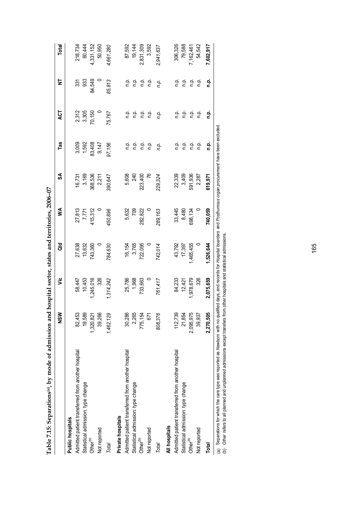|                                                    | NSM       | ۶Ë        | <b>Jap</b>       | ⋚               | S               | Tas            | Ę              | 눌                                                         | Total     |
|----------------------------------------------------|-----------|-----------|------------------|-----------------|-----------------|----------------|----------------|-----------------------------------------------------------|-----------|
| Public hospitals                                   |           |           |                  |                 |                 |                |                |                                                           |           |
| Admitted patient transferred from another hospital | 82,453    | 58,447    |                  |                 |                 |                |                |                                                           | 218,734   |
| Statistical admission: type change                 | 19,589    | 10,453    | 27,638<br>13,632 | 27,813<br>7,771 | 16,731<br>3,169 | 3,009<br>1,592 | 2,312<br>3,305 | ន្ល និ                                                    | 60,444    |
| Other <sup>(b)</sup>                               | 1,320,821 | 1,245,016 | 743,360          | 415,312         | 368,536         | 83,408         | 70,150         | 84,549                                                    | 4,331,152 |
| Not reported                                       | 39,266    | 326       |                  |                 | 2,211           | 9,147          |                |                                                           | 50,950    |
| Total                                              | 1,462,129 | ,314,242  | 784,630          | 450,896         | 390,647         | 97,156         | 75,767         | 85,813                                                    | 4,661,280 |
| Private hospitals                                  |           |           |                  |                 |                 |                |                |                                                           |           |
| Admitted patient transferred from another hospital | 30,286    | 25,786    | 16,154           | 5,632           | 5,608           |                |                | ن<br>ء                                                    | 87,592    |
| Statistical admission: type change                 | 2,265     | 1,968     | 3,765            | 709             | 240             |                | 후 후<br>ㄹ ㄹ     |                                                           | 19,144    |
| Other <sup>(b)</sup>                               | 775,154   | 733,663   | 722,095          | 282,822         | 223,400         |                | o.<br>C        | $\begin{array}{ccc}\n0 & 0 & 0 \\ 0 & 0 & 0\n\end{array}$ | 2,831,309 |
| Not reported                                       | 671       |           |                  |                 | $\frac{76}{2}$  |                | ف<br>1         |                                                           | 3,592     |
| Total                                              | 808,376   | 761,417   | 742,014          | 289,163         | 229,324         | ņņ.            | n.p.           | n.p.                                                      | 2,941,637 |
| All hospitals                                      |           |           |                  |                 |                 |                |                |                                                           |           |
| Admitted patient transferred from another hospital | 112,739   | 84,233    |                  |                 | 22,339          |                | ρ.<br>Γ        |                                                           | 306,326   |
| Statistical admission: type change                 | 21,854    | 12,421    | 43,792<br>17,397 | 33,445<br>8,480 | 3,409           |                | n p.           | e e<br>c c                                                | 79,588    |
| Other <sup>(b)</sup>                               | 2,095,975 | 1,978,679 | ,465,455         | 698,134         | 591,936         |                | n p.           | n p.                                                      | 162,461   |
| Not reported                                       | 39,937    | 326       |                  |                 | 2,287           | ρ.             | ف<br>n         | n.p                                                       | 54,542    |
| Total                                              | 2,270,505 | 2,075,659 | ,526,644         | 740,059         | 619,971         | م<br>a         | ءِ<br>ح        | n.p.                                                      | 7,602,917 |
|                                                    |           |           |                  | $\overline{a}$  |                 |                |                |                                                           |           |

Table 7.15: Separations<sup>(a)</sup>, by mode of admission and hospital sector, states and territories, 2006-07 **Table 7.15: Separations(a), by mode of admission and hospital sector, states and territories, 2006–07**  (a) Separations for which the care type was reported as *Newborn* with no qualified days, and records for *Hospital boarders* and *Posthumous organ procurement* have been excluded.<br>(b) Other refers to all planned and unpla (a) Separations for which the care type was reported as *Newborn* with no qualified days, and records for *Hospital boarders* and *Posthumous organ procurement* have been excluded.

(b) *Other* refers to all planned and unplanned admissions except transfers from other hospitals and statistical admissions.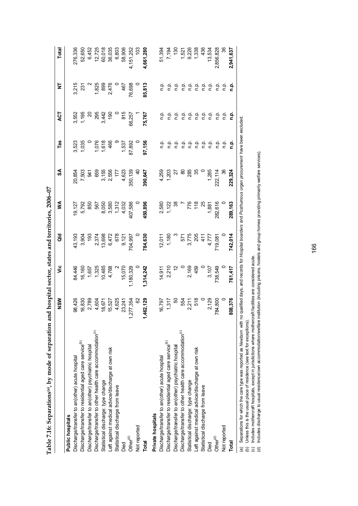|                                                                      | NSW                    | ۶Ë                                                                        | <b>aid</b>                                       | ⋚                                                   | న                                                                                                   | Tas                                                                                                                          | ξ                                               | ₹                                                                           | Total                                                                     |
|----------------------------------------------------------------------|------------------------|---------------------------------------------------------------------------|--------------------------------------------------|-----------------------------------------------------|-----------------------------------------------------------------------------------------------------|------------------------------------------------------------------------------------------------------------------------------|-------------------------------------------------|-----------------------------------------------------------------------------|---------------------------------------------------------------------------|
| Public hospitals                                                     |                        |                                                                           |                                                  |                                                     |                                                                                                     |                                                                                                                              |                                                 |                                                                             |                                                                           |
| Discharge/transfer to an(other) acute hospital                       | 98,426                 | 84,446                                                                    | 43,193                                           |                                                     | 20,854                                                                                              | 3,523                                                                                                                        |                                                 | 3,215                                                                       | 276,336                                                                   |
| Discharge/transfer to residential aged care service <sup>(b)</sup>   | 16,830                 |                                                                           | 3,904                                            |                                                     |                                                                                                     | 1,035                                                                                                                        | 3,552<br>1,195                                  | 23 <sub>1</sub>                                                             | 52,650                                                                    |
| Discharge/transfer to an(other) psychiatric hospital                 | 2,789                  | $\begin{array}{c} 16,160 \\ 1,657 \\ 1,325 \\ 1,485 \\ 4,768 \end{array}$ |                                                  | 19,127<br>5,792<br>567<br>567                       | 7,503<br>65 55 556 7 7 82<br>65 556 7 7 82<br>65 7 82<br>60 7 83 93 94 95<br>7 85 96 96 96 96 96 97 |                                                                                                                              | $\approx$                                       |                                                                             |                                                                           |
| Discharge/transfer to other health care accommodation <sup>(c)</sup> | 4,604<br>18,671        |                                                                           | 193<br>2,374<br>2,472<br>6,472<br>9,121          |                                                     |                                                                                                     | $7,076$<br>$7,618$<br>466                                                                                                    |                                                 | 1,825<br>899<br>2,476                                                       | 6,452<br>12,725<br>12,018<br>6,803<br>6,806<br>58,906                     |
| Statistical discharge: type change                                   |                        |                                                                           |                                                  |                                                     |                                                                                                     |                                                                                                                              | $\frac{3}{3}$<br>$\frac{4}{3}$<br>$\frac{5}{9}$ |                                                                             |                                                                           |
| Left against medical advice/discharge at own risk                    |                        |                                                                           |                                                  |                                                     |                                                                                                     |                                                                                                                              |                                                 |                                                                             |                                                                           |
| Statistical discharge from leave                                     | 15,527<br>4,625        |                                                                           |                                                  |                                                     |                                                                                                     |                                                                                                                              |                                                 |                                                                             |                                                                           |
| Died                                                                 | 23,241                 | 15,070                                                                    |                                                  | 8,050<br>8,580<br>8,72<br>9,032                     |                                                                                                     | 1,537                                                                                                                        | 815                                             | 467                                                                         |                                                                           |
| Other $^{(d)}$                                                       | 277,354<br>$\tilde{a}$ | 1,180,329                                                                 |                                                  | 107,586                                             |                                                                                                     |                                                                                                                              | 66,257                                          | 76,698                                                                      | 4,151,252<br>103                                                          |
| Not reported                                                         | $\frac{8}{2}$          |                                                                           | 704,997<br>109,                                  | $\overline{a}$                                      |                                                                                                     | 87,892<br>0                                                                                                                  |                                                 |                                                                             |                                                                           |
| <b>Total</b>                                                         | 162,129<br>$\dot{A}$   | 1,314,242                                                                 | 784,630                                          | 450,896                                             | 390,647                                                                                             | 97,156                                                                                                                       | 5,767                                           | 85,813                                                                      | 4,661,280                                                                 |
| Private hospitals                                                    |                        |                                                                           |                                                  |                                                     |                                                                                                     |                                                                                                                              |                                                 |                                                                             |                                                                           |
| Discharge/transfer to an(other) acute hospital                       | 16,797                 |                                                                           | 12,011                                           |                                                     |                                                                                                     |                                                                                                                              |                                                 |                                                                             | 51,394                                                                    |
| Discharge/transfer to residential aged care service <sup>(b)</sup>   | 1,317                  | $14,911$<br>2,210<br>12                                                   | 1,180                                            | 2,580<br>1,122<br>1,                                | 4,259<br>1,203                                                                                      | e                                                                                                                            | e                                               | e                                                                           | 7,194                                                                     |
| Discharge/transfer to an(other) psychiatric hospital                 | <u>င</u> ္ဂ            |                                                                           |                                                  |                                                     |                                                                                                     | $\frac{a}{c}$                                                                                                                | ې                                               | $\frac{a}{c}$                                                               | $\frac{5}{2}$                                                             |
| Discharge/transfer to other health care accommodation <sup>(c)</sup> |                        |                                                                           |                                                  |                                                     | ಜ                                                                                                   |                                                                                                                              |                                                 |                                                                             |                                                                           |
| Statistical discharge: type change                                   | 554<br>2,211<br>518    | 2,169<br>459                                                              | 571<br>3,775<br>205                              |                                                     | 285                                                                                                 | $\begin{array}{ccc}\n\bullet & \bullet & \bullet \\ \bullet & \bullet & \bullet \\ \bullet & \bullet & \bullet\n\end{array}$ |                                                 | $\frac{a}{c}$ $\frac{a}{c}$ $\frac{a}{c}$                                   | $1,521$<br>$9,226$<br>$1,338$<br>$1,338$<br>$1,336$<br>$1,521$<br>$1,521$ |
| Left against medical advice/discharge at own risk                    |                        |                                                                           |                                                  |                                                     | 35                                                                                                  |                                                                                                                              |                                                 |                                                                             |                                                                           |
| Statistical discharge from leave                                     |                        |                                                                           |                                                  |                                                     |                                                                                                     |                                                                                                                              |                                                 |                                                                             |                                                                           |
| Died                                                                 | 2,129                  |                                                                           |                                                  |                                                     |                                                                                                     | $\frac{a}{c}$ $\frac{a}{c}$                                                                                                  |                                                 | $\begin{array}{c} \n 0.00000 \\ \n 0.00000 \\ \n 0.00000 \\ \n \end{array}$ |                                                                           |
| Other $^{(d)}$                                                       | 84,800                 | 0<br>3,107<br>738,549                                                     | $710,081$<br>4,777<br>4,777<br>411<br>411<br>411 | $776$ $776$ $718$ $780$ $780$ $780$ $780$ $780$ $0$ | 1,285<br>222,114<br>36                                                                              | $\frac{1}{2}$                                                                                                                | $\frac{1}{2}$                                   | $\frac{1}{2}$                                                               | 2,856,828                                                                 |
| Not reported                                                         |                        |                                                                           |                                                  |                                                     |                                                                                                     | ن<br>ء                                                                                                                       | ن<br>ء                                          | ρ                                                                           |                                                                           |
| Total                                                                | 108,376                | 761,417                                                                   | 742,014                                          | 289,163                                             | 229,324                                                                                             | ءِ<br>ء                                                                                                                      | ءِ<br>ء                                         | ءِ<br>ء                                                                     | 2,941,637                                                                 |
|                                                                      |                        |                                                                           |                                                  |                                                     |                                                                                                     |                                                                                                                              |                                                 |                                                                             |                                                                           |

Table 7.16: Separations<sup>(a)</sup>, by mode of separation and hospital sector, states and territories, 2006-07 **Table 7.16: Separations(a), by mode of separation and hospital sector, states and territories, 2006–07**  (a) Separations for which the care type was reported as *Newborn* with no qualified days, and records for *Hospital boarders* and *Posthurnous organ procurement* have been excluded.<br>(b) Unless this is the usual place of re (a) Separations for which the care type was reported as *Newborn* with no qualified days, and records for *Hospital boarders* and *Posthumous organ procurement* have been excluded.

(b) Unless this is the usual place of residence (see text for exceptions).

(c) Includes mothercraft hospitals, except in jurisdictions where mothercraft facilities are considered acute. (d) Includes discharge to usual residence/own accommodation/welfare institution (including prisons, hostels and group homes providing primarily welfare services).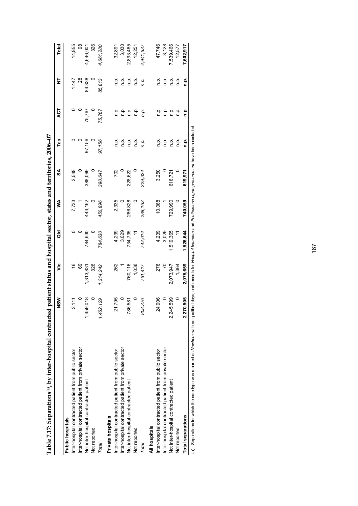|                                                       | NSW                       | ة              | ਰ<br>ਹ    | ≸       | SA      | Tas     | ă       | ₹       | <b>Total</b> |
|-------------------------------------------------------|---------------------------|----------------|-----------|---------|---------|---------|---------|---------|--------------|
| Public hospitals                                      |                           |                |           |         |         |         |         |         |              |
| Inter-hospital contracted patient from public sector  | 3,111                     | $\frac{6}{1}$  |           | 7,733   | 2,548   |         |         | 1,447   | 14,855       |
| Inter-hospital contracted patient from private sector |                           | 69             |           |         |         |         |         | $^{8}$  | 98           |
| Not inter-hospital contracted patient                 | 59,018                    | 1,313,831      | 784,630   | 443,162 | 388,099 | 97,156  | 75,767  | 84,338  | 4,646,001    |
| Not reported                                          |                           | 326            |           |         |         |         |         |         | 326          |
| Total                                                 | 1,462,129                 | 1,314,242      | 784,630   | 450,896 | 390,647 | 97,156  | 75,767  | 85,813  | 4,661,280    |
| Private hospitals                                     |                           |                |           |         |         |         |         |         |              |
| Inter-hospital contracted patient from public sector  | 21,795                    | 262            | 4,239     | 2,335   | 702     | ن<br>ص  | ن<br>E  | ن<br>ص  | 32,891       |
| Inter-hospital contracted patient from private sector |                           |                | 3,029     |         |         | n p.    | ن<br>ء  | n p.    | 3,030        |
| Not inter-hospital contracted patient                 | 86,581                    | 760,116        | 734,735   | 286,828 | 228,622 | ن<br>ء  | n p.    | ρ.<br>Γ | 2,893,465    |
| Not reported                                          |                           | 1,038          |           |         |         | n p.    | n p.    | n p.    | 12,251       |
| Total                                                 | 808,376                   | 761,417        | 742,014   | 289,163 | 229,324 | n.p.    | n.p.    | n.p.    | 2,941,637    |
| All hospitals                                         |                           |                |           |         |         |         |         |         |              |
| Inter-hospital contracted patient from public sector  | 24,906                    | 278            | 4,239     | 10,068  | 3,250   | ن<br>ص  | ن<br>ص  | ن<br>ص  | 47,746       |
| Inter-hospital contracted patient from private sector |                           | $\overline{C}$ | 3,029     |         |         | ρ.<br>Π | ρ.<br>Γ | ن<br>ص  | 3,128        |
| Not inter-hospital contracted patient                 | 145,599<br>$2\frac{2}{3}$ | 2,073,947      | ,519,365  | 729,990 | 616,721 | ن<br>ء  | ن<br>ء  | م<br>ء  | 7,539,466    |
| Not reported                                          |                           | 1,364          |           |         |         | ن<br>ص  | ρ.<br>Γ | n.p.    | 12,577       |
| <b>Total separations</b>                              | 70,505<br>2.2             | 2,075,659      | 1,526,644 | 740,059 | 619,971 | n.p.    | ء<br>ء  | ء<br>ء  | 7,602,917    |

Table 7.17: Separations<sup>(a)</sup>, by inter-hospital contracted patient status and hospital sector, states and territories, 2006-07 **Table 7.17: Separations(a), by inter-hospital contracted patient status and hospital sector, states and territories, 2006–07**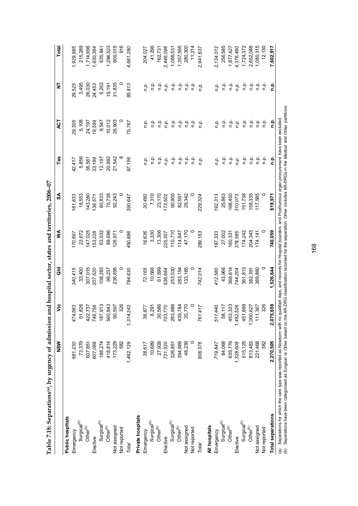| $\alpha$ and $\alpha$ is the product of $\alpha$ is the sequence of the sequence of $\alpha$ is the sequence of $\alpha$ is the sequence of $\alpha$ is the sequence of $\alpha$ is the sequence of $\alpha$ is the sequence of $\alpha$ is the sequence of $\alpha$ |           |                         |           |         |         |                  |                                                             |               |              |
|----------------------------------------------------------------------------------------------------------------------------------------------------------------------------------------------------------------------------------------------------------------------|-----------|-------------------------|-----------|---------|---------|------------------|-------------------------------------------------------------|---------------|--------------|
|                                                                                                                                                                                                                                                                      | NSM       | ۶Ë                      | ă         | ≸       | వ       | Tas              | ES                                                          | ₹             | <b>Total</b> |
| Public hospitals                                                                                                                                                                                                                                                     |           |                         |           |         |         |                  |                                                             |               |              |
| Emergency                                                                                                                                                                                                                                                            | 681,230   | 563<br>474,             | 340,415   | 170,697 | 161,833 | 42,417           | 29,305                                                      | 29,525        | 1,929,985    |
| Surgical <sup>(b)</sup>                                                                                                                                                                                                                                              | 73,379    | 826<br>51.              | 33,400    | 23,672  | 18,553  | 5,856            | 5,108                                                       | 3,495         | 215,289      |
| Other <sup>(b)</sup>                                                                                                                                                                                                                                                 | 607,851   |                         | 307,015   | 147,025 | 143,280 | 36,561           | 24,197                                                      | 26,030        | 1,714,696    |
| Elective                                                                                                                                                                                                                                                             | 607,088   | 422,737<br>748,756      | 207,520   | 153,228 | 136,571 | 33,189           | 19,559                                                      | 24,453        | 1,930,364    |
| Surgical <sup>(b)</sup>                                                                                                                                                                                                                                              | 188,274   | 913<br>187,             | 108,283   | 63,532  | 60,833  | 12,197           | 9,547                                                       | 5,262         | 635,841      |
| Other $^{(b)}$                                                                                                                                                                                                                                                       | 418,814   | 843<br>560              | 99,237    | 89,696  | 75,738  |                  | 10,012                                                      | 19,191        | 1,294,523    |
| Not assigned                                                                                                                                                                                                                                                         | 173,229   | 597<br>90               | 236,695   | 126,971 | 92,243  | 20,992<br>21,542 | 26,903                                                      | 31,835        | 800,015      |
| Not reported                                                                                                                                                                                                                                                         | 582       | 326                     |           |         |         |                  |                                                             |               | 916          |
| Total                                                                                                                                                                                                                                                                | 1,462,129 | 242<br>1,314.           | 784,630   | 450,896 | 390,647 | 97,156           | 75,767                                                      | 85,813        | 4,661,280    |
| Private hospitals                                                                                                                                                                                                                                                    |           |                         |           |         |         |                  |                                                             |               |              |
| Emergency                                                                                                                                                                                                                                                            | 38,617    | 877<br>36,              | 72,165    | 16,636  | 30,480  | n.p.             | ņņ                                                          | n.p.          | 204,027      |
| Surgical <sup>(b)</sup>                                                                                                                                                                                                                                              | 10,689    | 291<br>ဖ                | 10,566    | 3,330   | 7,310   | ۹.p              | ف<br>ء                                                      | n.<br>E       | 41,296       |
| Other <sup>(b)</sup>                                                                                                                                                                                                                                                 | 27,928    | 586<br>30,              | 61,599    | 13,306  | 23,170  | ρ.<br>Γ          | م<br>ء                                                      | ف<br>م        | 162,731      |
| Elective                                                                                                                                                                                                                                                             | 721,520   | ,770<br>703,            | 536,684   | 225,357 | 173,502 | n.p.             | n.p.                                                        | n.p.          | 2,446,096    |
| Surgical <sup>(b)</sup>                                                                                                                                                                                                                                              | 326,851   | ,986<br>263,            | 253,530   | 110,710 | 90,905  | $\frac{a}{c}$    | $\frac{a}{c}$                                               | $\frac{a}{c}$ | 1,088,531    |
| Other <sup>(b)</sup>                                                                                                                                                                                                                                                 | 394,669   | ,784<br>439             | 283,154   | 114,647 | 82,597  | ف<br>أ           |                                                             | م.<br>P       | 1,357,565    |
| Not assigned                                                                                                                                                                                                                                                         | 48,239    | ,770<br>$\overline{20}$ | 133,165   | 47,170  | 25,342  | o.<br>D          |                                                             | م<br>a        | 280,300      |
| Not reported                                                                                                                                                                                                                                                         |           | $\circ$                 |           |         |         | ف<br>أ           | $\begin{array}{ccc}\n 2 & 2 & 2 \\  3 & 2 & 2\n\end{array}$ | ف<br>1        | 11,214       |
| Total                                                                                                                                                                                                                                                                | 808,376   | 417<br>761,             | 742,014   | 289,163 | 229,324 | n.p.             | n.p.                                                        | n.p.          | 2,941,637    |
| All hospitals                                                                                                                                                                                                                                                        |           |                         |           |         |         |                  |                                                             |               |              |
| Emergency                                                                                                                                                                                                                                                            | 719,847   | 511,440                 | 412,580   | 187,333 | 192,313 | n.p.             | n.p.                                                        | n.p.          | 2,134,012    |
| Surgical <sup>(b)</sup>                                                                                                                                                                                                                                              | 84,068    | 58,117<br>453,323       | 43,966    | 27,002  | 25,863  | ρ.<br>Π          | ρ.<br>Γ                                                     | ρ.<br>Γ       | 256,585      |
| Other <sup>(b)</sup>                                                                                                                                                                                                                                                 | 635,779   | 453,                    | 368,614   | 160,331 | 166,450 | ρ.<br>Π          | p.<br>D                                                     | ن<br>P        | 1,877,427    |
| Elective                                                                                                                                                                                                                                                             | 1,328,608 | 526<br>1,452,           | 744,204   | 378,585 | 310,073 | n.p.             | n.p.                                                        | n.p.          | 4,376,460    |
| Surgical <sup>(b)</sup>                                                                                                                                                                                                                                              | 515,125   | 899<br>451,             | 361,813   | 174,242 | 151,738 | ف<br>ء           | n.p.                                                        | م.<br>E       | 1,724,372    |
| Other <sup>(b)</sup>                                                                                                                                                                                                                                                 | 813,483   | 627<br>1,000,           | 382,391   | 204,343 | 158,335 | ρ.<br>Γ          |                                                             | ρ.            | 2,652,088    |
| Not assigned                                                                                                                                                                                                                                                         | 221,468   | 367<br>11,              | 369,860   | 174,141 | 117,585 | ρ.<br>Π          |                                                             | ρ.<br>Γ       | 1,080,315    |
| Not reported                                                                                                                                                                                                                                                         | 582       | 326                     |           |         |         | ف<br>E           | نې<br>E                                                     | n p.          | 12,130       |
| <b>Total separations</b>                                                                                                                                                                                                                                             | 2,270,505 | 659<br>2,075,           | 1,526,644 | 740,059 | 619,971 | م<br>a           | م<br>a                                                      | <u>م</u>      | 7,602,917    |
| $\frac{c}{1}$                                                                                                                                                                                                                                                        |           |                         |           |         |         |                  |                                                             |               |              |

Table 7.18: Separations(a), by urgency of admission and hospital sector, states and territories,  $2006-07$ **Table 7.18: Separations(a), by urgency of admission and hospital sector, states and territories, 2006–07** 

(a) Separations for which the care type was reported as *Newborn* with no qualified days, and records for *Hospital boarders* and *Posthumous organ procurement* have been excluded.<br>(b) Separations have been categorised as (b) Separations have been categorised as *Surgical* or *Other* based on the AR-DRG classification recorded for the separation. *Other* includes AR-DRGs in the *Medical* and *Other* partitions.(a) Separations for which the care type was reported as *Newborn* with no qualified days, and records for *Hospital boarders* and *Posthumous organ procurement* have been excluded.